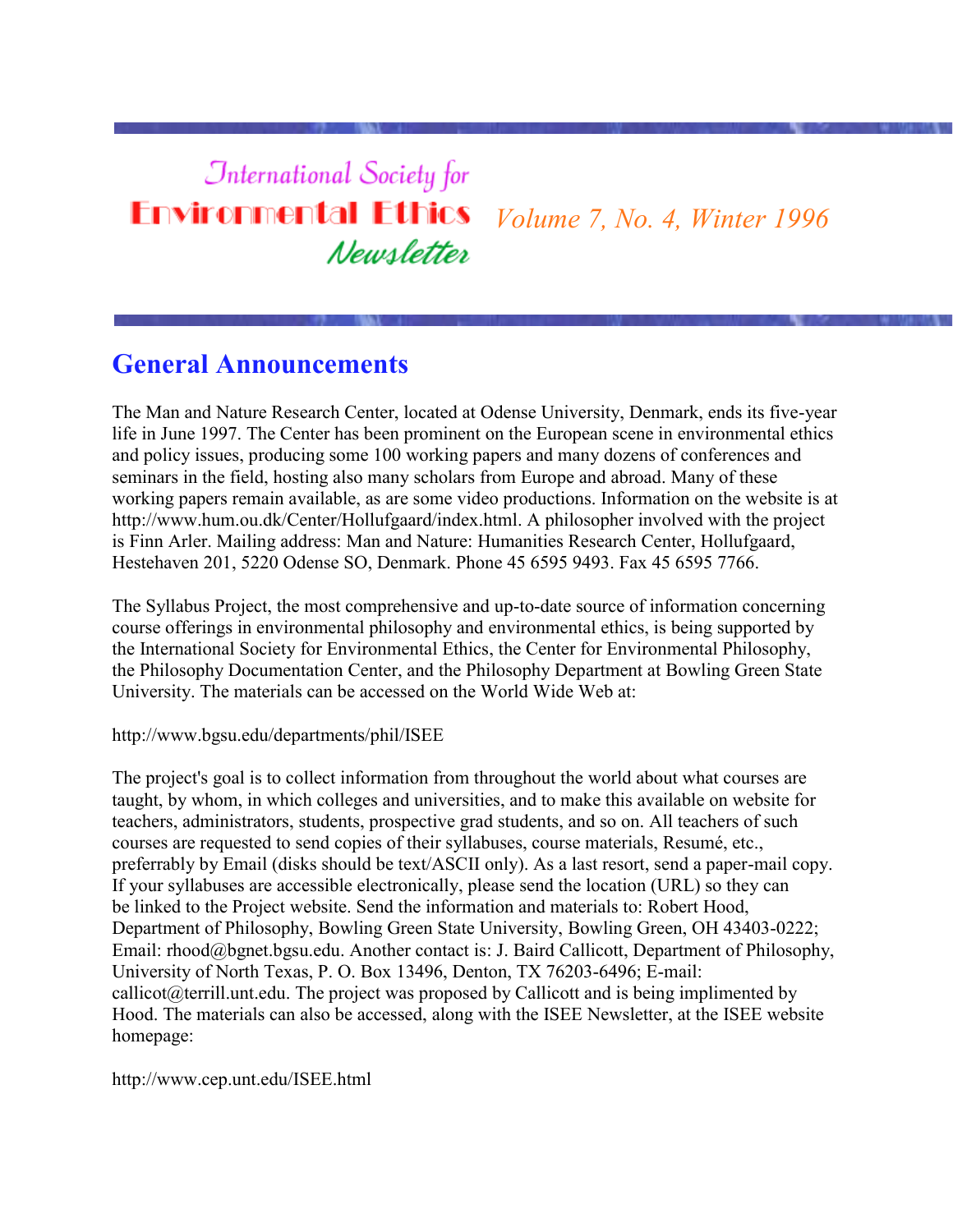### **International Society for Environmental Ethics** *Volume 7, No. 4, Winter 1996* Newsletter

### **General Announcements**

The Man and Nature Research Center, located at Odense University, Denmark, ends its five-year life in June 1997. The Center has been prominent on the European scene in environmental ethics and policy issues, producing some 100 working papers and many dozens of conferences and seminars in the field, hosting also many scholars from Europe and abroad. Many of these working papers remain available, as are some video productions. Information on the website is at http://www.hum.ou.dk/Center/Hollufgaard/index.html. A philosopher involved with the project is Finn Arler. Mailing address: Man and Nature: Humanities Research Center, Hollufgaard, Hestehaven 201, 5220 Odense SO, Denmark. Phone 45 6595 9493. Fax 45 6595 7766.

The Syllabus Project, the most comprehensive and up-to-date source of information concerning course offerings in environmental philosophy and environmental ethics, is being supported by the International Society for Environmental Ethics, the Center for Environmental Philosophy, the Philosophy Documentation Center, and the Philosophy Department at Bowling Green State University. The materials can be accessed on the World Wide Web at:

http://www.bgsu.edu/departments/phil/ISEE

The project's goal is to collect information from throughout the world about what courses are taught, by whom, in which colleges and universities, and to make this available on website for teachers, administrators, students, prospective grad students, and so on. All teachers of such courses are requested to send copies of their syllabuses, course materials, Resumé, etc., preferrably by Email (disks should be text/ASCII only). As a last resort, send a paper-mail copy. If your syllabuses are accessible electronically, please send the location (URL) so they can be linked to the Project website. Send the information and materials to: Robert Hood, Department of Philosophy, Bowling Green State University, Bowling Green, OH 43403-0222; Email: rhood@bgnet.bgsu.edu. Another contact is: J. Baird Callicott, Department of Philosophy, University of North Texas, P. O. Box 13496, Denton, TX 76203-6496; E-mail: callicot@terrill.unt.edu. The project was proposed by Callicott and is being implimented by Hood. The materials can also be accessed, along with the ISEE Newsletter, at the ISEE website homepage:

http://www.cep.unt.edu/ISEE.html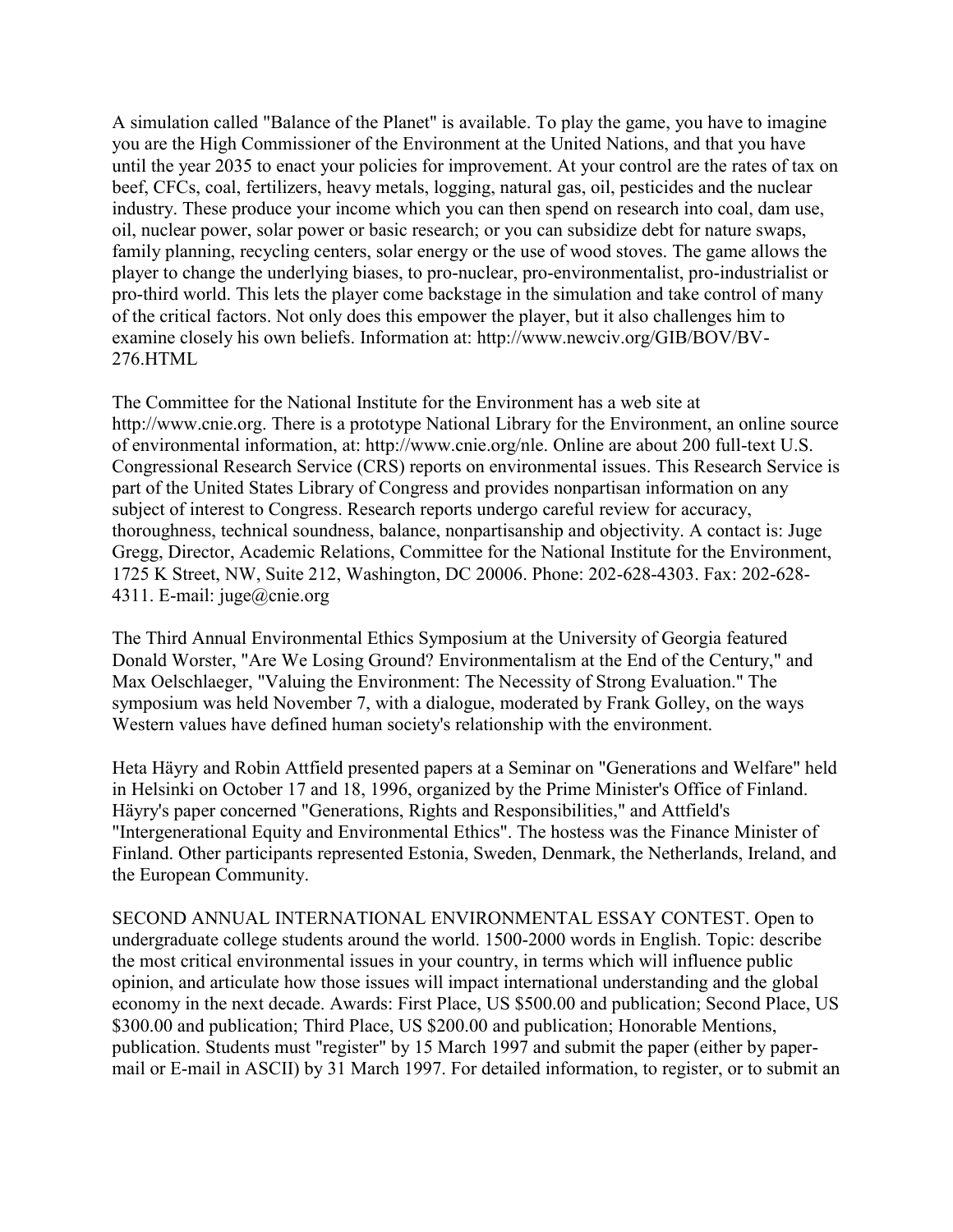A simulation called "Balance of the Planet" is available. To play the game, you have to imagine you are the High Commissioner of the Environment at the United Nations, and that you have until the year 2035 to enact your policies for improvement. At your control are the rates of tax on beef, CFCs, coal, fertilizers, heavy metals, logging, natural gas, oil, pesticides and the nuclear industry. These produce your income which you can then spend on research into coal, dam use, oil, nuclear power, solar power or basic research; or you can subsidize debt for nature swaps, family planning, recycling centers, solar energy or the use of wood stoves. The game allows the player to change the underlying biases, to pro-nuclear, pro-environmentalist, pro-industrialist or pro-third world. This lets the player come backstage in the simulation and take control of many of the critical factors. Not only does this empower the player, but it also challenges him to examine closely his own beliefs. Information at: http://www.newciv.org/GIB/BOV/BV-276.HTML

The Committee for the National Institute for the Environment has a web site at http://www.cnie.org. There is a prototype National Library for the Environment, an online source of environmental information, at: http://www.cnie.org/nle. Online are about 200 full-text U.S. Congressional Research Service (CRS) reports on environmental issues. This Research Service is part of the United States Library of Congress and provides nonpartisan information on any subject of interest to Congress. Research reports undergo careful review for accuracy, thoroughness, technical soundness, balance, nonpartisanship and objectivity. A contact is: Juge Gregg, Director, Academic Relations, Committee for the National Institute for the Environment, 1725 K Street, NW, Suite 212, Washington, DC 20006. Phone: 202-628-4303. Fax: 202-628- 4311. E-mail: juge@cnie.org

The Third Annual Environmental Ethics Symposium at the University of Georgia featured Donald Worster, "Are We Losing Ground? Environmentalism at the End of the Century," and Max Oelschlaeger, "Valuing the Environment: The Necessity of Strong Evaluation." The symposium was held November 7, with a dialogue, moderated by Frank Golley, on the ways Western values have defined human society's relationship with the environment.

Heta Häyry and Robin Attfield presented papers at a Seminar on "Generations and Welfare" held in Helsinki on October 17 and 18, 1996, organized by the Prime Minister's Office of Finland. Häyry's paper concerned "Generations, Rights and Responsibilities," and Attfield's "Intergenerational Equity and Environmental Ethics". The hostess was the Finance Minister of Finland. Other participants represented Estonia, Sweden, Denmark, the Netherlands, Ireland, and the European Community.

SECOND ANNUAL INTERNATIONAL ENVIRONMENTAL ESSAY CONTEST. Open to undergraduate college students around the world. 1500-2000 words in English. Topic: describe the most critical environmental issues in your country, in terms which will influence public opinion, and articulate how those issues will impact international understanding and the global economy in the next decade. Awards: First Place, US \$500.00 and publication; Second Place, US \$300.00 and publication; Third Place, US \$200.00 and publication; Honorable Mentions, publication. Students must "register" by 15 March 1997 and submit the paper (either by papermail or E-mail in ASCII) by 31 March 1997. For detailed information, to register, or to submit an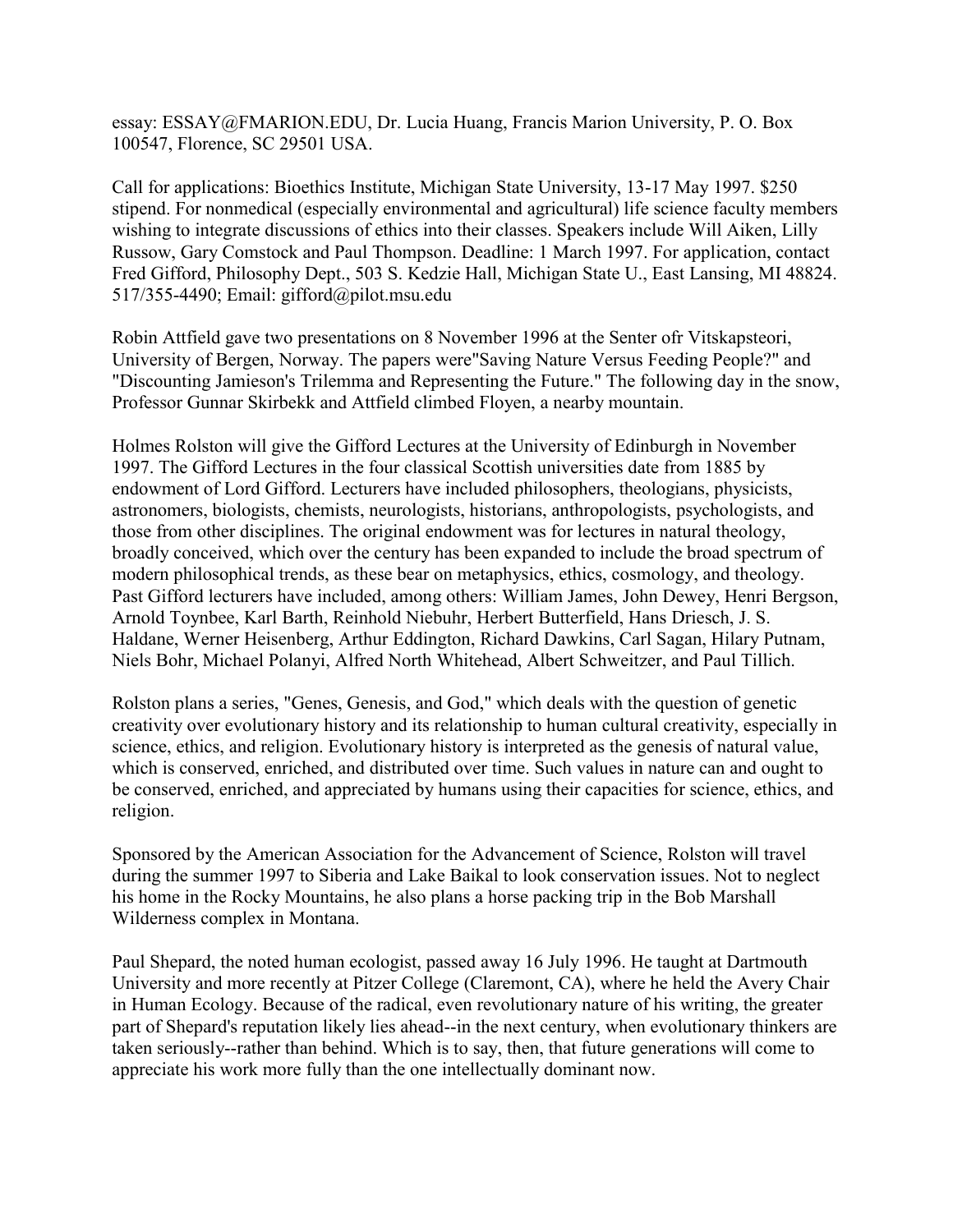essay: ESSAY@FMARION.EDU, Dr. Lucia Huang, Francis Marion University, P. O. Box 100547, Florence, SC 29501 USA.

Call for applications: Bioethics Institute, Michigan State University, 13-17 May 1997. \$250 stipend. For nonmedical (especially environmental and agricultural) life science faculty members wishing to integrate discussions of ethics into their classes. Speakers include Will Aiken, Lilly Russow, Gary Comstock and Paul Thompson. Deadline: 1 March 1997. For application, contact Fred Gifford, Philosophy Dept., 503 S. Kedzie Hall, Michigan State U., East Lansing, MI 48824. 517/355-4490; Email: gifford@pilot.msu.edu

Robin Attfield gave two presentations on 8 November 1996 at the Senter ofr Vitskapsteori, University of Bergen, Norway. The papers were"Saving Nature Versus Feeding People?" and "Discounting Jamieson's Trilemma and Representing the Future." The following day in the snow, Professor Gunnar Skirbekk and Attfield climbed Floyen, a nearby mountain.

Holmes Rolston will give the Gifford Lectures at the University of Edinburgh in November 1997. The Gifford Lectures in the four classical Scottish universities date from 1885 by endowment of Lord Gifford. Lecturers have included philosophers, theologians, physicists, astronomers, biologists, chemists, neurologists, historians, anthropologists, psychologists, and those from other disciplines. The original endowment was for lectures in natural theology, broadly conceived, which over the century has been expanded to include the broad spectrum of modern philosophical trends, as these bear on metaphysics, ethics, cosmology, and theology. Past Gifford lecturers have included, among others: William James, John Dewey, Henri Bergson, Arnold Toynbee, Karl Barth, Reinhold Niebuhr, Herbert Butterfield, Hans Driesch, J. S. Haldane, Werner Heisenberg, Arthur Eddington, Richard Dawkins, Carl Sagan, Hilary Putnam, Niels Bohr, Michael Polanyi, Alfred North Whitehead, Albert Schweitzer, and Paul Tillich.

Rolston plans a series, "Genes, Genesis, and God," which deals with the question of genetic creativity over evolutionary history and its relationship to human cultural creativity, especially in science, ethics, and religion. Evolutionary history is interpreted as the genesis of natural value, which is conserved, enriched, and distributed over time. Such values in nature can and ought to be conserved, enriched, and appreciated by humans using their capacities for science, ethics, and religion.

Sponsored by the American Association for the Advancement of Science, Rolston will travel during the summer 1997 to Siberia and Lake Baikal to look conservation issues. Not to neglect his home in the Rocky Mountains, he also plans a horse packing trip in the Bob Marshall Wilderness complex in Montana.

Paul Shepard, the noted human ecologist, passed away 16 July 1996. He taught at Dartmouth University and more recently at Pitzer College (Claremont, CA), where he held the Avery Chair in Human Ecology. Because of the radical, even revolutionary nature of his writing, the greater part of Shepard's reputation likely lies ahead--in the next century, when evolutionary thinkers are taken seriously--rather than behind. Which is to say, then, that future generations will come to appreciate his work more fully than the one intellectually dominant now.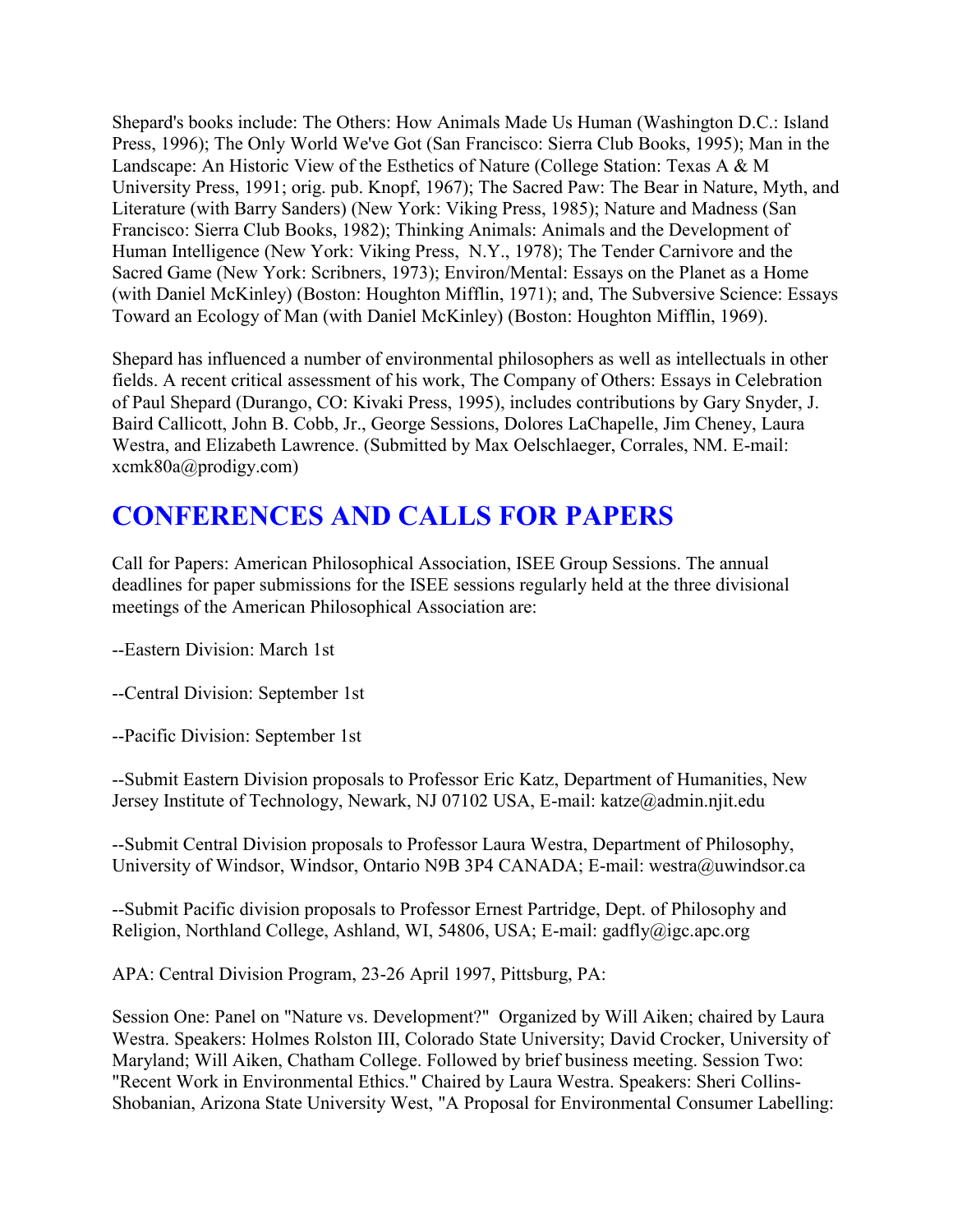Shepard's books include: The Others: How Animals Made Us Human (Washington D.C.: Island Press, 1996); The Only World We've Got (San Francisco: Sierra Club Books, 1995); Man in the Landscape: An Historic View of the Esthetics of Nature (College Station: Texas A & M University Press, 1991; orig. pub. Knopf, 1967); The Sacred Paw: The Bear in Nature, Myth, and Literature (with Barry Sanders) (New York: Viking Press, 1985); Nature and Madness (San Francisco: Sierra Club Books, 1982); Thinking Animals: Animals and the Development of Human Intelligence (New York: Viking Press, N.Y., 1978); The Tender Carnivore and the Sacred Game (New York: Scribners, 1973); Environ/Mental: Essays on the Planet as a Home (with Daniel McKinley) (Boston: Houghton Mifflin, 1971); and, The Subversive Science: Essays Toward an Ecology of Man (with Daniel McKinley) (Boston: Houghton Mifflin, 1969).

Shepard has influenced a number of environmental philosophers as well as intellectuals in other fields. A recent critical assessment of his work, The Company of Others: Essays in Celebration of Paul Shepard (Durango, CO: Kivaki Press, 1995), includes contributions by Gary Snyder, J. Baird Callicott, John B. Cobb, Jr., George Sessions, Dolores LaChapelle, Jim Cheney, Laura Westra, and Elizabeth Lawrence. (Submitted by Max Oelschlaeger, Corrales, NM. E-mail: xcmk80a@prodigy.com)

# **CONFERENCES AND CALLS FOR PAPERS**

Call for Papers: American Philosophical Association, ISEE Group Sessions. The annual deadlines for paper submissions for the ISEE sessions regularly held at the three divisional meetings of the American Philosophical Association are:

--Eastern Division: March 1st

--Central Division: September 1st

--Pacific Division: September 1st

--Submit Eastern Division proposals to Professor Eric Katz, Department of Humanities, New Jersey Institute of Technology, Newark, NJ 07102 USA, E-mail: katze@admin.njit.edu

--Submit Central Division proposals to Professor Laura Westra, Department of Philosophy, University of Windsor, Windsor, Ontario N9B 3P4 CANADA; E-mail: westra@uwindsor.ca

--Submit Pacific division proposals to Professor Ernest Partridge, Dept. of Philosophy and Religion, Northland College, Ashland, WI, 54806, USA; E-mail: gadfly@igc.apc.org

APA: Central Division Program, 23-26 April 1997, Pittsburg, PA:

Session One: Panel on "Nature vs. Development?" Organized by Will Aiken; chaired by Laura Westra. Speakers: Holmes Rolston III, Colorado State University; David Crocker, University of Maryland; Will Aiken, Chatham College. Followed by brief business meeting. Session Two: "Recent Work in Environmental Ethics." Chaired by Laura Westra. Speakers: Sheri Collins-Shobanian, Arizona State University West, "A Proposal for Environmental Consumer Labelling: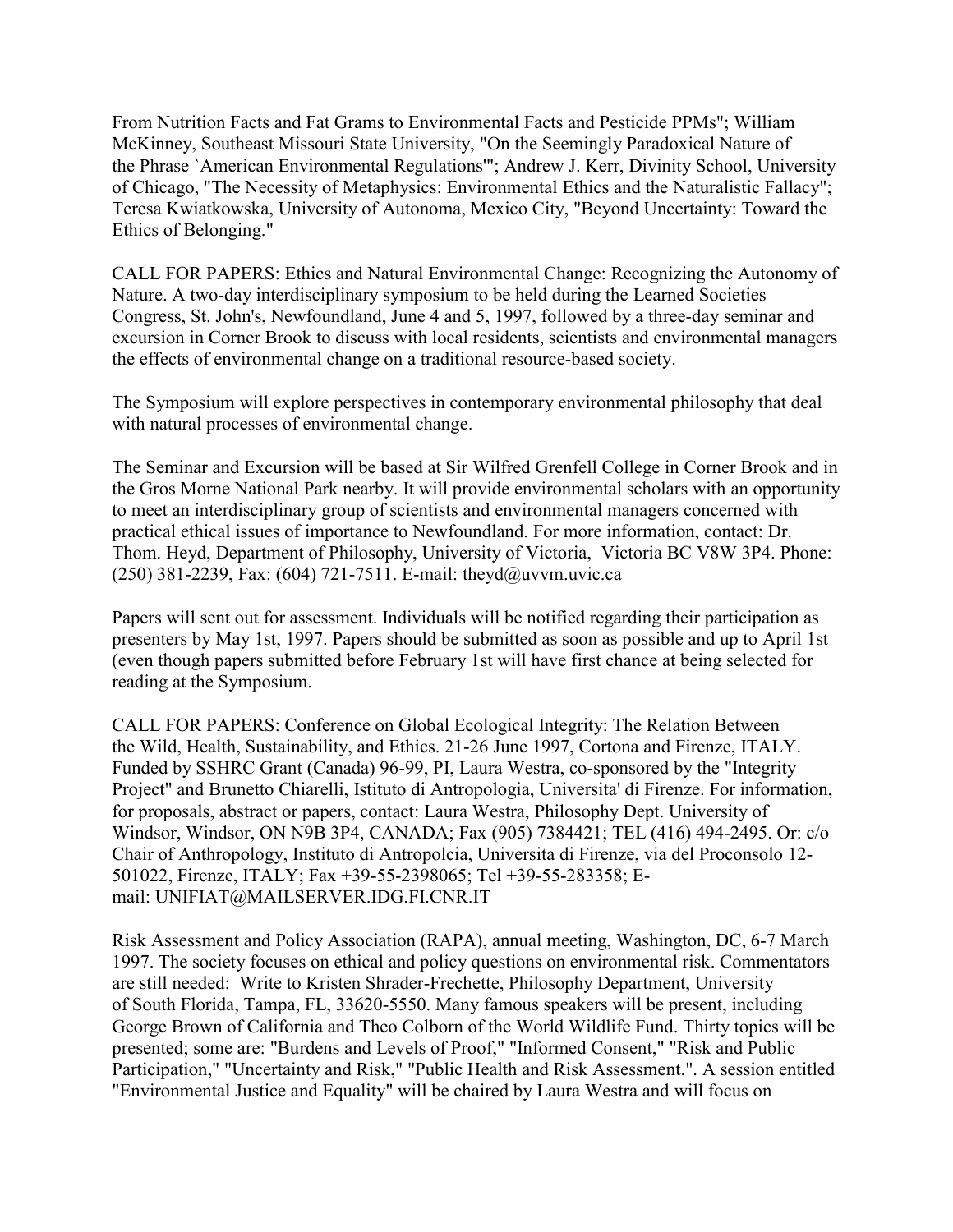From Nutrition Facts and Fat Grams to Environmental Facts and Pesticide PPMs"; William McKinney, Southeast Missouri State University, "On the Seemingly Paradoxical Nature of the Phrase `American Environmental Regulations'"; Andrew J. Kerr, Divinity School, University of Chicago, "The Necessity of Metaphysics: Environmental Ethics and the Naturalistic Fallacy"; Teresa Kwiatkowska, University of Autonoma, Mexico City, "Beyond Uncertainty: Toward the Ethics of Belonging."

CALL FOR PAPERS: Ethics and Natural Environmental Change: Recognizing the Autonomy of Nature. A two-day interdisciplinary symposium to be held during the Learned Societies Congress, St. John's, Newfoundland, June 4 and 5, 1997, followed by a three-day seminar and excursion in Corner Brook to discuss with local residents, scientists and environmental managers the effects of environmental change on a traditional resource-based society.

The Symposium will explore perspectives in contemporary environmental philosophy that deal with natural processes of environmental change.

The Seminar and Excursion will be based at Sir Wilfred Grenfell College in Corner Brook and in the Gros Morne National Park nearby. It will provide environmental scholars with an opportunity to meet an interdisciplinary group of scientists and environmental managers concerned with practical ethical issues of importance to Newfoundland. For more information, contact: Dr. Thom. Heyd, Department of Philosophy, University of Victoria, Victoria BC V8W 3P4. Phone: (250) 381-2239, Fax: (604) 721-7511. E-mail: theyd@uvvm.uvic.ca

Papers will sent out for assessment. Individuals will be notified regarding their participation as presenters by May 1st, 1997. Papers should be submitted as soon as possible and up to April 1st (even though papers submitted before February 1st will have first chance at being selected for reading at the Symposium.

CALL FOR PAPERS: Conference on Global Ecological Integrity: The Relation Between the Wild, Health, Sustainability, and Ethics. 21-26 June 1997, Cortona and Firenze, ITALY. Funded by SSHRC Grant (Canada) 96-99, PI, Laura Westra, co-sponsored by the "Integrity Project" and Brunetto Chiarelli, Istituto di Antropologia, Universita' di Firenze. For information, for proposals, abstract or papers, contact: Laura Westra, Philosophy Dept. University of Windsor, Windsor, ON N9B 3P4, CANADA; Fax (905) 7384421; TEL (416) 494-2495. Or: c/o Chair of Anthropology, Instituto di Antropolcia, Universita di Firenze, via del Proconsolo 12- 501022, Firenze, ITALY; Fax +39-55-2398065; Tel +39-55-283358; Email: UNIFIAT@MAILSERVER.IDG.FI.CNR.IT

Risk Assessment and Policy Association (RAPA), annual meeting, Washington, DC, 6-7 March 1997. The society focuses on ethical and policy questions on environmental risk. Commentators are still needed: Write to Kristen Shrader-Frechette, Philosophy Department, University of South Florida, Tampa, FL, 33620-5550. Many famous speakers will be present, including George Brown of California and Theo Colborn of the World Wildlife Fund. Thirty topics will be presented; some are: "Burdens and Levels of Proof," "Informed Consent," "Risk and Public Participation," "Uncertainty and Risk," "Public Health and Risk Assessment.". A session entitled "Environmental Justice and Equality" will be chaired by Laura Westra and will focus on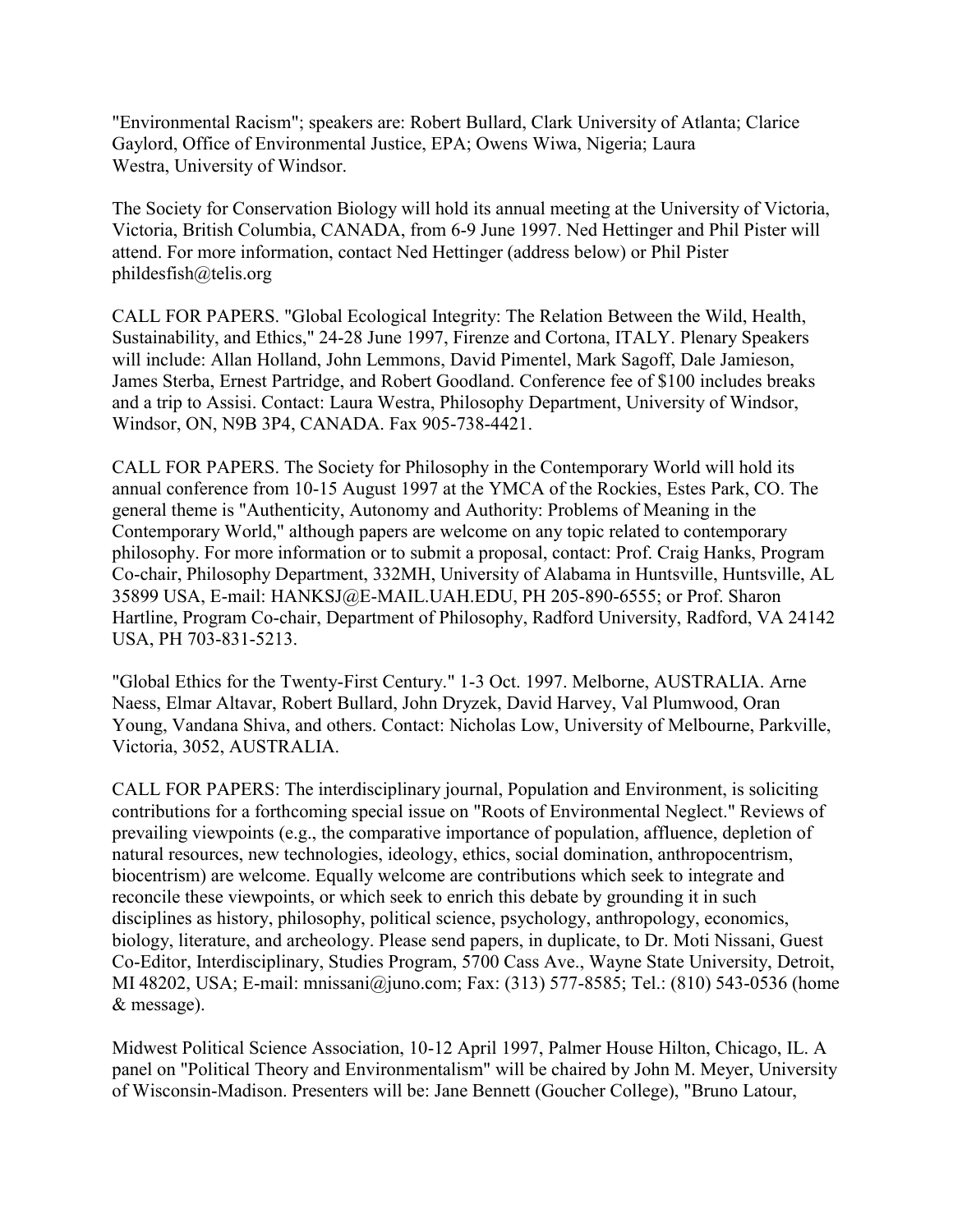"Environmental Racism"; speakers are: Robert Bullard, Clark University of Atlanta; Clarice Gaylord, Office of Environmental Justice, EPA; Owens Wiwa, Nigeria; Laura Westra, University of Windsor.

The Society for Conservation Biology will hold its annual meeting at the University of Victoria, Victoria, British Columbia, CANADA, from 6-9 June 1997. Ned Hettinger and Phil Pister will attend. For more information, contact Ned Hettinger (address below) or Phil Pister  $phildesfish@telis.org$ 

CALL FOR PAPERS. "Global Ecological Integrity: The Relation Between the Wild, Health, Sustainability, and Ethics," 24-28 June 1997, Firenze and Cortona, ITALY. Plenary Speakers will include: Allan Holland, John Lemmons, David Pimentel, Mark Sagoff, Dale Jamieson, James Sterba, Ernest Partridge, and Robert Goodland. Conference fee of \$100 includes breaks and a trip to Assisi. Contact: Laura Westra, Philosophy Department, University of Windsor, Windsor, ON, N9B 3P4, CANADA. Fax 905-738-4421.

CALL FOR PAPERS. The Society for Philosophy in the Contemporary World will hold its annual conference from 10-15 August 1997 at the YMCA of the Rockies, Estes Park, CO. The general theme is "Authenticity, Autonomy and Authority: Problems of Meaning in the Contemporary World," although papers are welcome on any topic related to contemporary philosophy. For more information or to submit a proposal, contact: Prof. Craig Hanks, Program Co-chair, Philosophy Department, 332MH, University of Alabama in Huntsville, Huntsville, AL 35899 USA, E-mail: HANKSJ@E-MAIL.UAH.EDU, PH 205-890-6555; or Prof. Sharon Hartline, Program Co-chair, Department of Philosophy, Radford University, Radford, VA 24142 USA, PH 703-831-5213.

"Global Ethics for the Twenty-First Century." 1-3 Oct. 1997. Melborne, AUSTRALIA. Arne Naess, Elmar Altavar, Robert Bullard, John Dryzek, David Harvey, Val Plumwood, Oran Young, Vandana Shiva, and others. Contact: Nicholas Low, University of Melbourne, Parkville, Victoria, 3052, AUSTRALIA.

CALL FOR PAPERS: The interdisciplinary journal, Population and Environment, is soliciting contributions for a forthcoming special issue on "Roots of Environmental Neglect." Reviews of prevailing viewpoints (e.g., the comparative importance of population, affluence, depletion of natural resources, new technologies, ideology, ethics, social domination, anthropocentrism, biocentrism) are welcome. Equally welcome are contributions which seek to integrate and reconcile these viewpoints, or which seek to enrich this debate by grounding it in such disciplines as history, philosophy, political science, psychology, anthropology, economics, biology, literature, and archeology. Please send papers, in duplicate, to Dr. Moti Nissani, Guest Co-Editor, Interdisciplinary, Studies Program, 5700 Cass Ave., Wayne State University, Detroit, MI 48202, USA; E-mail: mnissani@juno.com; Fax: (313) 577-8585; Tel.: (810) 543-0536 (home & message).

Midwest Political Science Association, 10-12 April 1997, Palmer House Hilton, Chicago, IL. A panel on "Political Theory and Environmentalism" will be chaired by John M. Meyer, University of Wisconsin-Madison. Presenters will be: Jane Bennett (Goucher College), "Bruno Latour,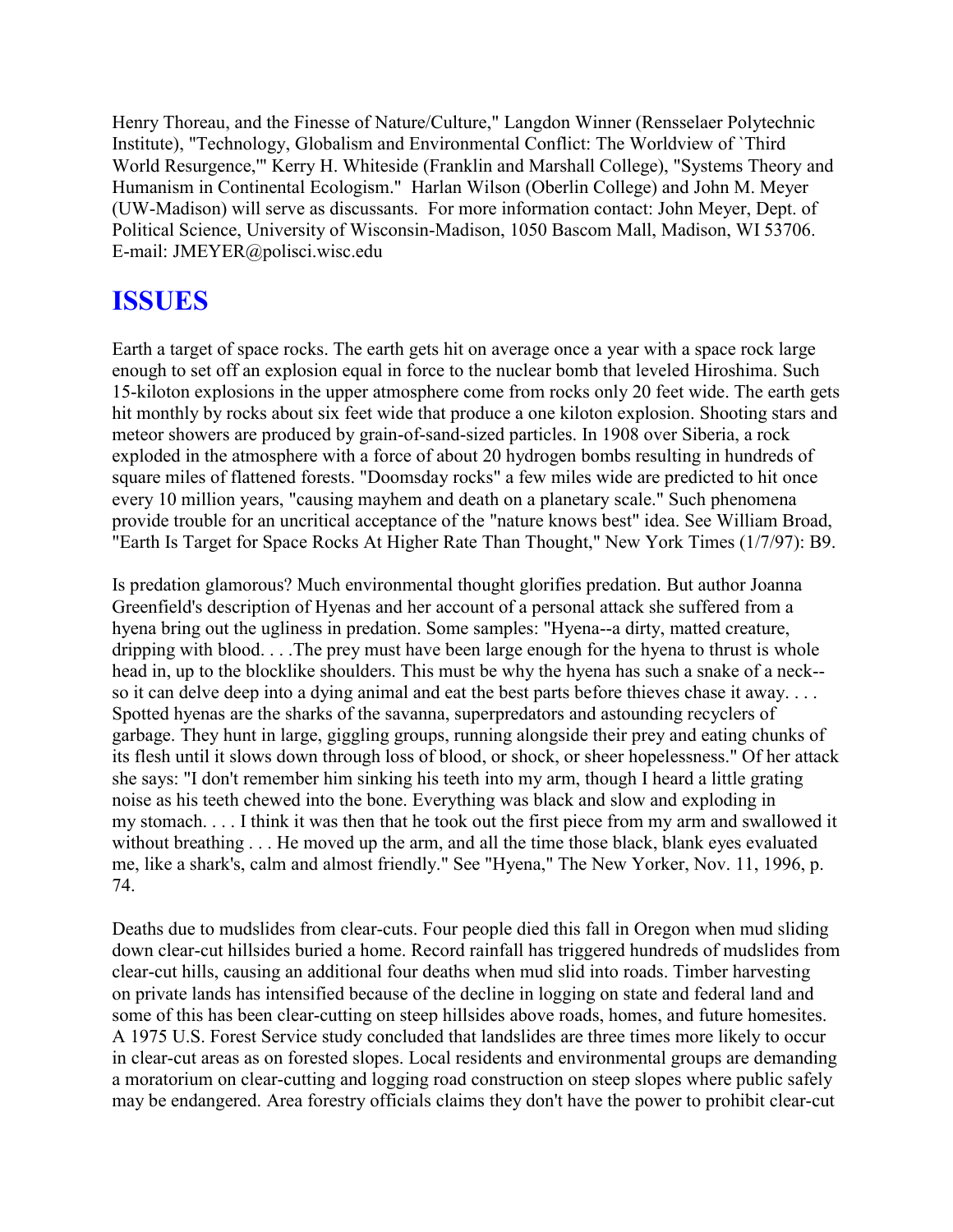Henry Thoreau, and the Finesse of Nature/Culture," Langdon Winner (Rensselaer Polytechnic Institute), "Technology, Globalism and Environmental Conflict: The Worldview of `Third World Resurgence,'" Kerry H. Whiteside (Franklin and Marshall College), "Systems Theory and Humanism in Continental Ecologism." Harlan Wilson (Oberlin College) and John M. Meyer (UW-Madison) will serve as discussants. For more information contact: John Meyer, Dept. of Political Science, University of Wisconsin-Madison, 1050 Bascom Mall, Madison, WI 53706. E-mail: JMEYER@polisci.wisc.edu

# **ISSUES**

Earth a target of space rocks. The earth gets hit on average once a year with a space rock large enough to set off an explosion equal in force to the nuclear bomb that leveled Hiroshima. Such 15-kiloton explosions in the upper atmosphere come from rocks only 20 feet wide. The earth gets hit monthly by rocks about six feet wide that produce a one kiloton explosion. Shooting stars and meteor showers are produced by grain-of-sand-sized particles. In 1908 over Siberia, a rock exploded in the atmosphere with a force of about 20 hydrogen bombs resulting in hundreds of square miles of flattened forests. "Doomsday rocks" a few miles wide are predicted to hit once every 10 million years, "causing mayhem and death on a planetary scale." Such phenomena provide trouble for an uncritical acceptance of the "nature knows best" idea. See William Broad, "Earth Is Target for Space Rocks At Higher Rate Than Thought," New York Times (1/7/97): B9.

Is predation glamorous? Much environmental thought glorifies predation. But author Joanna Greenfield's description of Hyenas and her account of a personal attack she suffered from a hyena bring out the ugliness in predation. Some samples: "Hyena--a dirty, matted creature, dripping with blood. . . .The prey must have been large enough for the hyena to thrust is whole head in, up to the blocklike shoulders. This must be why the hyena has such a snake of a neck- so it can delve deep into a dying animal and eat the best parts before thieves chase it away. . . . Spotted hyenas are the sharks of the savanna, superpredators and astounding recyclers of garbage. They hunt in large, giggling groups, running alongside their prey and eating chunks of its flesh until it slows down through loss of blood, or shock, or sheer hopelessness." Of her attack she says: "I don't remember him sinking his teeth into my arm, though I heard a little grating noise as his teeth chewed into the bone. Everything was black and slow and exploding in my stomach. . . . I think it was then that he took out the first piece from my arm and swallowed it without breathing . . . He moved up the arm, and all the time those black, blank eyes evaluated me, like a shark's, calm and almost friendly." See "Hyena," The New Yorker, Nov. 11, 1996, p. 74.

Deaths due to mudslides from clear-cuts. Four people died this fall in Oregon when mud sliding down clear-cut hillsides buried a home. Record rainfall has triggered hundreds of mudslides from clear-cut hills, causing an additional four deaths when mud slid into roads. Timber harvesting on private lands has intensified because of the decline in logging on state and federal land and some of this has been clear-cutting on steep hillsides above roads, homes, and future homesites. A 1975 U.S. Forest Service study concluded that landslides are three times more likely to occur in clear-cut areas as on forested slopes. Local residents and environmental groups are demanding a moratorium on clear-cutting and logging road construction on steep slopes where public safely may be endangered. Area forestry officials claims they don't have the power to prohibit clear-cut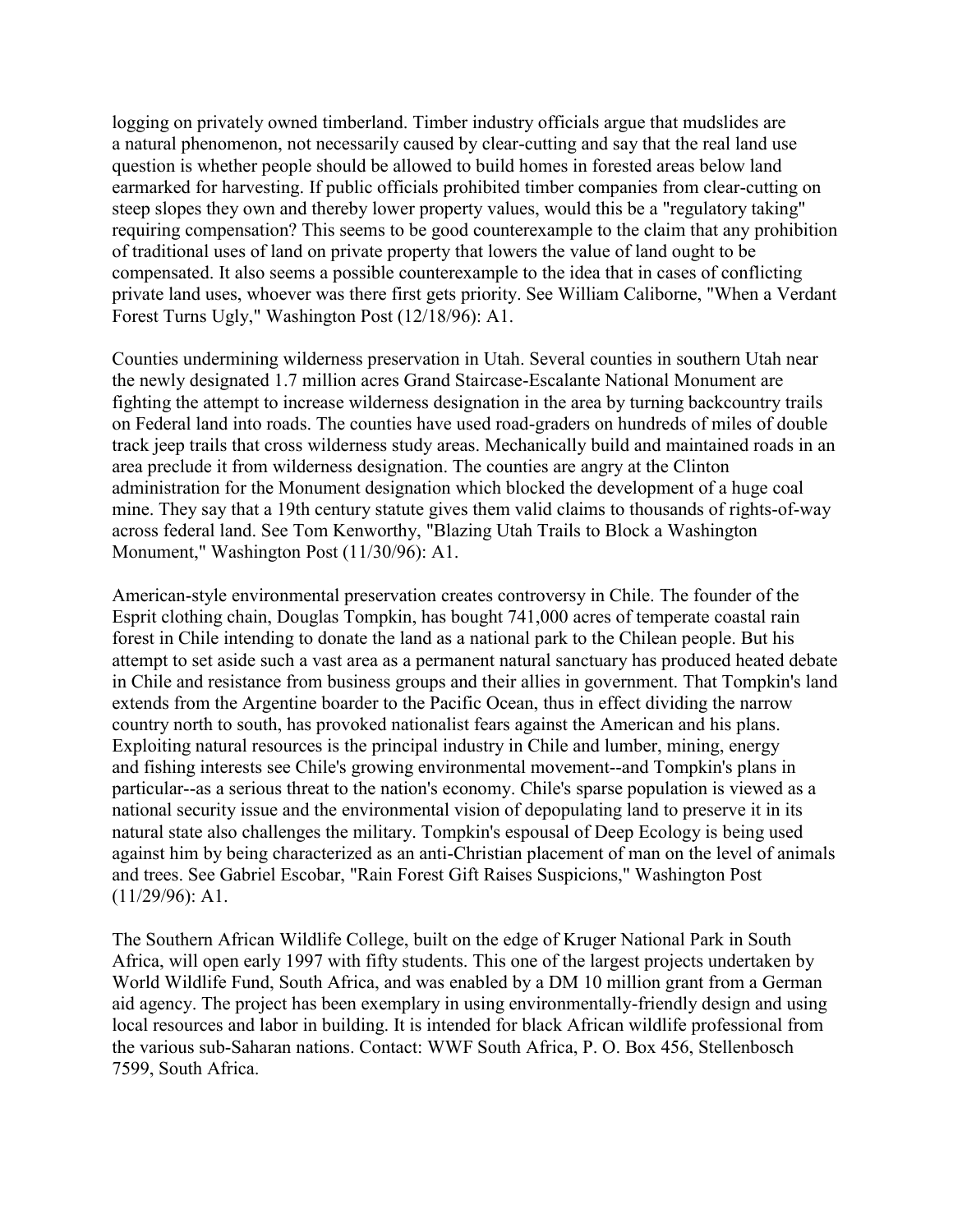logging on privately owned timberland. Timber industry officials argue that mudslides are a natural phenomenon, not necessarily caused by clear-cutting and say that the real land use question is whether people should be allowed to build homes in forested areas below land earmarked for harvesting. If public officials prohibited timber companies from clear-cutting on steep slopes they own and thereby lower property values, would this be a "regulatory taking" requiring compensation? This seems to be good counterexample to the claim that any prohibition of traditional uses of land on private property that lowers the value of land ought to be compensated. It also seems a possible counterexample to the idea that in cases of conflicting private land uses, whoever was there first gets priority. See William Caliborne, "When a Verdant Forest Turns Ugly," Washington Post (12/18/96): A1.

Counties undermining wilderness preservation in Utah. Several counties in southern Utah near the newly designated 1.7 million acres Grand Staircase-Escalante National Monument are fighting the attempt to increase wilderness designation in the area by turning backcountry trails on Federal land into roads. The counties have used road-graders on hundreds of miles of double track jeep trails that cross wilderness study areas. Mechanically build and maintained roads in an area preclude it from wilderness designation. The counties are angry at the Clinton administration for the Monument designation which blocked the development of a huge coal mine. They say that a 19th century statute gives them valid claims to thousands of rights-of-way across federal land. See Tom Kenworthy, "Blazing Utah Trails to Block a Washington Monument," Washington Post (11/30/96): A1.

American-style environmental preservation creates controversy in Chile. The founder of the Esprit clothing chain, Douglas Tompkin, has bought 741,000 acres of temperate coastal rain forest in Chile intending to donate the land as a national park to the Chilean people. But his attempt to set aside such a vast area as a permanent natural sanctuary has produced heated debate in Chile and resistance from business groups and their allies in government. That Tompkin's land extends from the Argentine boarder to the Pacific Ocean, thus in effect dividing the narrow country north to south, has provoked nationalist fears against the American and his plans. Exploiting natural resources is the principal industry in Chile and lumber, mining, energy and fishing interests see Chile's growing environmental movement--and Tompkin's plans in particular--as a serious threat to the nation's economy. Chile's sparse population is viewed as a national security issue and the environmental vision of depopulating land to preserve it in its natural state also challenges the military. Tompkin's espousal of Deep Ecology is being used against him by being characterized as an anti-Christian placement of man on the level of animals and trees. See Gabriel Escobar, "Rain Forest Gift Raises Suspicions," Washington Post (11/29/96): A1.

The Southern African Wildlife College, built on the edge of Kruger National Park in South Africa, will open early 1997 with fifty students. This one of the largest projects undertaken by World Wildlife Fund, South Africa, and was enabled by a DM 10 million grant from a German aid agency. The project has been exemplary in using environmentally-friendly design and using local resources and labor in building. It is intended for black African wildlife professional from the various sub-Saharan nations. Contact: WWF South Africa, P. O. Box 456, Stellenbosch 7599, South Africa.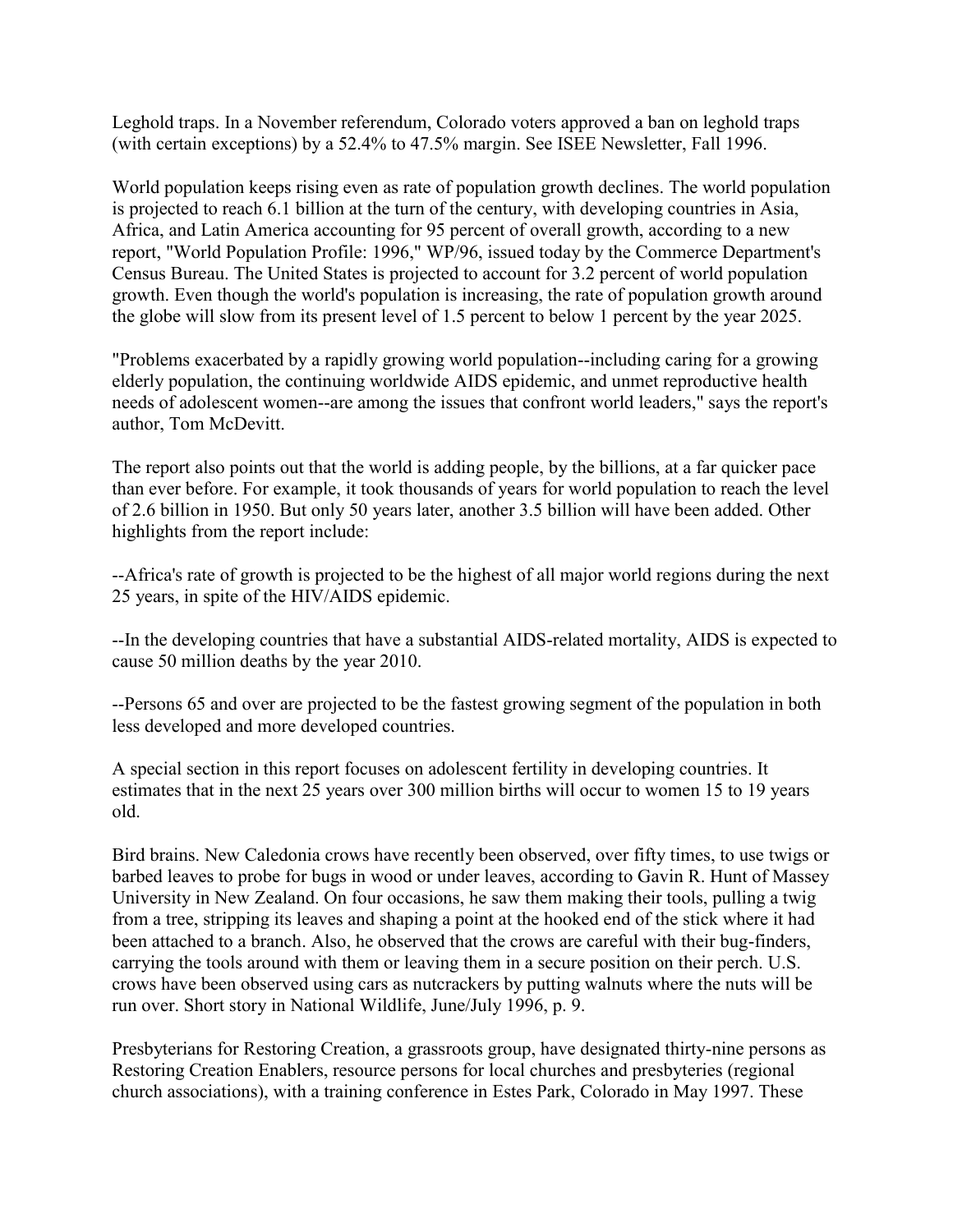Leghold traps. In a November referendum, Colorado voters approved a ban on leghold traps (with certain exceptions) by a 52.4% to 47.5% margin. See ISEE Newsletter, Fall 1996.

World population keeps rising even as rate of population growth declines. The world population is projected to reach 6.1 billion at the turn of the century, with developing countries in Asia, Africa, and Latin America accounting for 95 percent of overall growth, according to a new report, "World Population Profile: 1996," WP/96, issued today by the Commerce Department's Census Bureau. The United States is projected to account for 3.2 percent of world population growth. Even though the world's population is increasing, the rate of population growth around the globe will slow from its present level of 1.5 percent to below 1 percent by the year 2025.

"Problems exacerbated by a rapidly growing world population--including caring for a growing elderly population, the continuing worldwide AIDS epidemic, and unmet reproductive health needs of adolescent women--are among the issues that confront world leaders," says the report's author, Tom McDevitt.

The report also points out that the world is adding people, by the billions, at a far quicker pace than ever before. For example, it took thousands of years for world population to reach the level of 2.6 billion in 1950. But only 50 years later, another 3.5 billion will have been added. Other highlights from the report include:

--Africa's rate of growth is projected to be the highest of all major world regions during the next 25 years, in spite of the HIV/AIDS epidemic.

--In the developing countries that have a substantial AIDS-related mortality, AIDS is expected to cause 50 million deaths by the year 2010.

--Persons 65 and over are projected to be the fastest growing segment of the population in both less developed and more developed countries.

A special section in this report focuses on adolescent fertility in developing countries. It estimates that in the next 25 years over 300 million births will occur to women 15 to 19 years old.

Bird brains. New Caledonia crows have recently been observed, over fifty times, to use twigs or barbed leaves to probe for bugs in wood or under leaves, according to Gavin R. Hunt of Massey University in New Zealand. On four occasions, he saw them making their tools, pulling a twig from a tree, stripping its leaves and shaping a point at the hooked end of the stick where it had been attached to a branch. Also, he observed that the crows are careful with their bug-finders, carrying the tools around with them or leaving them in a secure position on their perch. U.S. crows have been observed using cars as nutcrackers by putting walnuts where the nuts will be run over. Short story in National Wildlife, June/July 1996, p. 9.

Presbyterians for Restoring Creation, a grassroots group, have designated thirty-nine persons as Restoring Creation Enablers, resource persons for local churches and presbyteries (regional church associations), with a training conference in Estes Park, Colorado in May 1997. These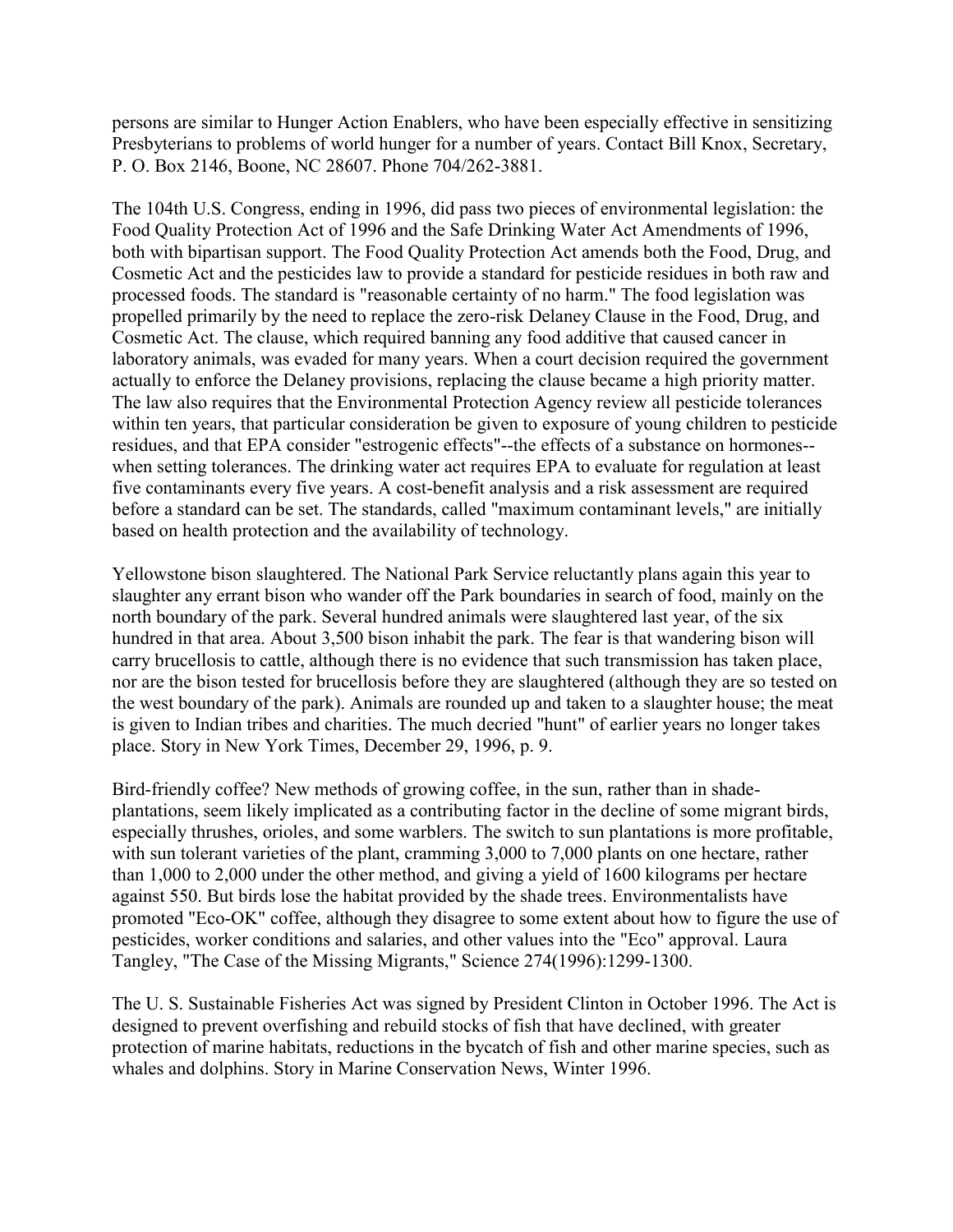persons are similar to Hunger Action Enablers, who have been especially effective in sensitizing Presbyterians to problems of world hunger for a number of years. Contact Bill Knox, Secretary, P. O. Box 2146, Boone, NC 28607. Phone 704/262-3881.

The 104th U.S. Congress, ending in 1996, did pass two pieces of environmental legislation: the Food Quality Protection Act of 1996 and the Safe Drinking Water Act Amendments of 1996, both with bipartisan support. The Food Quality Protection Act amends both the Food, Drug, and Cosmetic Act and the pesticides law to provide a standard for pesticide residues in both raw and processed foods. The standard is "reasonable certainty of no harm." The food legislation was propelled primarily by the need to replace the zero-risk Delaney Clause in the Food, Drug, and Cosmetic Act. The clause, which required banning any food additive that caused cancer in laboratory animals, was evaded for many years. When a court decision required the government actually to enforce the Delaney provisions, replacing the clause became a high priority matter. The law also requires that the Environmental Protection Agency review all pesticide tolerances within ten years, that particular consideration be given to exposure of young children to pesticide residues, and that EPA consider "estrogenic effects"--the effects of a substance on hormones- when setting tolerances. The drinking water act requires EPA to evaluate for regulation at least five contaminants every five years. A cost-benefit analysis and a risk assessment are required before a standard can be set. The standards, called "maximum contaminant levels," are initially based on health protection and the availability of technology.

Yellowstone bison slaughtered. The National Park Service reluctantly plans again this year to slaughter any errant bison who wander off the Park boundaries in search of food, mainly on the north boundary of the park. Several hundred animals were slaughtered last year, of the six hundred in that area. About 3,500 bison inhabit the park. The fear is that wandering bison will carry brucellosis to cattle, although there is no evidence that such transmission has taken place, nor are the bison tested for brucellosis before they are slaughtered (although they are so tested on the west boundary of the park). Animals are rounded up and taken to a slaughter house; the meat is given to Indian tribes and charities. The much decried "hunt" of earlier years no longer takes place. Story in New York Times, December 29, 1996, p. 9.

Bird-friendly coffee? New methods of growing coffee, in the sun, rather than in shadeplantations, seem likely implicated as a contributing factor in the decline of some migrant birds, especially thrushes, orioles, and some warblers. The switch to sun plantations is more profitable, with sun tolerant varieties of the plant, cramming 3,000 to 7,000 plants on one hectare, rather than 1,000 to 2,000 under the other method, and giving a yield of 1600 kilograms per hectare against 550. But birds lose the habitat provided by the shade trees. Environmentalists have promoted "Eco-OK" coffee, although they disagree to some extent about how to figure the use of pesticides, worker conditions and salaries, and other values into the "Eco" approval. Laura Tangley, "The Case of the Missing Migrants," Science 274(1996):1299-1300.

The U. S. Sustainable Fisheries Act was signed by President Clinton in October 1996. The Act is designed to prevent overfishing and rebuild stocks of fish that have declined, with greater protection of marine habitats, reductions in the bycatch of fish and other marine species, such as whales and dolphins. Story in Marine Conservation News, Winter 1996.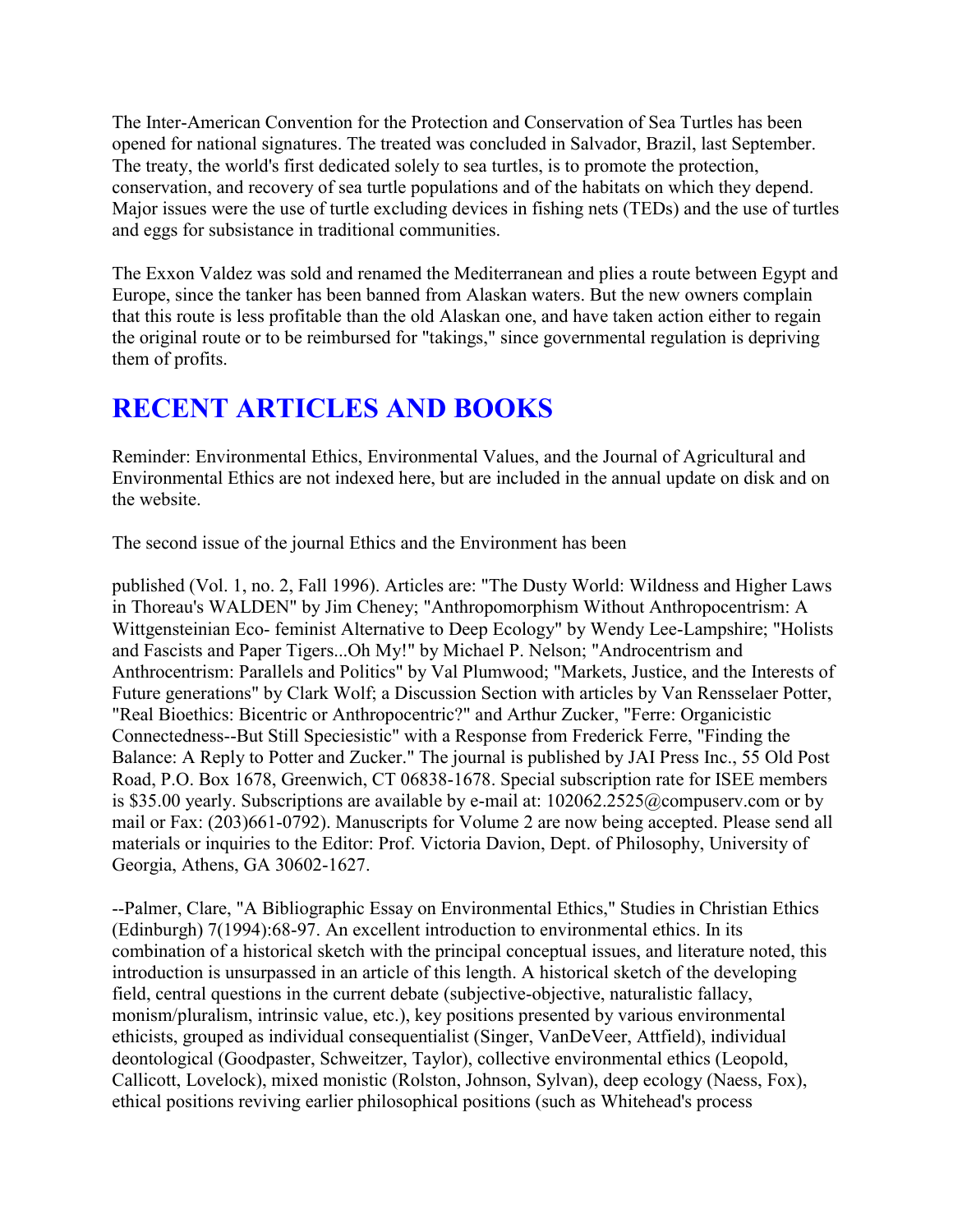The Inter-American Convention for the Protection and Conservation of Sea Turtles has been opened for national signatures. The treated was concluded in Salvador, Brazil, last September. The treaty, the world's first dedicated solely to sea turtles, is to promote the protection, conservation, and recovery of sea turtle populations and of the habitats on which they depend. Major issues were the use of turtle excluding devices in fishing nets (TEDs) and the use of turtles and eggs for subsistance in traditional communities.

The Exxon Valdez was sold and renamed the Mediterranean and plies a route between Egypt and Europe, since the tanker has been banned from Alaskan waters. But the new owners complain that this route is less profitable than the old Alaskan one, and have taken action either to regain the original route or to be reimbursed for "takings," since governmental regulation is depriving them of profits.

# **RECENT ARTICLES AND BOOKS**

Reminder: Environmental Ethics, Environmental Values, and the Journal of Agricultural and Environmental Ethics are not indexed here, but are included in the annual update on disk and on the website.

The second issue of the journal Ethics and the Environment has been

published (Vol. 1, no. 2, Fall 1996). Articles are: "The Dusty World: Wildness and Higher Laws in Thoreau's WALDEN" by Jim Cheney; "Anthropomorphism Without Anthropocentrism: A Wittgensteinian Eco- feminist Alternative to Deep Ecology" by Wendy Lee-Lampshire; "Holists and Fascists and Paper Tigers...Oh My!" by Michael P. Nelson; "Androcentrism and Anthrocentrism: Parallels and Politics" by Val Plumwood; "Markets, Justice, and the Interests of Future generations" by Clark Wolf; a Discussion Section with articles by Van Rensselaer Potter, "Real Bioethics: Bicentric or Anthropocentric?" and Arthur Zucker, "Ferre: Organicistic Connectedness--But Still Speciesistic" with a Response from Frederick Ferre, "Finding the Balance: A Reply to Potter and Zucker." The journal is published by JAI Press Inc., 55 Old Post Road, P.O. Box 1678, Greenwich, CT 06838-1678. Special subscription rate for ISEE members is \$35.00 yearly. Subscriptions are available by e-mail at: 102062.2525@compuserv.com or by mail or Fax: (203)661-0792). Manuscripts for Volume 2 are now being accepted. Please send all materials or inquiries to the Editor: Prof. Victoria Davion, Dept. of Philosophy, University of Georgia, Athens, GA 30602-1627.

--Palmer, Clare, "A Bibliographic Essay on Environmental Ethics," Studies in Christian Ethics (Edinburgh) 7(1994):68-97. An excellent introduction to environmental ethics. In its combination of a historical sketch with the principal conceptual issues, and literature noted, this introduction is unsurpassed in an article of this length. A historical sketch of the developing field, central questions in the current debate (subjective-objective, naturalistic fallacy, monism/pluralism, intrinsic value, etc.), key positions presented by various environmental ethicists, grouped as individual consequentialist (Singer, VanDeVeer, Attfield), individual deontological (Goodpaster, Schweitzer, Taylor), collective environmental ethics (Leopold, Callicott, Lovelock), mixed monistic (Rolston, Johnson, Sylvan), deep ecology (Naess, Fox), ethical positions reviving earlier philosophical positions (such as Whitehead's process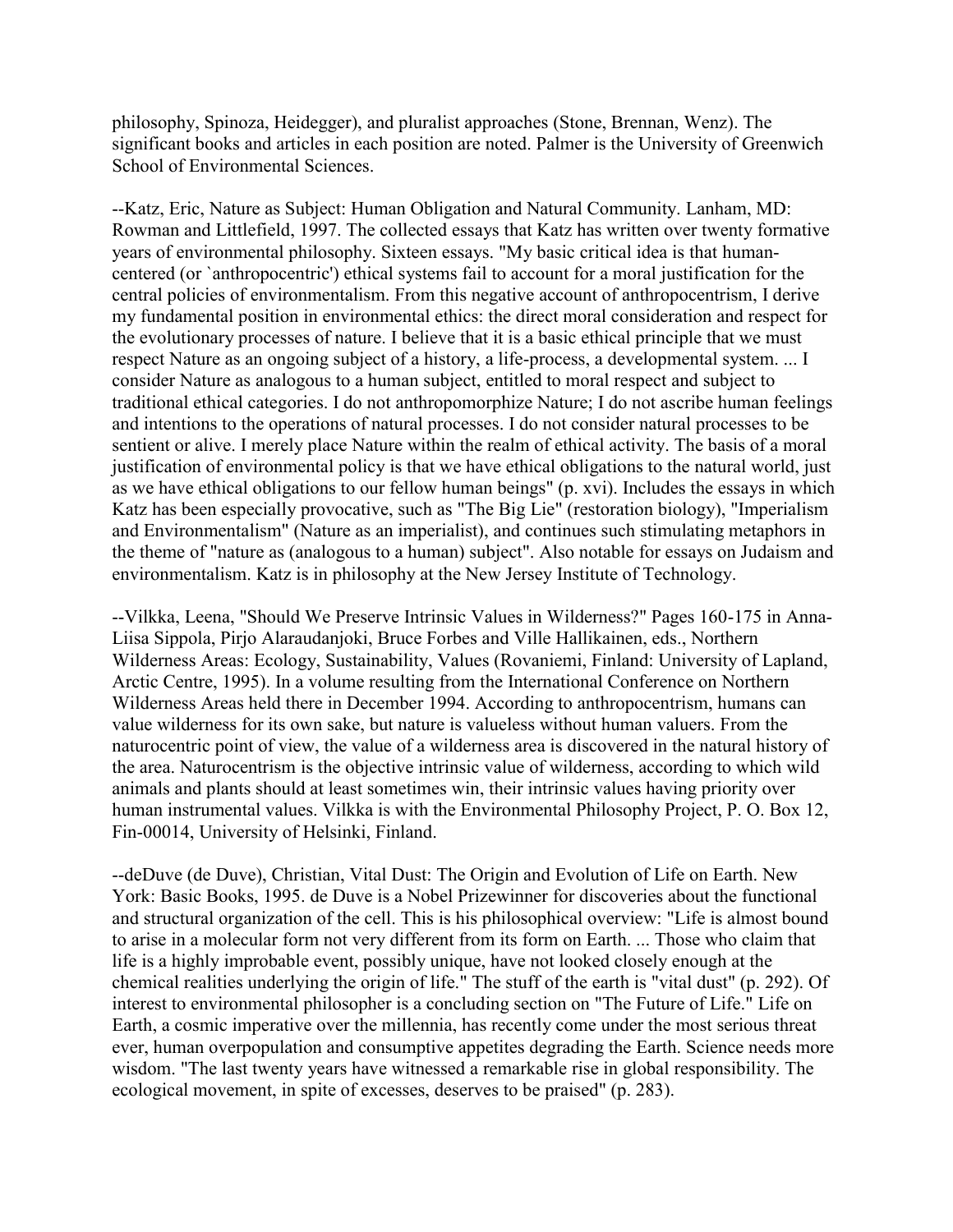philosophy, Spinoza, Heidegger), and pluralist approaches (Stone, Brennan, Wenz). The significant books and articles in each position are noted. Palmer is the University of Greenwich School of Environmental Sciences.

--Katz, Eric, Nature as Subject: Human Obligation and Natural Community. Lanham, MD: Rowman and Littlefield, 1997. The collected essays that Katz has written over twenty formative years of environmental philosophy. Sixteen essays. "My basic critical idea is that humancentered (or `anthropocentric') ethical systems fail to account for a moral justification for the central policies of environmentalism. From this negative account of anthropocentrism, I derive my fundamental position in environmental ethics: the direct moral consideration and respect for the evolutionary processes of nature. I believe that it is a basic ethical principle that we must respect Nature as an ongoing subject of a history, a life-process, a developmental system. ... I consider Nature as analogous to a human subject, entitled to moral respect and subject to traditional ethical categories. I do not anthropomorphize Nature; I do not ascribe human feelings and intentions to the operations of natural processes. I do not consider natural processes to be sentient or alive. I merely place Nature within the realm of ethical activity. The basis of a moral justification of environmental policy is that we have ethical obligations to the natural world, just as we have ethical obligations to our fellow human beings" (p. xvi). Includes the essays in which Katz has been especially provocative, such as "The Big Lie" (restoration biology), "Imperialism and Environmentalism" (Nature as an imperialist), and continues such stimulating metaphors in the theme of "nature as (analogous to a human) subject". Also notable for essays on Judaism and environmentalism. Katz is in philosophy at the New Jersey Institute of Technology.

--Vilkka, Leena, "Should We Preserve Intrinsic Values in Wilderness?" Pages 160-175 in Anna-Liisa Sippola, Pirjo Alaraudanjoki, Bruce Forbes and Ville Hallikainen, eds., Northern Wilderness Areas: Ecology, Sustainability, Values (Rovaniemi, Finland: University of Lapland, Arctic Centre, 1995). In a volume resulting from the International Conference on Northern Wilderness Areas held there in December 1994. According to anthropocentrism, humans can value wilderness for its own sake, but nature is valueless without human valuers. From the naturocentric point of view, the value of a wilderness area is discovered in the natural history of the area. Naturocentrism is the objective intrinsic value of wilderness, according to which wild animals and plants should at least sometimes win, their intrinsic values having priority over human instrumental values. Vilkka is with the Environmental Philosophy Project, P. O. Box 12, Fin-00014, University of Helsinki, Finland.

--deDuve (de Duve), Christian, Vital Dust: The Origin and Evolution of Life on Earth. New York: Basic Books, 1995. de Duve is a Nobel Prizewinner for discoveries about the functional and structural organization of the cell. This is his philosophical overview: "Life is almost bound to arise in a molecular form not very different from its form on Earth. ... Those who claim that life is a highly improbable event, possibly unique, have not looked closely enough at the chemical realities underlying the origin of life." The stuff of the earth is "vital dust" (p. 292). Of interest to environmental philosopher is a concluding section on "The Future of Life." Life on Earth, a cosmic imperative over the millennia, has recently come under the most serious threat ever, human overpopulation and consumptive appetites degrading the Earth. Science needs more wisdom. "The last twenty years have witnessed a remarkable rise in global responsibility. The ecological movement, in spite of excesses, deserves to be praised" (p. 283).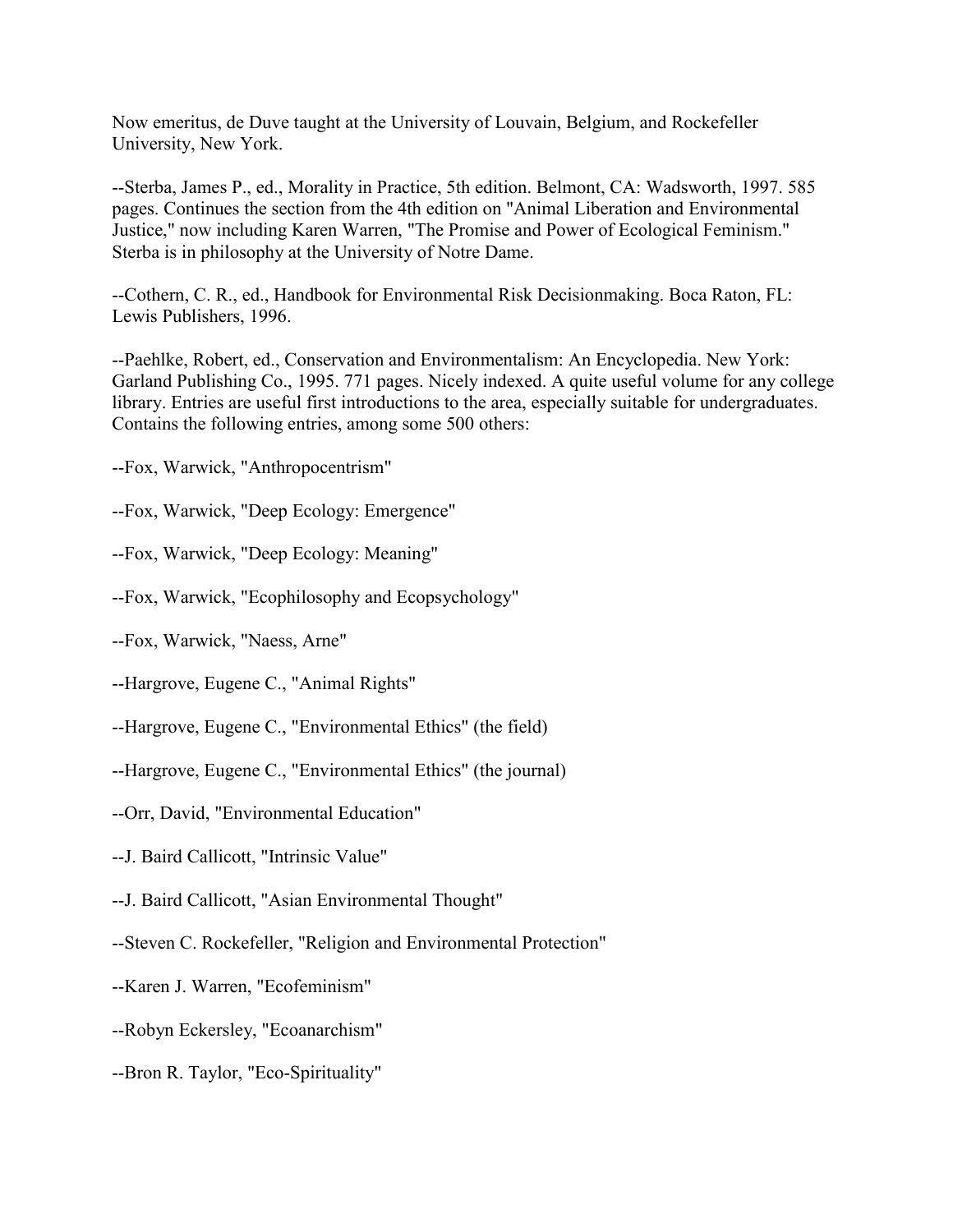Now emeritus, de Duve taught at the University of Louvain, Belgium, and Rockefeller University, New York.

--Sterba, James P., ed., Morality in Practice, 5th edition. Belmont, CA: Wadsworth, 1997. 585 pages. Continues the section from the 4th edition on "Animal Liberation and Environmental Justice," now including Karen Warren, "The Promise and Power of Ecological Feminism." Sterba is in philosophy at the University of Notre Dame.

--Cothern, C. R., ed., Handbook for Environmental Risk Decisionmaking. Boca Raton, FL: Lewis Publishers, 1996.

--Paehlke, Robert, ed., Conservation and Environmentalism: An Encyclopedia. New York: Garland Publishing Co., 1995. 771 pages. Nicely indexed. A quite useful volume for any college library. Entries are useful first introductions to the area, especially suitable for undergraduates. Contains the following entries, among some 500 others:

--Fox, Warwick, "Anthropocentrism"

--Fox, Warwick, "Deep Ecology: Emergence"

--Fox, Warwick, "Deep Ecology: Meaning"

--Fox, Warwick, "Ecophilosophy and Ecopsychology"

--Fox, Warwick, "Naess, Arne"

--Hargrove, Eugene C., "Animal Rights"

--Hargrove, Eugene C., "Environmental Ethics" (the field)

--Hargrove, Eugene C., "Environmental Ethics" (the journal)

--Orr, David, "Environmental Education"

--J. Baird Callicott, "Intrinsic Value"

--J. Baird Callicott, "Asian Environmental Thought"

--Steven C. Rockefeller, "Religion and Environmental Protection"

--Karen J. Warren, "Ecofeminism"

--Robyn Eckersley, "Ecoanarchism"

--Bron R. Taylor, "Eco-Spirituality"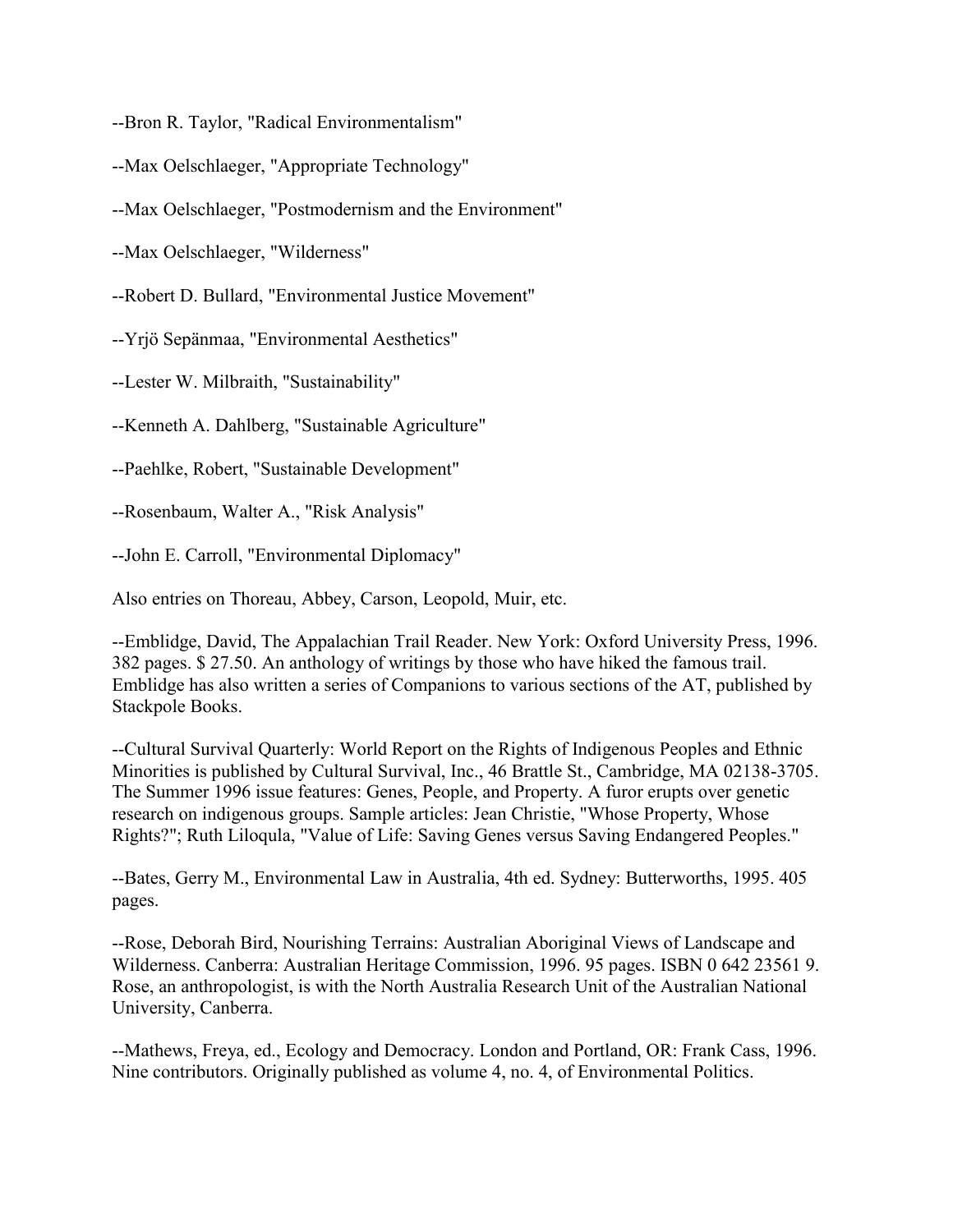--Bron R. Taylor, "Radical Environmentalism"

--Max Oelschlaeger, "Appropriate Technology"

--Max Oelschlaeger, "Postmodernism and the Environment"

--Max Oelschlaeger, "Wilderness"

--Robert D. Bullard, "Environmental Justice Movement"

--Yrjö Sepänmaa, "Environmental Aesthetics"

--Lester W. Milbraith, "Sustainability"

--Kenneth A. Dahlberg, "Sustainable Agriculture"

--Paehlke, Robert, "Sustainable Development"

--Rosenbaum, Walter A., "Risk Analysis"

--John E. Carroll, "Environmental Diplomacy"

Also entries on Thoreau, Abbey, Carson, Leopold, Muir, etc.

--Emblidge, David, The Appalachian Trail Reader. New York: Oxford University Press, 1996. 382 pages. \$ 27.50. An anthology of writings by those who have hiked the famous trail. Emblidge has also written a series of Companions to various sections of the AT, published by Stackpole Books.

--Cultural Survival Quarterly: World Report on the Rights of Indigenous Peoples and Ethnic Minorities is published by Cultural Survival, Inc., 46 Brattle St., Cambridge, MA 02138-3705. The Summer 1996 issue features: Genes, People, and Property. A furor erupts over genetic research on indigenous groups. Sample articles: Jean Christie, "Whose Property, Whose Rights?"; Ruth Liloqula, "Value of Life: Saving Genes versus Saving Endangered Peoples."

--Bates, Gerry M., Environmental Law in Australia, 4th ed. Sydney: Butterworths, 1995. 405 pages.

--Rose, Deborah Bird, Nourishing Terrains: Australian Aboriginal Views of Landscape and Wilderness. Canberra: Australian Heritage Commission, 1996. 95 pages. ISBN 0 642 23561 9. Rose, an anthropologist, is with the North Australia Research Unit of the Australian National University, Canberra.

--Mathews, Freya, ed., Ecology and Democracy. London and Portland, OR: Frank Cass, 1996. Nine contributors. Originally published as volume 4, no. 4, of Environmental Politics.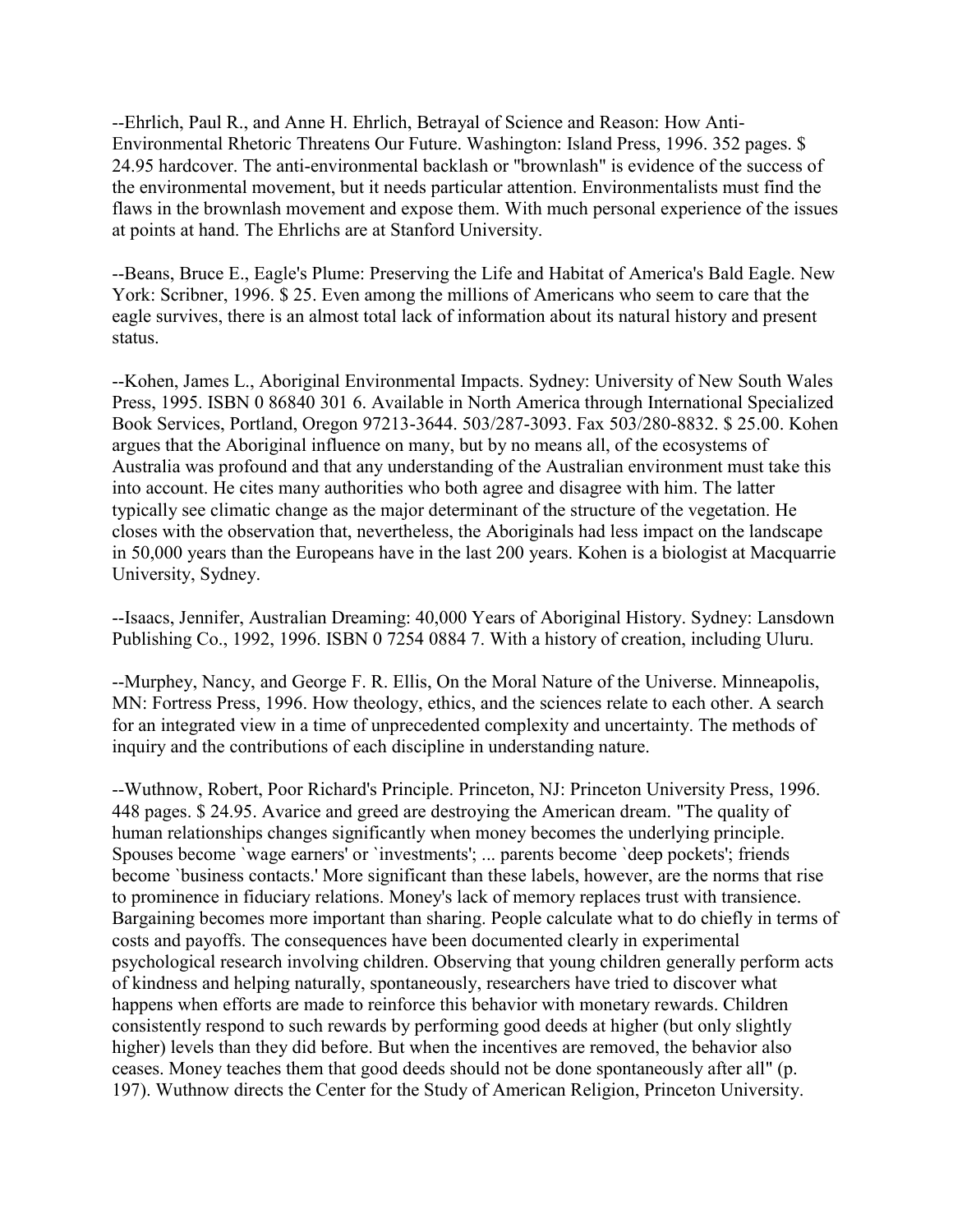--Ehrlich, Paul R., and Anne H. Ehrlich, Betrayal of Science and Reason: How Anti-Environmental Rhetoric Threatens Our Future. Washington: Island Press, 1996. 352 pages. \$ 24.95 hardcover. The anti-environmental backlash or "brownlash" is evidence of the success of the environmental movement, but it needs particular attention. Environmentalists must find the flaws in the brownlash movement and expose them. With much personal experience of the issues at points at hand. The Ehrlichs are at Stanford University.

--Beans, Bruce E., Eagle's Plume: Preserving the Life and Habitat of America's Bald Eagle. New York: Scribner, 1996. \$ 25. Even among the millions of Americans who seem to care that the eagle survives, there is an almost total lack of information about its natural history and present status.

--Kohen, James L., Aboriginal Environmental Impacts. Sydney: University of New South Wales Press, 1995. ISBN 0 86840 301 6. Available in North America through International Specialized Book Services, Portland, Oregon 97213-3644. 503/287-3093. Fax 503/280-8832. \$ 25.00. Kohen argues that the Aboriginal influence on many, but by no means all, of the ecosystems of Australia was profound and that any understanding of the Australian environment must take this into account. He cites many authorities who both agree and disagree with him. The latter typically see climatic change as the major determinant of the structure of the vegetation. He closes with the observation that, nevertheless, the Aboriginals had less impact on the landscape in 50,000 years than the Europeans have in the last 200 years. Kohen is a biologist at Macquarrie University, Sydney.

--Isaacs, Jennifer, Australian Dreaming: 40,000 Years of Aboriginal History. Sydney: Lansdown Publishing Co., 1992, 1996. ISBN 0 7254 0884 7. With a history of creation, including Uluru.

--Murphey, Nancy, and George F. R. Ellis, On the Moral Nature of the Universe. Minneapolis, MN: Fortress Press, 1996. How theology, ethics, and the sciences relate to each other. A search for an integrated view in a time of unprecedented complexity and uncertainty. The methods of inquiry and the contributions of each discipline in understanding nature.

--Wuthnow, Robert, Poor Richard's Principle. Princeton, NJ: Princeton University Press, 1996. 448 pages. \$ 24.95. Avarice and greed are destroying the American dream. "The quality of human relationships changes significantly when money becomes the underlying principle. Spouses become `wage earners' or `investments'; ... parents become `deep pockets'; friends become `business contacts.' More significant than these labels, however, are the norms that rise to prominence in fiduciary relations. Money's lack of memory replaces trust with transience. Bargaining becomes more important than sharing. People calculate what to do chiefly in terms of costs and payoffs. The consequences have been documented clearly in experimental psychological research involving children. Observing that young children generally perform acts of kindness and helping naturally, spontaneously, researchers have tried to discover what happens when efforts are made to reinforce this behavior with monetary rewards. Children consistently respond to such rewards by performing good deeds at higher (but only slightly higher) levels than they did before. But when the incentives are removed, the behavior also ceases. Money teaches them that good deeds should not be done spontaneously after all" (p. 197). Wuthnow directs the Center for the Study of American Religion, Princeton University.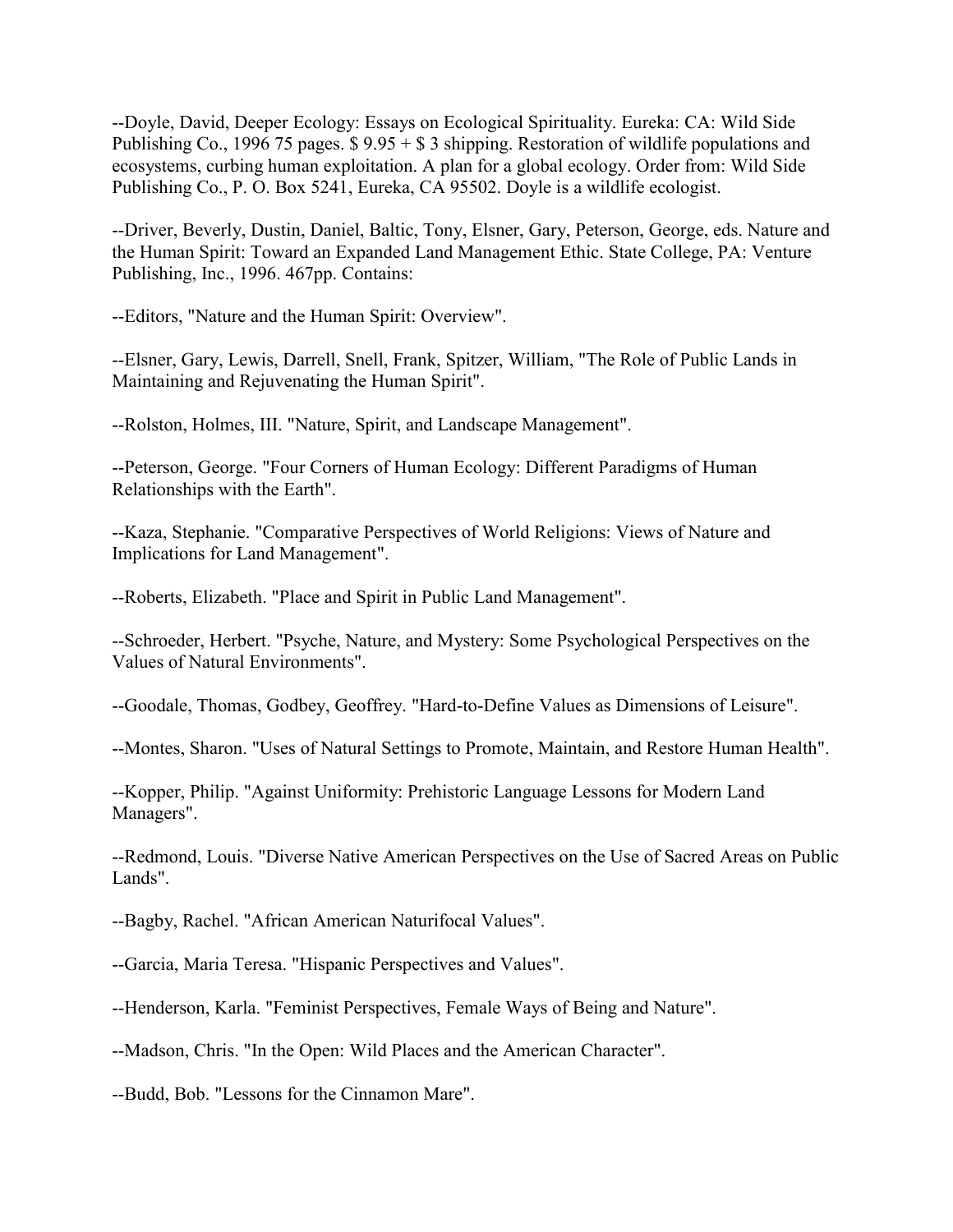--Doyle, David, Deeper Ecology: Essays on Ecological Spirituality. Eureka: CA: Wild Side Publishing Co., 1996 75 pages.  $$ 9.95 + $ 3$  shipping. Restoration of wildlife populations and ecosystems, curbing human exploitation. A plan for a global ecology. Order from: Wild Side Publishing Co., P. O. Box 5241, Eureka, CA 95502. Doyle is a wildlife ecologist.

--Driver, Beverly, Dustin, Daniel, Baltic, Tony, Elsner, Gary, Peterson, George, eds. Nature and the Human Spirit: Toward an Expanded Land Management Ethic. State College, PA: Venture Publishing, Inc., 1996. 467pp. Contains:

--Editors, "Nature and the Human Spirit: Overview".

--Elsner, Gary, Lewis, Darrell, Snell, Frank, Spitzer, William, "The Role of Public Lands in Maintaining and Rejuvenating the Human Spirit".

--Rolston, Holmes, III. "Nature, Spirit, and Landscape Management".

--Peterson, George. "Four Corners of Human Ecology: Different Paradigms of Human Relationships with the Earth".

--Kaza, Stephanie. "Comparative Perspectives of World Religions: Views of Nature and Implications for Land Management".

--Roberts, Elizabeth. "Place and Spirit in Public Land Management".

--Schroeder, Herbert. "Psyche, Nature, and Mystery: Some Psychological Perspectives on the Values of Natural Environments".

--Goodale, Thomas, Godbey, Geoffrey. "Hard-to-Define Values as Dimensions of Leisure".

--Montes, Sharon. "Uses of Natural Settings to Promote, Maintain, and Restore Human Health".

--Kopper, Philip. "Against Uniformity: Prehistoric Language Lessons for Modern Land Managers".

--Redmond, Louis. "Diverse Native American Perspectives on the Use of Sacred Areas on Public Lands".

--Bagby, Rachel. "African American Naturifocal Values".

--Garcia, Maria Teresa. "Hispanic Perspectives and Values".

--Henderson, Karla. "Feminist Perspectives, Female Ways of Being and Nature".

--Madson, Chris. "In the Open: Wild Places and the American Character".

--Budd, Bob. "Lessons for the Cinnamon Mare".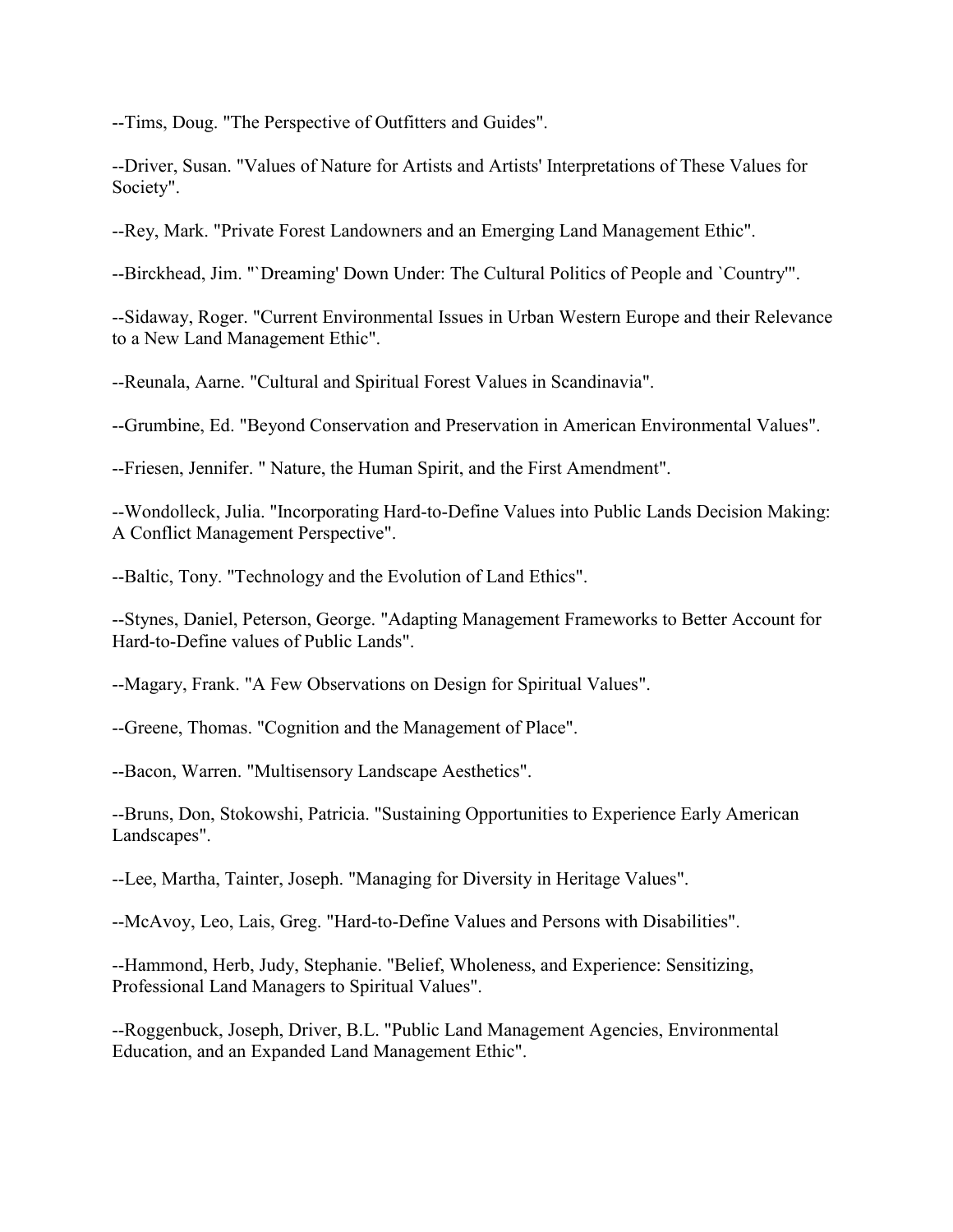--Tims, Doug. "The Perspective of Outfitters and Guides".

--Driver, Susan. "Values of Nature for Artists and Artists' Interpretations of These Values for Society".

--Rey, Mark. "Private Forest Landowners and an Emerging Land Management Ethic".

--Birckhead, Jim. "`Dreaming' Down Under: The Cultural Politics of People and `Country'".

--Sidaway, Roger. "Current Environmental Issues in Urban Western Europe and their Relevance to a New Land Management Ethic".

--Reunala, Aarne. "Cultural and Spiritual Forest Values in Scandinavia".

--Grumbine, Ed. "Beyond Conservation and Preservation in American Environmental Values".

--Friesen, Jennifer. " Nature, the Human Spirit, and the First Amendment".

--Wondolleck, Julia. "Incorporating Hard-to-Define Values into Public Lands Decision Making: A Conflict Management Perspective".

--Baltic, Tony. "Technology and the Evolution of Land Ethics".

--Stynes, Daniel, Peterson, George. "Adapting Management Frameworks to Better Account for Hard-to-Define values of Public Lands".

--Magary, Frank. "A Few Observations on Design for Spiritual Values".

--Greene, Thomas. "Cognition and the Management of Place".

--Bacon, Warren. "Multisensory Landscape Aesthetics".

--Bruns, Don, Stokowshi, Patricia. "Sustaining Opportunities to Experience Early American Landscapes".

--Lee, Martha, Tainter, Joseph. "Managing for Diversity in Heritage Values".

--McAvoy, Leo, Lais, Greg. "Hard-to-Define Values and Persons with Disabilities".

--Hammond, Herb, Judy, Stephanie. "Belief, Wholeness, and Experience: Sensitizing, Professional Land Managers to Spiritual Values".

--Roggenbuck, Joseph, Driver, B.L. "Public Land Management Agencies, Environmental Education, and an Expanded Land Management Ethic".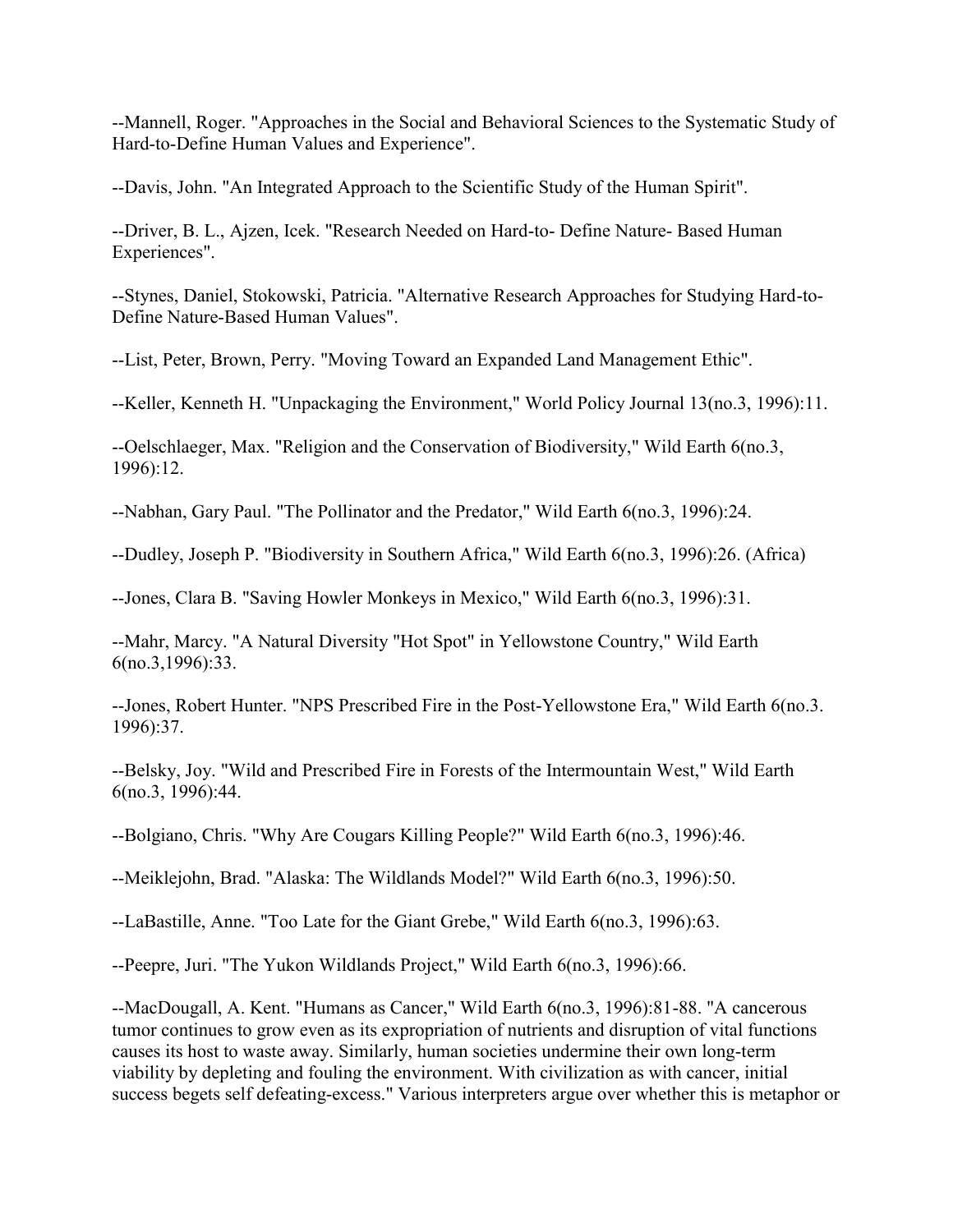--Mannell, Roger. "Approaches in the Social and Behavioral Sciences to the Systematic Study of Hard-to-Define Human Values and Experience".

--Davis, John. "An Integrated Approach to the Scientific Study of the Human Spirit".

--Driver, B. L., Ajzen, Icek. "Research Needed on Hard-to- Define Nature- Based Human Experiences".

--Stynes, Daniel, Stokowski, Patricia. "Alternative Research Approaches for Studying Hard-to-Define Nature-Based Human Values".

--List, Peter, Brown, Perry. "Moving Toward an Expanded Land Management Ethic".

--Keller, Kenneth H. "Unpackaging the Environment," World Policy Journal 13(no.3, 1996):11.

--Oelschlaeger, Max. "Religion and the Conservation of Biodiversity," Wild Earth 6(no.3, 1996):12.

--Nabhan, Gary Paul. "The Pollinator and the Predator," Wild Earth 6(no.3, 1996):24.

--Dudley, Joseph P. "Biodiversity in Southern Africa," Wild Earth 6(no.3, 1996):26. (Africa)

--Jones, Clara B. "Saving Howler Monkeys in Mexico," Wild Earth 6(no.3, 1996):31.

--Mahr, Marcy. "A Natural Diversity "Hot Spot" in Yellowstone Country," Wild Earth 6(no.3,1996):33.

--Jones, Robert Hunter. "NPS Prescribed Fire in the Post-Yellowstone Era," Wild Earth 6(no.3. 1996):37.

--Belsky, Joy. "Wild and Prescribed Fire in Forests of the Intermountain West," Wild Earth 6(no.3, 1996):44.

--Bolgiano, Chris. "Why Are Cougars Killing People?" Wild Earth 6(no.3, 1996):46.

--Meiklejohn, Brad. "Alaska: The Wildlands Model?" Wild Earth 6(no.3, 1996):50.

--LaBastille, Anne. "Too Late for the Giant Grebe," Wild Earth 6(no.3, 1996):63.

--Peepre, Juri. "The Yukon Wildlands Project," Wild Earth 6(no.3, 1996):66.

--MacDougall, A. Kent. "Humans as Cancer," Wild Earth 6(no.3, 1996):81-88. "A cancerous tumor continues to grow even as its expropriation of nutrients and disruption of vital functions causes its host to waste away. Similarly, human societies undermine their own long-term viability by depleting and fouling the environment. With civilization as with cancer, initial success begets self defeating-excess." Various interpreters argue over whether this is metaphor or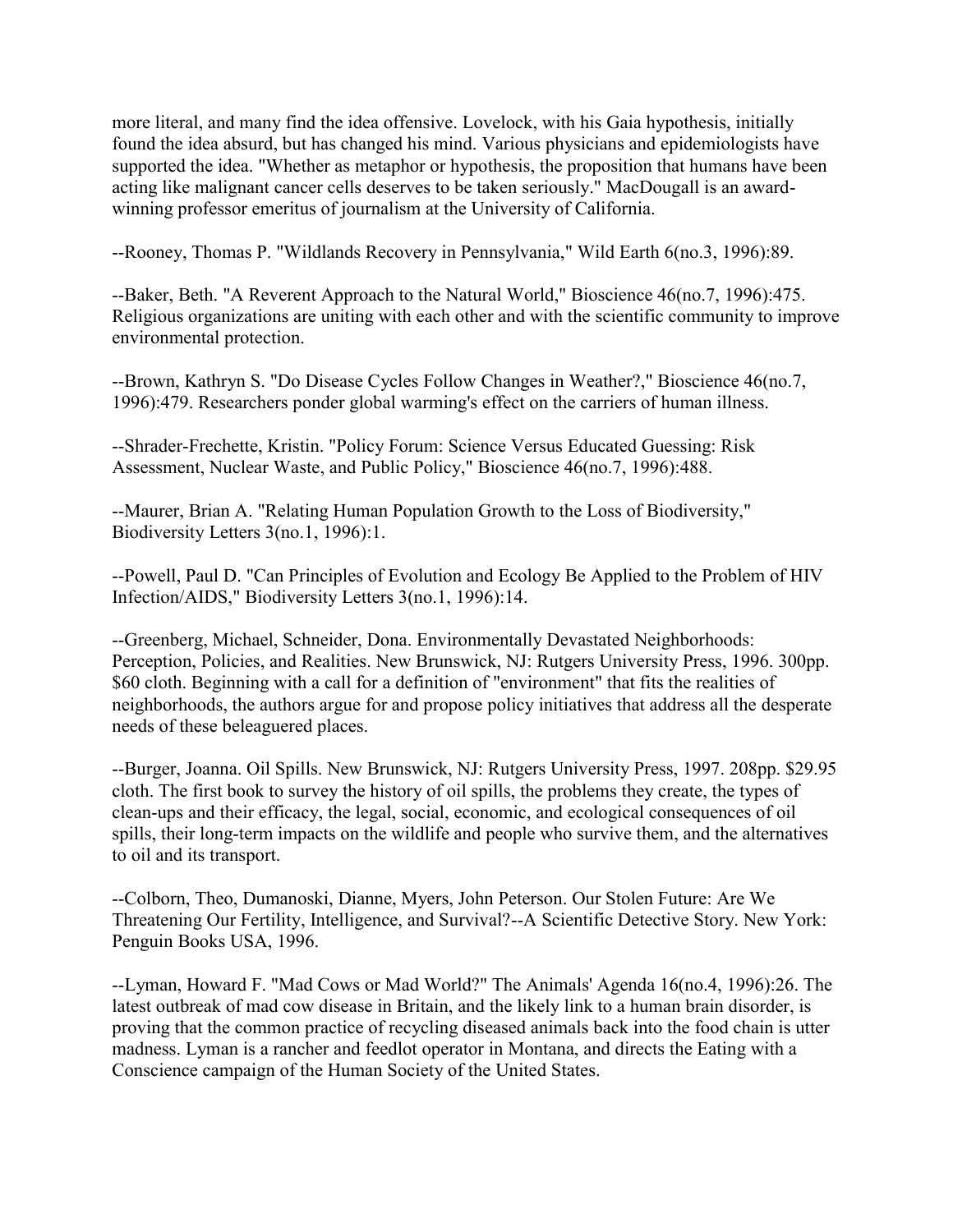more literal, and many find the idea offensive. Lovelock, with his Gaia hypothesis, initially found the idea absurd, but has changed his mind. Various physicians and epidemiologists have supported the idea. "Whether as metaphor or hypothesis, the proposition that humans have been acting like malignant cancer cells deserves to be taken seriously." MacDougall is an awardwinning professor emeritus of journalism at the University of California.

--Rooney, Thomas P. "Wildlands Recovery in Pennsylvania," Wild Earth 6(no.3, 1996):89.

--Baker, Beth. "A Reverent Approach to the Natural World," Bioscience 46(no.7, 1996):475. Religious organizations are uniting with each other and with the scientific community to improve environmental protection.

--Brown, Kathryn S. "Do Disease Cycles Follow Changes in Weather?," Bioscience 46(no.7, 1996):479. Researchers ponder global warming's effect on the carriers of human illness.

--Shrader-Frechette, Kristin. "Policy Forum: Science Versus Educated Guessing: Risk Assessment, Nuclear Waste, and Public Policy," Bioscience 46(no.7, 1996):488.

--Maurer, Brian A. "Relating Human Population Growth to the Loss of Biodiversity," Biodiversity Letters 3(no.1, 1996):1.

--Powell, Paul D. "Can Principles of Evolution and Ecology Be Applied to the Problem of HIV Infection/AIDS," Biodiversity Letters 3(no.1, 1996):14.

--Greenberg, Michael, Schneider, Dona. Environmentally Devastated Neighborhoods: Perception, Policies, and Realities. New Brunswick, NJ: Rutgers University Press, 1996. 300pp. \$60 cloth. Beginning with a call for a definition of "environment" that fits the realities of neighborhoods, the authors argue for and propose policy initiatives that address all the desperate needs of these beleaguered places.

--Burger, Joanna. Oil Spills. New Brunswick, NJ: Rutgers University Press, 1997. 208pp. \$29.95 cloth. The first book to survey the history of oil spills, the problems they create, the types of clean-ups and their efficacy, the legal, social, economic, and ecological consequences of oil spills, their long-term impacts on the wildlife and people who survive them, and the alternatives to oil and its transport.

--Colborn, Theo, Dumanoski, Dianne, Myers, John Peterson. Our Stolen Future: Are We Threatening Our Fertility, Intelligence, and Survival?--A Scientific Detective Story. New York: Penguin Books USA, 1996.

--Lyman, Howard F. "Mad Cows or Mad World?" The Animals' Agenda 16(no.4, 1996):26. The latest outbreak of mad cow disease in Britain, and the likely link to a human brain disorder, is proving that the common practice of recycling diseased animals back into the food chain is utter madness. Lyman is a rancher and feedlot operator in Montana, and directs the Eating with a Conscience campaign of the Human Society of the United States.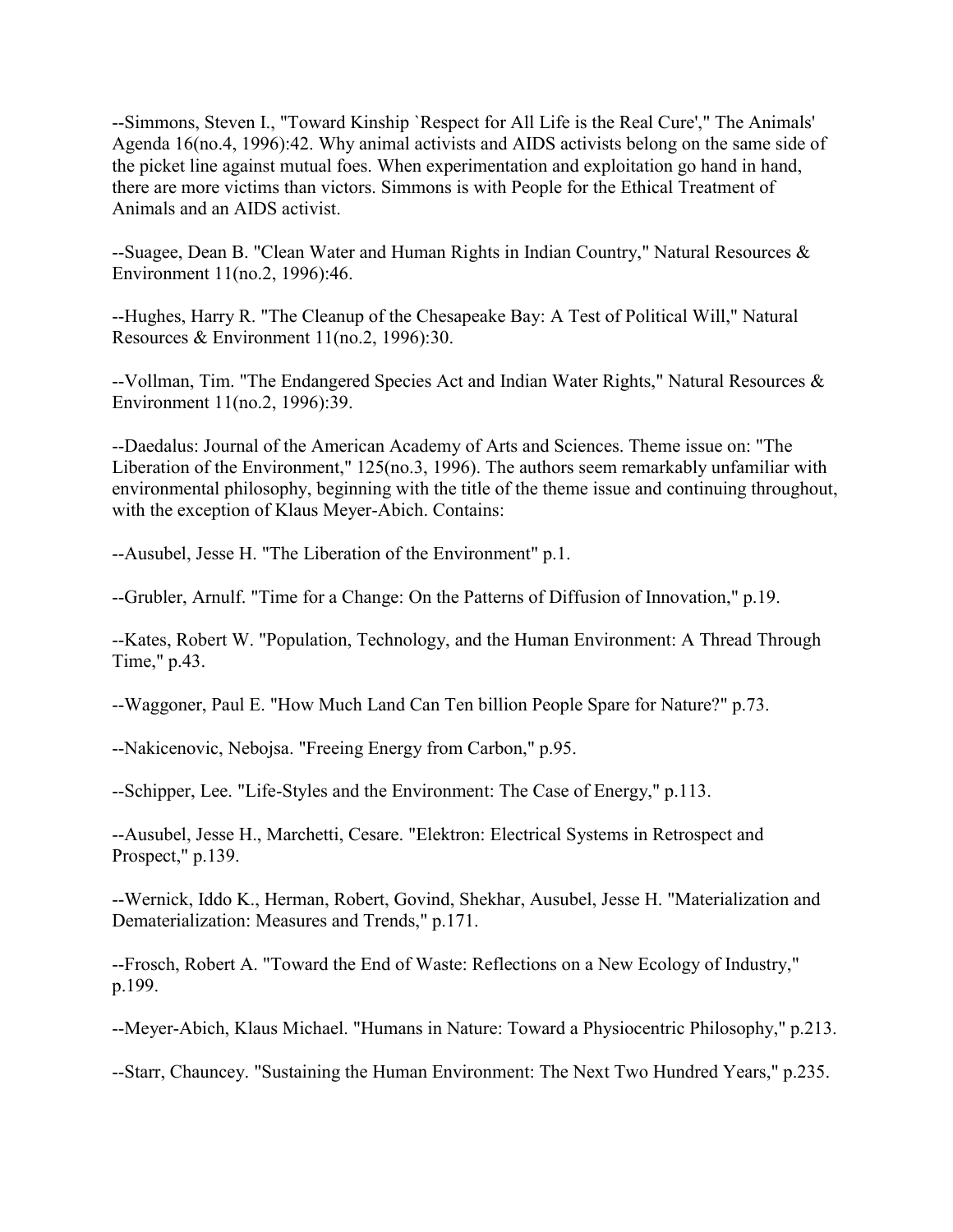--Simmons, Steven I., "Toward Kinship `Respect for All Life is the Real Cure'," The Animals' Agenda 16(no.4, 1996):42. Why animal activists and AIDS activists belong on the same side of the picket line against mutual foes. When experimentation and exploitation go hand in hand, there are more victims than victors. Simmons is with People for the Ethical Treatment of Animals and an AIDS activist.

--Suagee, Dean B. "Clean Water and Human Rights in Indian Country," Natural Resources & Environment 11(no.2, 1996):46.

--Hughes, Harry R. "The Cleanup of the Chesapeake Bay: A Test of Political Will," Natural Resources & Environment 11(no.2, 1996):30.

--Vollman, Tim. "The Endangered Species Act and Indian Water Rights," Natural Resources & Environment 11(no.2, 1996):39.

--Daedalus: Journal of the American Academy of Arts and Sciences. Theme issue on: "The Liberation of the Environment," 125(no.3, 1996). The authors seem remarkably unfamiliar with environmental philosophy, beginning with the title of the theme issue and continuing throughout, with the exception of Klaus Meyer-Abich. Contains:

--Ausubel, Jesse H. "The Liberation of the Environment" p.1.

--Grubler, Arnulf. "Time for a Change: On the Patterns of Diffusion of Innovation," p.19.

--Kates, Robert W. "Population, Technology, and the Human Environment: A Thread Through Time," p.43.

--Waggoner, Paul E. "How Much Land Can Ten billion People Spare for Nature?" p.73.

--Nakicenovic, Nebojsa. "Freeing Energy from Carbon," p.95.

--Schipper, Lee. "Life-Styles and the Environment: The Case of Energy," p.113.

--Ausubel, Jesse H., Marchetti, Cesare. "Elektron: Electrical Systems in Retrospect and Prospect," p.139.

--Wernick, Iddo K., Herman, Robert, Govind, Shekhar, Ausubel, Jesse H. "Materialization and Dematerialization: Measures and Trends," p.171.

--Frosch, Robert A. "Toward the End of Waste: Reflections on a New Ecology of Industry," p.199.

--Meyer-Abich, Klaus Michael. "Humans in Nature: Toward a Physiocentric Philosophy," p.213.

--Starr, Chauncey. "Sustaining the Human Environment: The Next Two Hundred Years," p.235.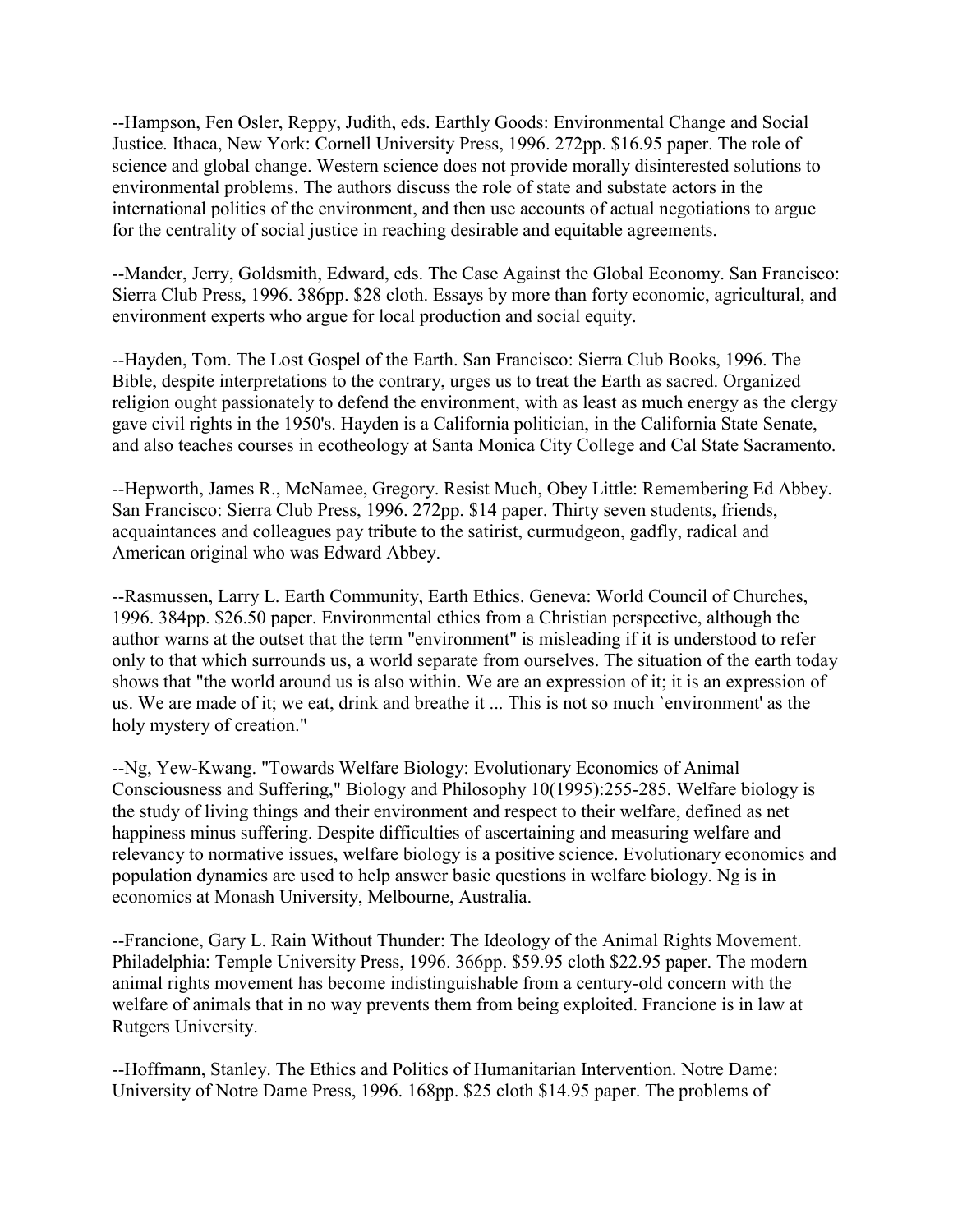--Hampson, Fen Osler, Reppy, Judith, eds. Earthly Goods: Environmental Change and Social Justice. Ithaca, New York: Cornell University Press, 1996. 272pp. \$16.95 paper. The role of science and global change. Western science does not provide morally disinterested solutions to environmental problems. The authors discuss the role of state and substate actors in the international politics of the environment, and then use accounts of actual negotiations to argue for the centrality of social justice in reaching desirable and equitable agreements.

--Mander, Jerry, Goldsmith, Edward, eds. The Case Against the Global Economy. San Francisco: Sierra Club Press, 1996. 386pp. \$28 cloth. Essays by more than forty economic, agricultural, and environment experts who argue for local production and social equity.

--Hayden, Tom. The Lost Gospel of the Earth. San Francisco: Sierra Club Books, 1996. The Bible, despite interpretations to the contrary, urges us to treat the Earth as sacred. Organized religion ought passionately to defend the environment, with as least as much energy as the clergy gave civil rights in the 1950's. Hayden is a California politician, in the California State Senate, and also teaches courses in ecotheology at Santa Monica City College and Cal State Sacramento.

--Hepworth, James R., McNamee, Gregory. Resist Much, Obey Little: Remembering Ed Abbey. San Francisco: Sierra Club Press, 1996. 272pp. \$14 paper. Thirty seven students, friends, acquaintances and colleagues pay tribute to the satirist, curmudgeon, gadfly, radical and American original who was Edward Abbey.

--Rasmussen, Larry L. Earth Community, Earth Ethics. Geneva: World Council of Churches, 1996. 384pp. \$26.50 paper. Environmental ethics from a Christian perspective, although the author warns at the outset that the term "environment" is misleading if it is understood to refer only to that which surrounds us, a world separate from ourselves. The situation of the earth today shows that "the world around us is also within. We are an expression of it; it is an expression of us. We are made of it; we eat, drink and breathe it ... This is not so much `environment' as the holy mystery of creation."

--Ng, Yew-Kwang. "Towards Welfare Biology: Evolutionary Economics of Animal Consciousness and Suffering," Biology and Philosophy 10(1995):255-285. Welfare biology is the study of living things and their environment and respect to their welfare, defined as net happiness minus suffering. Despite difficulties of ascertaining and measuring welfare and relevancy to normative issues, welfare biology is a positive science. Evolutionary economics and population dynamics are used to help answer basic questions in welfare biology. Ng is in economics at Monash University, Melbourne, Australia.

--Francione, Gary L. Rain Without Thunder: The Ideology of the Animal Rights Movement. Philadelphia: Temple University Press, 1996. 366pp. \$59.95 cloth \$22.95 paper. The modern animal rights movement has become indistinguishable from a century-old concern with the welfare of animals that in no way prevents them from being exploited. Francione is in law at Rutgers University.

--Hoffmann, Stanley. The Ethics and Politics of Humanitarian Intervention. Notre Dame: University of Notre Dame Press, 1996. 168pp. \$25 cloth \$14.95 paper. The problems of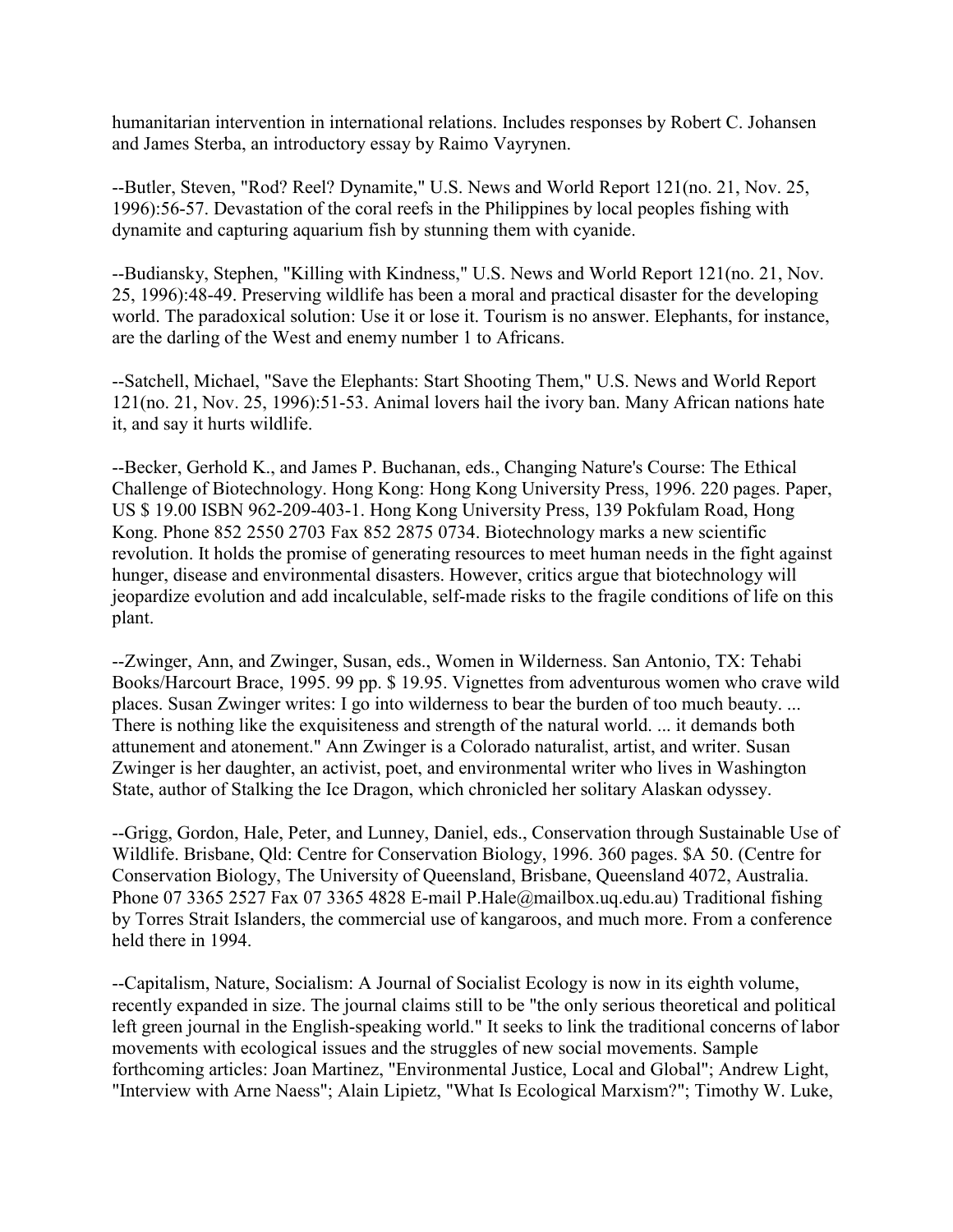humanitarian intervention in international relations. Includes responses by Robert C. Johansen and James Sterba, an introductory essay by Raimo Vayrynen.

--Butler, Steven, "Rod? Reel? Dynamite," U.S. News and World Report 121(no. 21, Nov. 25, 1996):56-57. Devastation of the coral reefs in the Philippines by local peoples fishing with dynamite and capturing aquarium fish by stunning them with cyanide.

--Budiansky, Stephen, "Killing with Kindness," U.S. News and World Report 121(no. 21, Nov. 25, 1996):48-49. Preserving wildlife has been a moral and practical disaster for the developing world. The paradoxical solution: Use it or lose it. Tourism is no answer. Elephants, for instance, are the darling of the West and enemy number 1 to Africans.

--Satchell, Michael, "Save the Elephants: Start Shooting Them," U.S. News and World Report 121(no. 21, Nov. 25, 1996):51-53. Animal lovers hail the ivory ban. Many African nations hate it, and say it hurts wildlife.

--Becker, Gerhold K., and James P. Buchanan, eds., Changing Nature's Course: The Ethical Challenge of Biotechnology. Hong Kong: Hong Kong University Press, 1996. 220 pages. Paper, US \$ 19.00 ISBN 962-209-403-1. Hong Kong University Press, 139 Pokfulam Road, Hong Kong. Phone 852 2550 2703 Fax 852 2875 0734. Biotechnology marks a new scientific revolution. It holds the promise of generating resources to meet human needs in the fight against hunger, disease and environmental disasters. However, critics argue that biotechnology will jeopardize evolution and add incalculable, self-made risks to the fragile conditions of life on this plant.

--Zwinger, Ann, and Zwinger, Susan, eds., Women in Wilderness. San Antonio, TX: Tehabi Books/Harcourt Brace, 1995. 99 pp. \$ 19.95. Vignettes from adventurous women who crave wild places. Susan Zwinger writes: I go into wilderness to bear the burden of too much beauty. ... There is nothing like the exquisiteness and strength of the natural world. ... it demands both attunement and atonement." Ann Zwinger is a Colorado naturalist, artist, and writer. Susan Zwinger is her daughter, an activist, poet, and environmental writer who lives in Washington State, author of Stalking the Ice Dragon, which chronicled her solitary Alaskan odyssey.

--Grigg, Gordon, Hale, Peter, and Lunney, Daniel, eds., Conservation through Sustainable Use of Wildlife. Brisbane, Qld: Centre for Conservation Biology, 1996. 360 pages. \$A 50. (Centre for Conservation Biology, The University of Queensland, Brisbane, Queensland 4072, Australia. Phone 07 3365 2527 Fax 07 3365 4828 E-mail P.Hale@mailbox.uq.edu.au) Traditional fishing by Torres Strait Islanders, the commercial use of kangaroos, and much more. From a conference held there in 1994.

--Capitalism, Nature, Socialism: A Journal of Socialist Ecology is now in its eighth volume, recently expanded in size. The journal claims still to be "the only serious theoretical and political left green journal in the English-speaking world." It seeks to link the traditional concerns of labor movements with ecological issues and the struggles of new social movements. Sample forthcoming articles: Joan Martinez, "Environmental Justice, Local and Global"; Andrew Light, "Interview with Arne Naess"; Alain Lipietz, "What Is Ecological Marxism?"; Timothy W. Luke,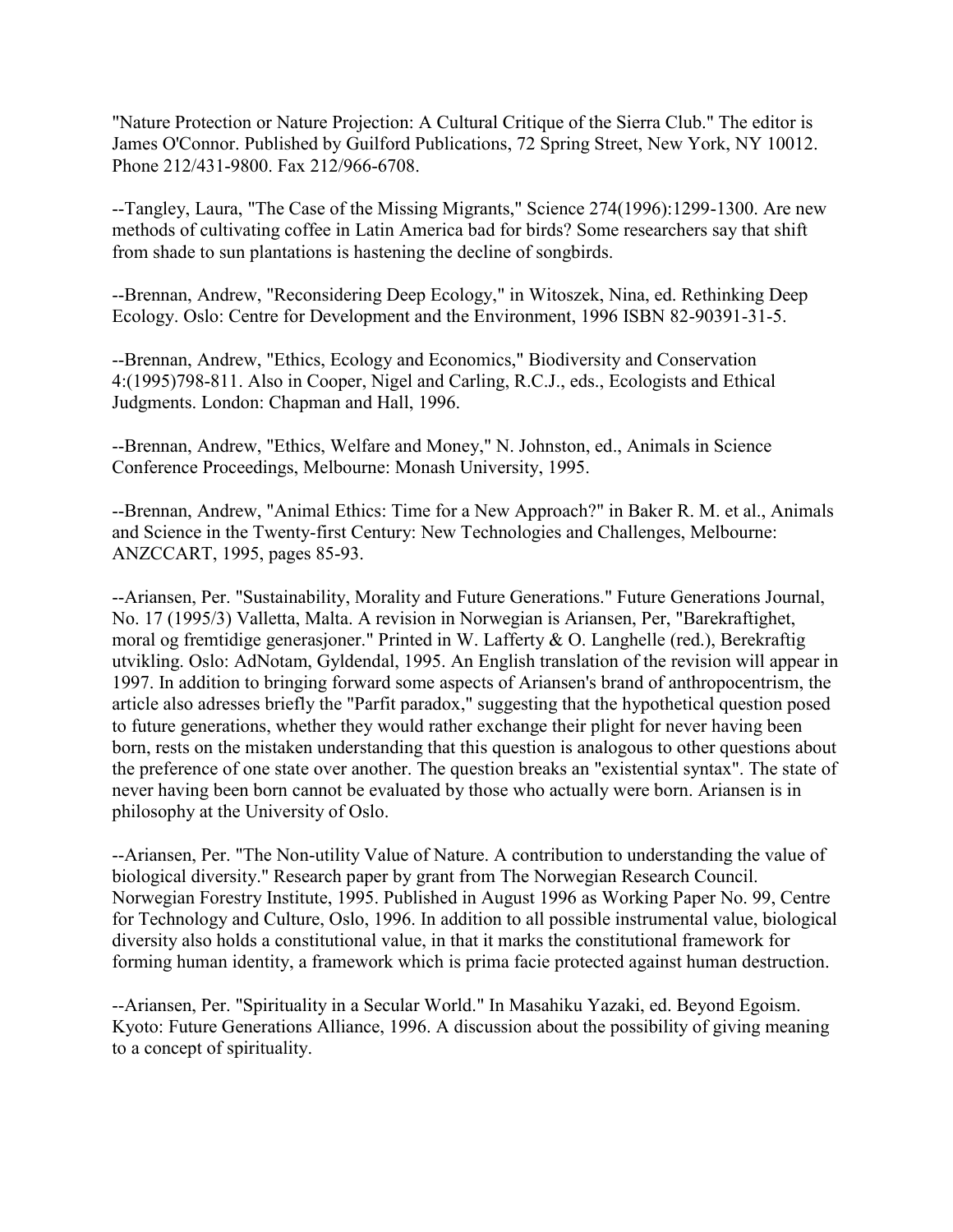"Nature Protection or Nature Projection: A Cultural Critique of the Sierra Club." The editor is James O'Connor. Published by Guilford Publications, 72 Spring Street, New York, NY 10012. Phone 212/431-9800. Fax 212/966-6708.

--Tangley, Laura, "The Case of the Missing Migrants," Science 274(1996):1299-1300. Are new methods of cultivating coffee in Latin America bad for birds? Some researchers say that shift from shade to sun plantations is hastening the decline of songbirds.

--Brennan, Andrew, "Reconsidering Deep Ecology," in Witoszek, Nina, ed. Rethinking Deep Ecology. Oslo: Centre for Development and the Environment, 1996 ISBN 82-90391-31-5.

--Brennan, Andrew, "Ethics, Ecology and Economics," Biodiversity and Conservation 4:(1995)798-811. Also in Cooper, Nigel and Carling, R.C.J., eds., Ecologists and Ethical Judgments. London: Chapman and Hall, 1996.

--Brennan, Andrew, "Ethics, Welfare and Money," N. Johnston, ed., Animals in Science Conference Proceedings, Melbourne: Monash University, 1995.

--Brennan, Andrew, "Animal Ethics: Time for a New Approach?" in Baker R. M. et al., Animals and Science in the Twenty-first Century: New Technologies and Challenges, Melbourne: ANZCCART, 1995, pages 85-93.

--Ariansen, Per. "Sustainability, Morality and Future Generations." Future Generations Journal, No. 17 (1995/3) Valletta, Malta. A revision in Norwegian is Ariansen, Per, "Barekraftighet, moral og fremtidige generasjoner." Printed in W. Lafferty & O. Langhelle (red.), Berekraftig utvikling. Oslo: AdNotam, Gyldendal, 1995. An English translation of the revision will appear in 1997. In addition to bringing forward some aspects of Ariansen's brand of anthropocentrism, the article also adresses briefly the "Parfit paradox," suggesting that the hypothetical question posed to future generations, whether they would rather exchange their plight for never having been born, rests on the mistaken understanding that this question is analogous to other questions about the preference of one state over another. The question breaks an "existential syntax". The state of never having been born cannot be evaluated by those who actually were born. Ariansen is in philosophy at the University of Oslo.

--Ariansen, Per. "The Non-utility Value of Nature. A contribution to understanding the value of biological diversity." Research paper by grant from The Norwegian Research Council. Norwegian Forestry Institute, 1995. Published in August 1996 as Working Paper No. 99, Centre for Technology and Culture, Oslo, 1996. In addition to all possible instrumental value, biological diversity also holds a constitutional value, in that it marks the constitutional framework for forming human identity, a framework which is prima facie protected against human destruction.

--Ariansen, Per. "Spirituality in a Secular World." In Masahiku Yazaki, ed. Beyond Egoism. Kyoto: Future Generations Alliance, 1996. A discussion about the possibility of giving meaning to a concept of spirituality.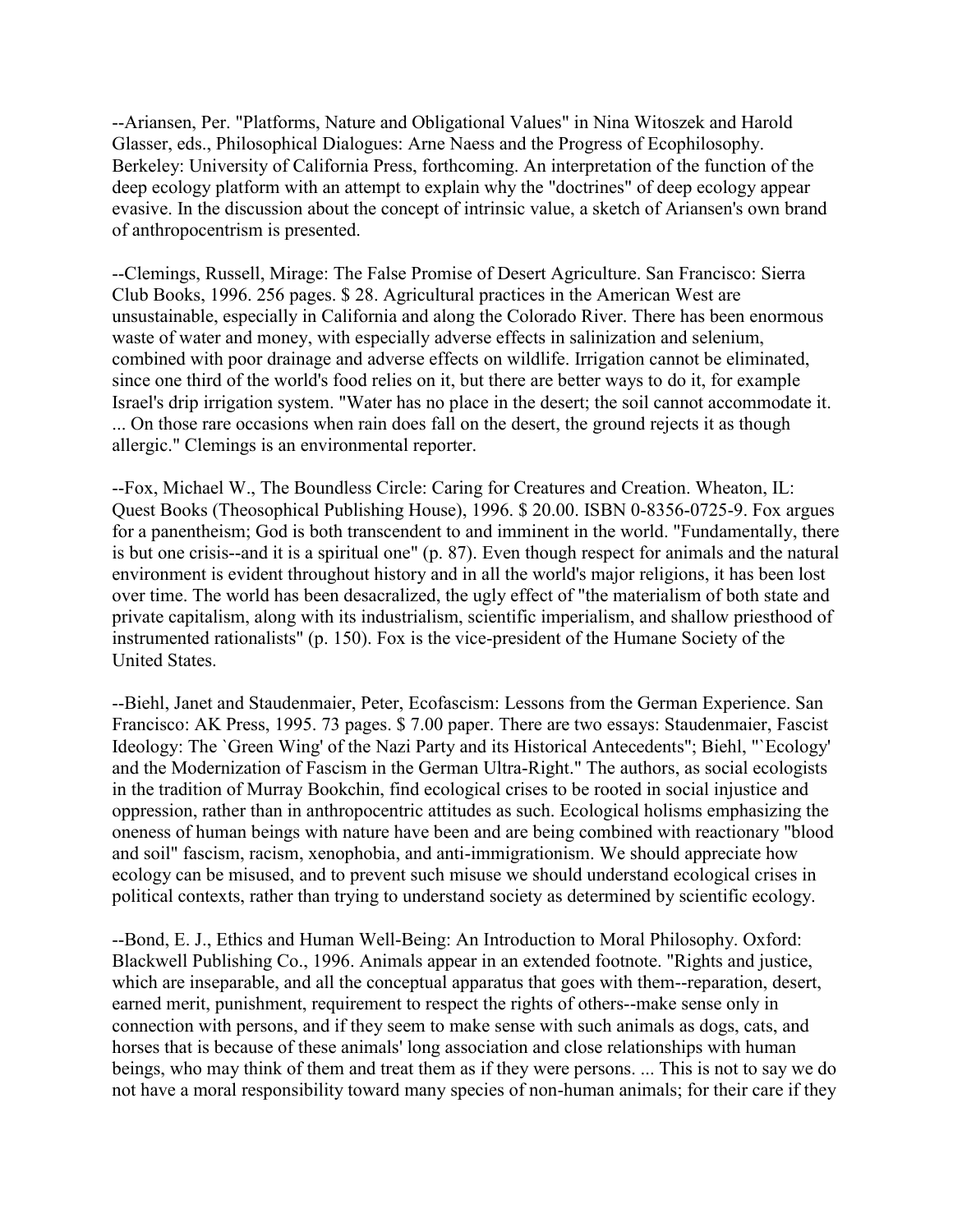--Ariansen, Per. "Platforms, Nature and Obligational Values" in Nina Witoszek and Harold Glasser, eds., Philosophical Dialogues: Arne Naess and the Progress of Ecophilosophy. Berkeley: University of California Press, forthcoming. An interpretation of the function of the deep ecology platform with an attempt to explain why the "doctrines" of deep ecology appear evasive. In the discussion about the concept of intrinsic value, a sketch of Ariansen's own brand of anthropocentrism is presented.

--Clemings, Russell, Mirage: The False Promise of Desert Agriculture. San Francisco: Sierra Club Books, 1996. 256 pages. \$ 28. Agricultural practices in the American West are unsustainable, especially in California and along the Colorado River. There has been enormous waste of water and money, with especially adverse effects in salinization and selenium, combined with poor drainage and adverse effects on wildlife. Irrigation cannot be eliminated, since one third of the world's food relies on it, but there are better ways to do it, for example Israel's drip irrigation system. "Water has no place in the desert; the soil cannot accommodate it. ... On those rare occasions when rain does fall on the desert, the ground rejects it as though allergic." Clemings is an environmental reporter.

--Fox, Michael W., The Boundless Circle: Caring for Creatures and Creation. Wheaton, IL: Quest Books (Theosophical Publishing House), 1996. \$ 20.00. ISBN 0-8356-0725-9. Fox argues for a panentheism; God is both transcendent to and imminent in the world. "Fundamentally, there is but one crisis--and it is a spiritual one" (p. 87). Even though respect for animals and the natural environment is evident throughout history and in all the world's major religions, it has been lost over time. The world has been desacralized, the ugly effect of "the materialism of both state and private capitalism, along with its industrialism, scientific imperialism, and shallow priesthood of instrumented rationalists" (p. 150). Fox is the vice-president of the Humane Society of the United States.

--Biehl, Janet and Staudenmaier, Peter, Ecofascism: Lessons from the German Experience. San Francisco: AK Press, 1995. 73 pages. \$ 7.00 paper. There are two essays: Staudenmaier, Fascist Ideology: The `Green Wing' of the Nazi Party and its Historical Antecedents"; Biehl, "`Ecology' and the Modernization of Fascism in the German Ultra-Right." The authors, as social ecologists in the tradition of Murray Bookchin, find ecological crises to be rooted in social injustice and oppression, rather than in anthropocentric attitudes as such. Ecological holisms emphasizing the oneness of human beings with nature have been and are being combined with reactionary "blood and soil" fascism, racism, xenophobia, and anti-immigrationism. We should appreciate how ecology can be misused, and to prevent such misuse we should understand ecological crises in political contexts, rather than trying to understand society as determined by scientific ecology.

--Bond, E. J., Ethics and Human Well-Being: An Introduction to Moral Philosophy. Oxford: Blackwell Publishing Co., 1996. Animals appear in an extended footnote. "Rights and justice, which are inseparable, and all the conceptual apparatus that goes with them--reparation, desert, earned merit, punishment, requirement to respect the rights of others--make sense only in connection with persons, and if they seem to make sense with such animals as dogs, cats, and horses that is because of these animals' long association and close relationships with human beings, who may think of them and treat them as if they were persons. ... This is not to say we do not have a moral responsibility toward many species of non-human animals; for their care if they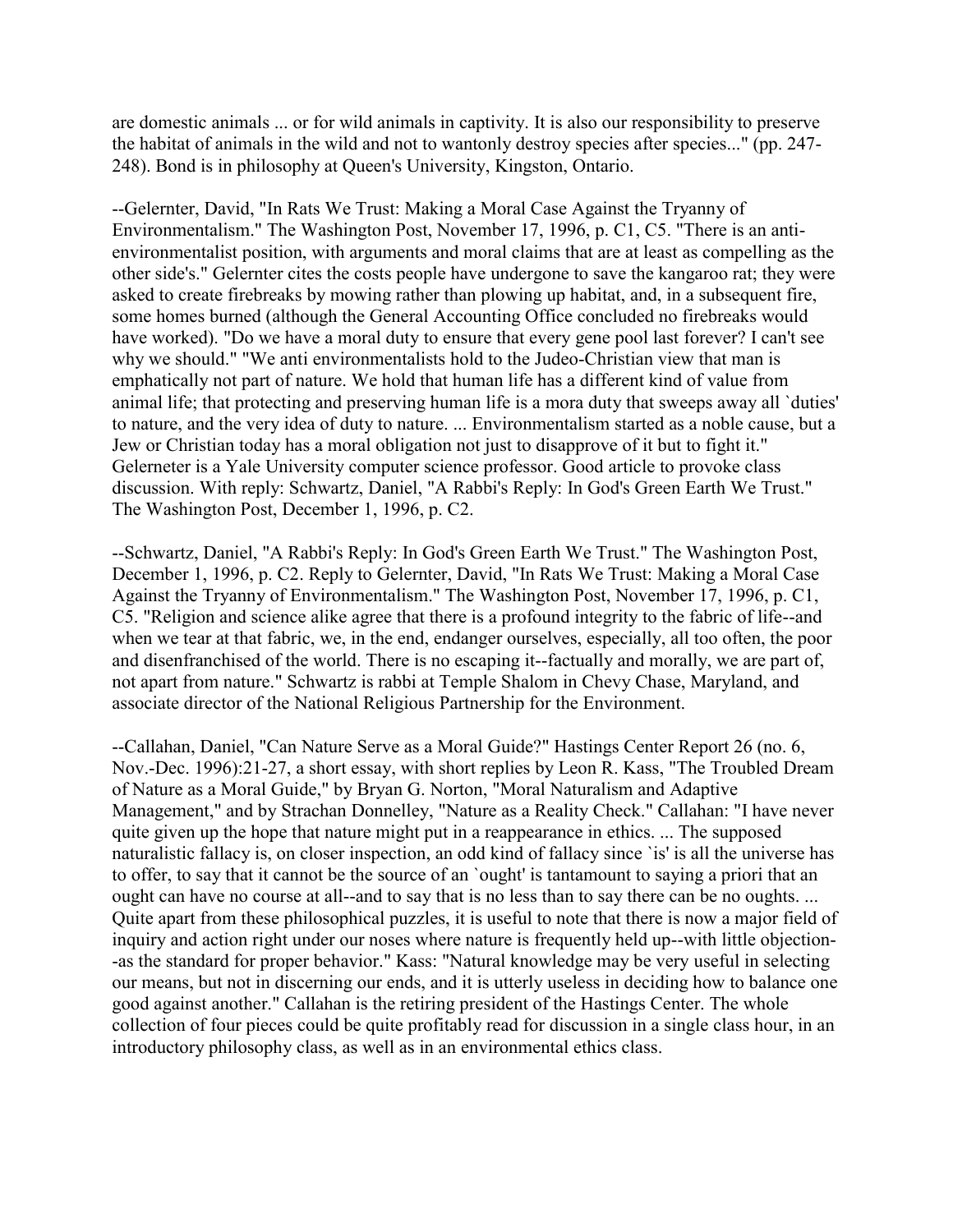are domestic animals ... or for wild animals in captivity. It is also our responsibility to preserve the habitat of animals in the wild and not to wantonly destroy species after species..." (pp. 247- 248). Bond is in philosophy at Queen's University, Kingston, Ontario.

--Gelernter, David, "In Rats We Trust: Making a Moral Case Against the Tryanny of Environmentalism." The Washington Post, November 17, 1996, p. C1, C5. "There is an antienvironmentalist position, with arguments and moral claims that are at least as compelling as the other side's." Gelernter cites the costs people have undergone to save the kangaroo rat; they were asked to create firebreaks by mowing rather than plowing up habitat, and, in a subsequent fire, some homes burned (although the General Accounting Office concluded no firebreaks would have worked). "Do we have a moral duty to ensure that every gene pool last forever? I can't see why we should." "We anti environmentalists hold to the Judeo-Christian view that man is emphatically not part of nature. We hold that human life has a different kind of value from animal life; that protecting and preserving human life is a mora duty that sweeps away all `duties' to nature, and the very idea of duty to nature. ... Environmentalism started as a noble cause, but a Jew or Christian today has a moral obligation not just to disapprove of it but to fight it." Gelerneter is a Yale University computer science professor. Good article to provoke class discussion. With reply: Schwartz, Daniel, "A Rabbi's Reply: In God's Green Earth We Trust." The Washington Post, December 1, 1996, p. C2.

--Schwartz, Daniel, "A Rabbi's Reply: In God's Green Earth We Trust." The Washington Post, December 1, 1996, p. C2. Reply to Gelernter, David, "In Rats We Trust: Making a Moral Case Against the Tryanny of Environmentalism." The Washington Post, November 17, 1996, p. C1, C5. "Religion and science alike agree that there is a profound integrity to the fabric of life--and when we tear at that fabric, we, in the end, endanger ourselves, especially, all too often, the poor and disenfranchised of the world. There is no escaping it--factually and morally, we are part of, not apart from nature." Schwartz is rabbi at Temple Shalom in Chevy Chase, Maryland, and associate director of the National Religious Partnership for the Environment.

--Callahan, Daniel, "Can Nature Serve as a Moral Guide?" Hastings Center Report 26 (no. 6, Nov.-Dec. 1996):21-27, a short essay, with short replies by Leon R. Kass, "The Troubled Dream of Nature as a Moral Guide," by Bryan G. Norton, "Moral Naturalism and Adaptive Management," and by Strachan Donnelley, "Nature as a Reality Check." Callahan: "I have never quite given up the hope that nature might put in a reappearance in ethics. ... The supposed naturalistic fallacy is, on closer inspection, an odd kind of fallacy since `is' is all the universe has to offer, to say that it cannot be the source of an `ought' is tantamount to saying a priori that an ought can have no course at all--and to say that is no less than to say there can be no oughts. ... Quite apart from these philosophical puzzles, it is useful to note that there is now a major field of inquiry and action right under our noses where nature is frequently held up--with little objection- -as the standard for proper behavior." Kass: "Natural knowledge may be very useful in selecting our means, but not in discerning our ends, and it is utterly useless in deciding how to balance one good against another." Callahan is the retiring president of the Hastings Center. The whole collection of four pieces could be quite profitably read for discussion in a single class hour, in an introductory philosophy class, as well as in an environmental ethics class.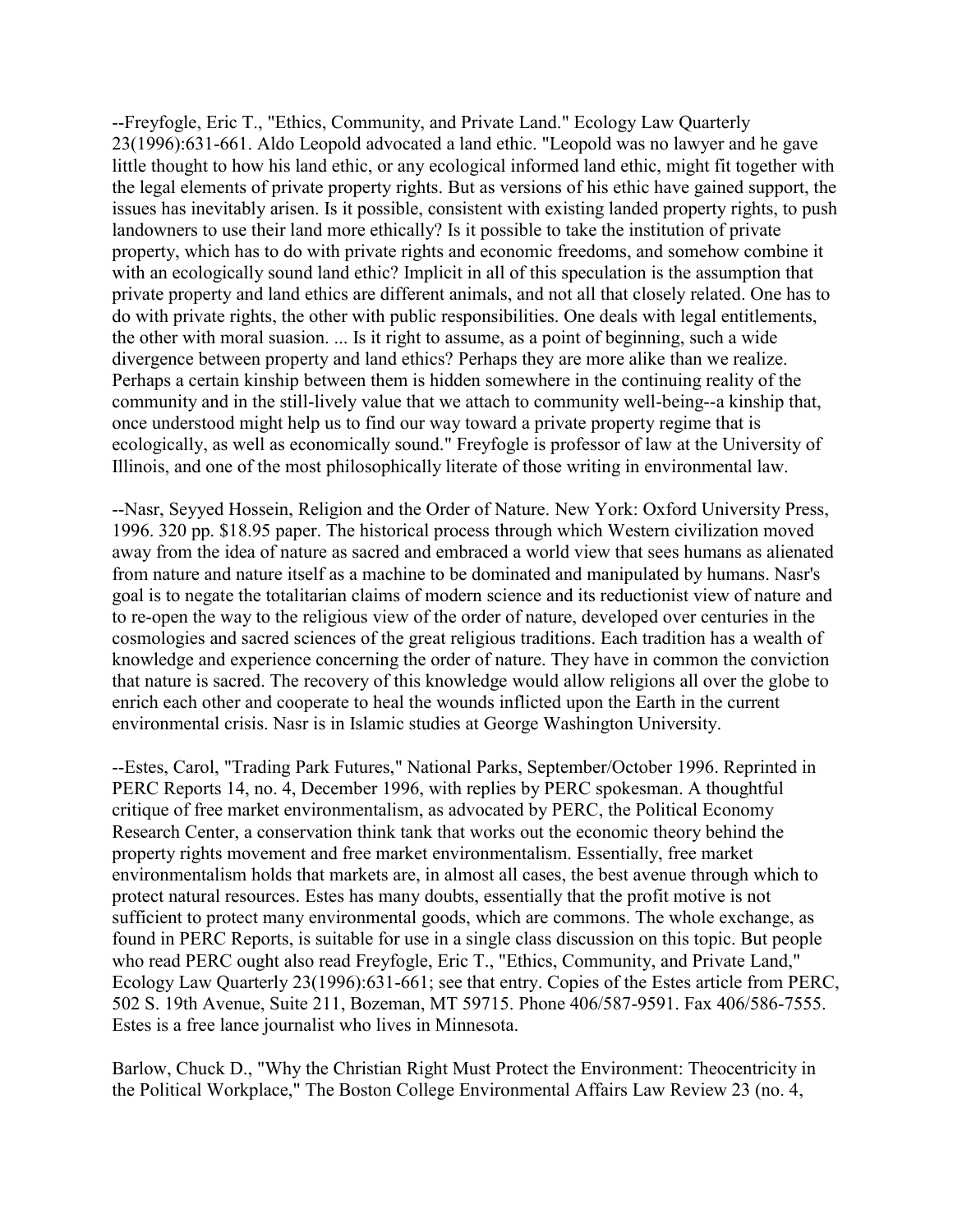--Freyfogle, Eric T., "Ethics, Community, and Private Land." Ecology Law Quarterly 23(1996):631-661. Aldo Leopold advocated a land ethic. "Leopold was no lawyer and he gave little thought to how his land ethic, or any ecological informed land ethic, might fit together with the legal elements of private property rights. But as versions of his ethic have gained support, the issues has inevitably arisen. Is it possible, consistent with existing landed property rights, to push landowners to use their land more ethically? Is it possible to take the institution of private property, which has to do with private rights and economic freedoms, and somehow combine it with an ecologically sound land ethic? Implicit in all of this speculation is the assumption that private property and land ethics are different animals, and not all that closely related. One has to do with private rights, the other with public responsibilities. One deals with legal entitlements, the other with moral suasion. ... Is it right to assume, as a point of beginning, such a wide divergence between property and land ethics? Perhaps they are more alike than we realize. Perhaps a certain kinship between them is hidden somewhere in the continuing reality of the community and in the still-lively value that we attach to community well-being--a kinship that, once understood might help us to find our way toward a private property regime that is ecologically, as well as economically sound." Freyfogle is professor of law at the University of Illinois, and one of the most philosophically literate of those writing in environmental law.

--Nasr, Seyyed Hossein, Religion and the Order of Nature. New York: Oxford University Press, 1996. 320 pp. \$18.95 paper. The historical process through which Western civilization moved away from the idea of nature as sacred and embraced a world view that sees humans as alienated from nature and nature itself as a machine to be dominated and manipulated by humans. Nasr's goal is to negate the totalitarian claims of modern science and its reductionist view of nature and to re-open the way to the religious view of the order of nature, developed over centuries in the cosmologies and sacred sciences of the great religious traditions. Each tradition has a wealth of knowledge and experience concerning the order of nature. They have in common the conviction that nature is sacred. The recovery of this knowledge would allow religions all over the globe to enrich each other and cooperate to heal the wounds inflicted upon the Earth in the current environmental crisis. Nasr is in Islamic studies at George Washington University.

--Estes, Carol, "Trading Park Futures," National Parks, September/October 1996. Reprinted in PERC Reports 14, no. 4, December 1996, with replies by PERC spokesman. A thoughtful critique of free market environmentalism, as advocated by PERC, the Political Economy Research Center, a conservation think tank that works out the economic theory behind the property rights movement and free market environmentalism. Essentially, free market environmentalism holds that markets are, in almost all cases, the best avenue through which to protect natural resources. Estes has many doubts, essentially that the profit motive is not sufficient to protect many environmental goods, which are commons. The whole exchange, as found in PERC Reports, is suitable for use in a single class discussion on this topic. But people who read PERC ought also read Freyfogle, Eric T., "Ethics, Community, and Private Land," Ecology Law Quarterly 23(1996):631-661; see that entry. Copies of the Estes article from PERC, 502 S. 19th Avenue, Suite 211, Bozeman, MT 59715. Phone 406/587-9591. Fax 406/586-7555. Estes is a free lance journalist who lives in Minnesota.

Barlow, Chuck D., "Why the Christian Right Must Protect the Environment: Theocentricity in the Political Workplace," The Boston College Environmental Affairs Law Review 23 (no. 4,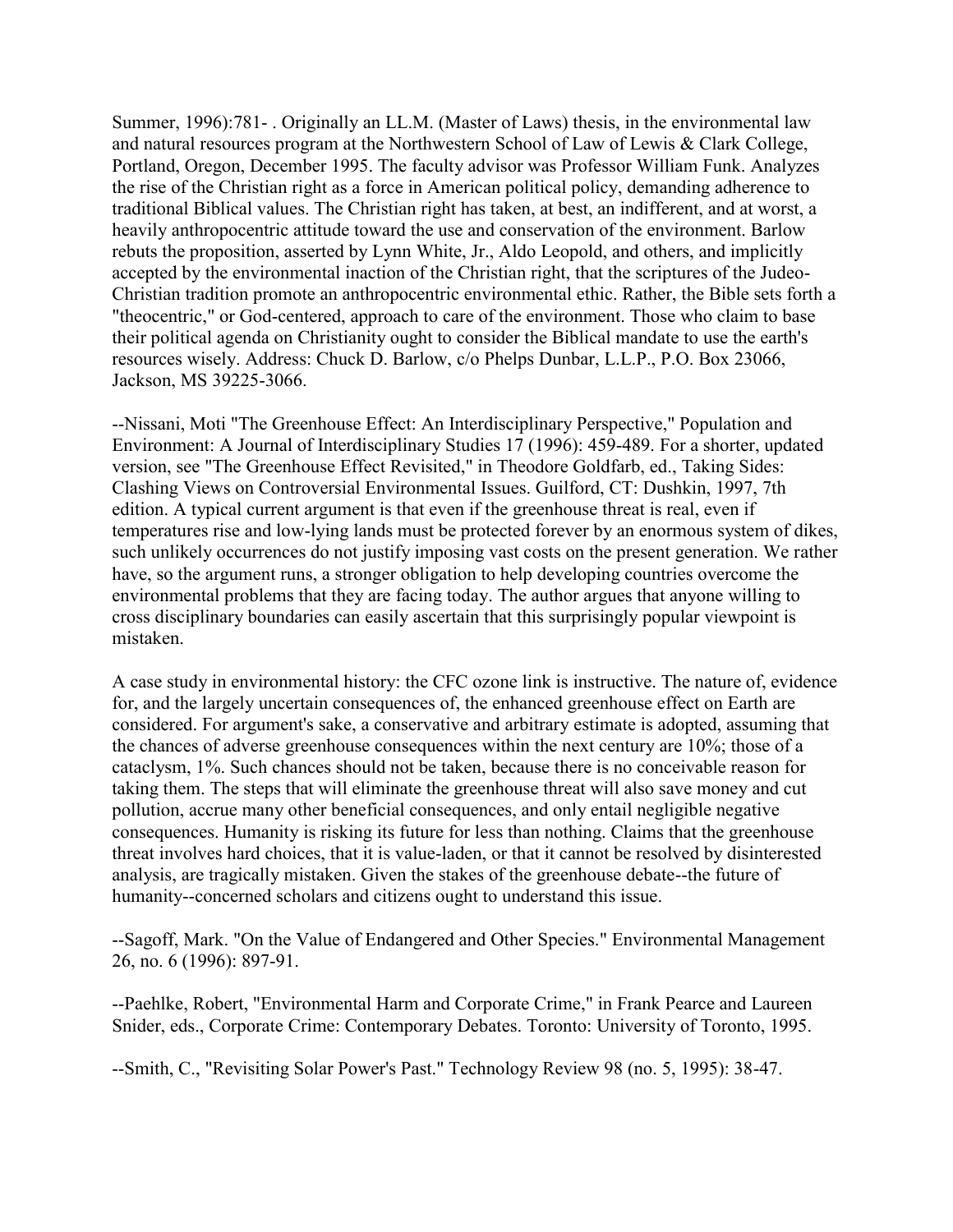Summer, 1996):781- . Originally an LL.M. (Master of Laws) thesis, in the environmental law and natural resources program at the Northwestern School of Law of Lewis & Clark College, Portland, Oregon, December 1995. The faculty advisor was Professor William Funk. Analyzes the rise of the Christian right as a force in American political policy, demanding adherence to traditional Biblical values. The Christian right has taken, at best, an indifferent, and at worst, a heavily anthropocentric attitude toward the use and conservation of the environment. Barlow rebuts the proposition, asserted by Lynn White, Jr., Aldo Leopold, and others, and implicitly accepted by the environmental inaction of the Christian right, that the scriptures of the Judeo-Christian tradition promote an anthropocentric environmental ethic. Rather, the Bible sets forth a "theocentric," or God-centered, approach to care of the environment. Those who claim to base their political agenda on Christianity ought to consider the Biblical mandate to use the earth's resources wisely. Address: Chuck D. Barlow, c/o Phelps Dunbar, L.L.P., P.O. Box 23066, Jackson, MS 39225-3066.

--Nissani, Moti "The Greenhouse Effect: An Interdisciplinary Perspective," Population and Environment: A Journal of Interdisciplinary Studies 17 (1996): 459-489. For a shorter, updated version, see "The Greenhouse Effect Revisited," in Theodore Goldfarb, ed., Taking Sides: Clashing Views on Controversial Environmental Issues. Guilford, CT: Dushkin, 1997, 7th edition. A typical current argument is that even if the greenhouse threat is real, even if temperatures rise and low-lying lands must be protected forever by an enormous system of dikes, such unlikely occurrences do not justify imposing vast costs on the present generation. We rather have, so the argument runs, a stronger obligation to help developing countries overcome the environmental problems that they are facing today. The author argues that anyone willing to cross disciplinary boundaries can easily ascertain that this surprisingly popular viewpoint is mistaken.

A case study in environmental history: the CFC ozone link is instructive. The nature of, evidence for, and the largely uncertain consequences of, the enhanced greenhouse effect on Earth are considered. For argument's sake, a conservative and arbitrary estimate is adopted, assuming that the chances of adverse greenhouse consequences within the next century are 10%; those of a cataclysm, 1%. Such chances should not be taken, because there is no conceivable reason for taking them. The steps that will eliminate the greenhouse threat will also save money and cut pollution, accrue many other beneficial consequences, and only entail negligible negative consequences. Humanity is risking its future for less than nothing. Claims that the greenhouse threat involves hard choices, that it is value-laden, or that it cannot be resolved by disinterested analysis, are tragically mistaken. Given the stakes of the greenhouse debate--the future of humanity--concerned scholars and citizens ought to understand this issue.

--Sagoff, Mark. "On the Value of Endangered and Other Species." Environmental Management 26, no. 6 (1996): 897-91.

--Paehlke, Robert, "Environmental Harm and Corporate Crime," in Frank Pearce and Laureen Snider, eds., Corporate Crime: Contemporary Debates. Toronto: University of Toronto, 1995.

--Smith, C., "Revisiting Solar Power's Past." Technology Review 98 (no. 5, 1995): 38-47.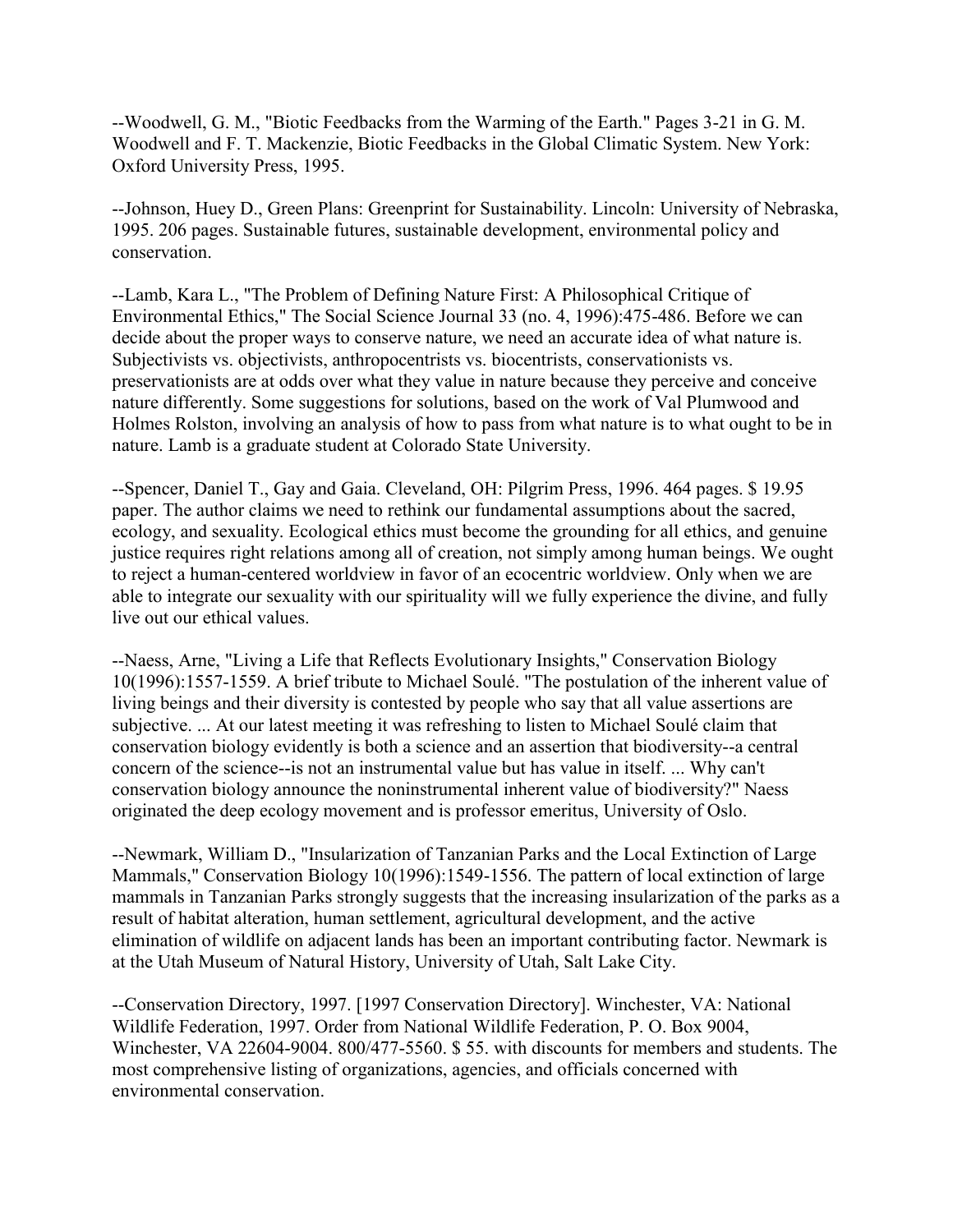--Woodwell, G. M., "Biotic Feedbacks from the Warming of the Earth." Pages 3-21 in G. M. Woodwell and F. T. Mackenzie, Biotic Feedbacks in the Global Climatic System. New York: Oxford University Press, 1995.

--Johnson, Huey D., Green Plans: Greenprint for Sustainability. Lincoln: University of Nebraska, 1995. 206 pages. Sustainable futures, sustainable development, environmental policy and conservation.

--Lamb, Kara L., "The Problem of Defining Nature First: A Philosophical Critique of Environmental Ethics," The Social Science Journal 33 (no. 4, 1996):475-486. Before we can decide about the proper ways to conserve nature, we need an accurate idea of what nature is. Subjectivists vs. objectivists, anthropocentrists vs. biocentrists, conservationists vs. preservationists are at odds over what they value in nature because they perceive and conceive nature differently. Some suggestions for solutions, based on the work of Val Plumwood and Holmes Rolston, involving an analysis of how to pass from what nature is to what ought to be in nature. Lamb is a graduate student at Colorado State University.

--Spencer, Daniel T., Gay and Gaia. Cleveland, OH: Pilgrim Press, 1996. 464 pages. \$ 19.95 paper. The author claims we need to rethink our fundamental assumptions about the sacred, ecology, and sexuality. Ecological ethics must become the grounding for all ethics, and genuine justice requires right relations among all of creation, not simply among human beings. We ought to reject a human-centered worldview in favor of an ecocentric worldview. Only when we are able to integrate our sexuality with our spirituality will we fully experience the divine, and fully live out our ethical values.

--Naess, Arne, "Living a Life that Reflects Evolutionary Insights," Conservation Biology 10(1996):1557-1559. A brief tribute to Michael Soulé. "The postulation of the inherent value of living beings and their diversity is contested by people who say that all value assertions are subjective. ... At our latest meeting it was refreshing to listen to Michael Soulé claim that conservation biology evidently is both a science and an assertion that biodiversity--a central concern of the science--is not an instrumental value but has value in itself. ... Why can't conservation biology announce the noninstrumental inherent value of biodiversity?" Naess originated the deep ecology movement and is professor emeritus, University of Oslo.

--Newmark, William D., "Insularization of Tanzanian Parks and the Local Extinction of Large Mammals," Conservation Biology 10(1996):1549-1556. The pattern of local extinction of large mammals in Tanzanian Parks strongly suggests that the increasing insularization of the parks as a result of habitat alteration, human settlement, agricultural development, and the active elimination of wildlife on adjacent lands has been an important contributing factor. Newmark is at the Utah Museum of Natural History, University of Utah, Salt Lake City.

--Conservation Directory, 1997. [1997 Conservation Directory]. Winchester, VA: National Wildlife Federation, 1997. Order from National Wildlife Federation, P. O. Box 9004, Winchester, VA 22604-9004. 800/477-5560. \$ 55. with discounts for members and students. The most comprehensive listing of organizations, agencies, and officials concerned with environmental conservation.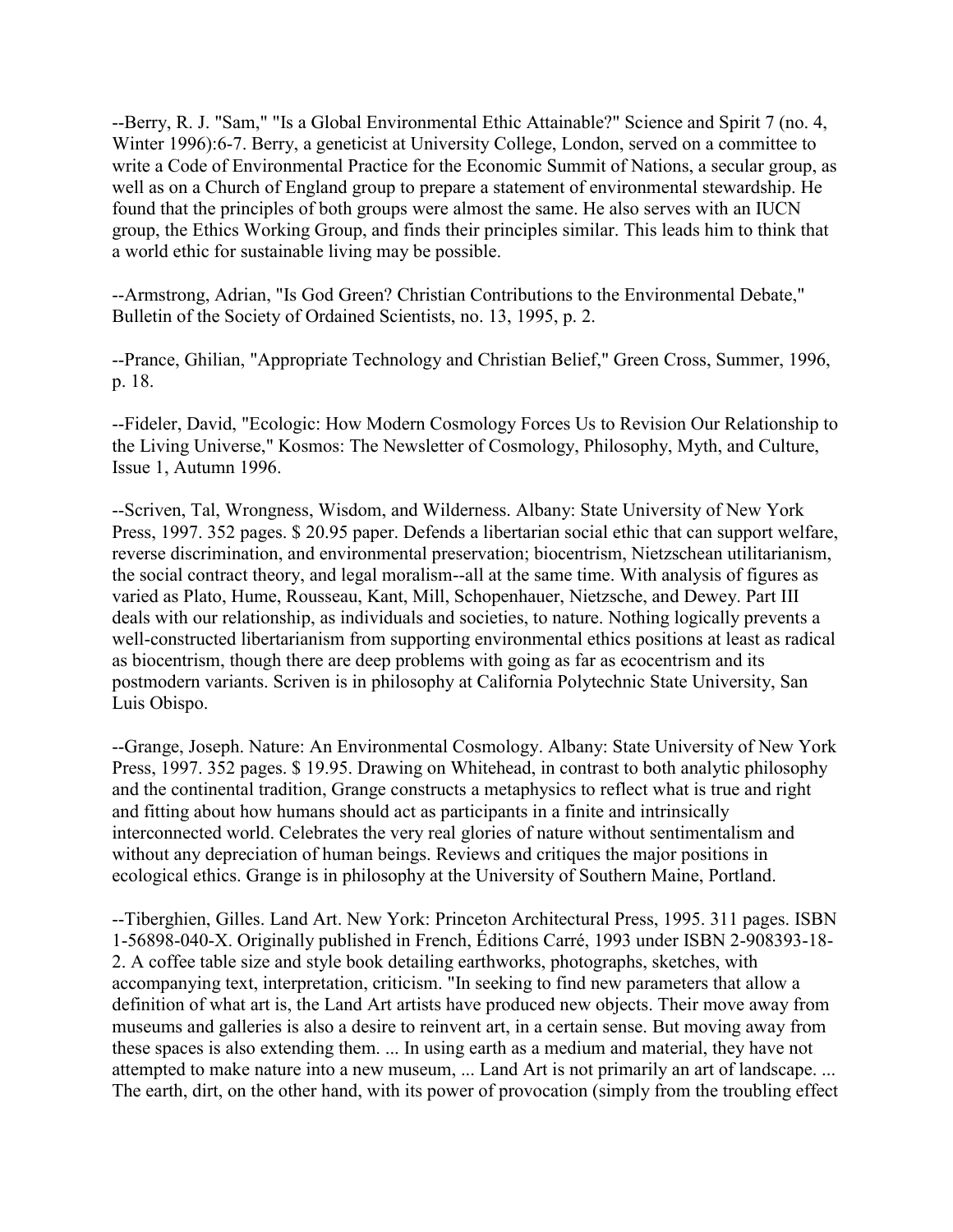--Berry, R. J. "Sam," "Is a Global Environmental Ethic Attainable?" Science and Spirit 7 (no. 4, Winter 1996):6-7. Berry, a geneticist at University College, London, served on a committee to write a Code of Environmental Practice for the Economic Summit of Nations, a secular group, as well as on a Church of England group to prepare a statement of environmental stewardship. He found that the principles of both groups were almost the same. He also serves with an IUCN group, the Ethics Working Group, and finds their principles similar. This leads him to think that a world ethic for sustainable living may be possible.

--Armstrong, Adrian, "Is God Green? Christian Contributions to the Environmental Debate," Bulletin of the Society of Ordained Scientists, no. 13, 1995, p. 2.

--Prance, Ghilian, "Appropriate Technology and Christian Belief," Green Cross, Summer, 1996, p. 18.

--Fideler, David, "Ecologic: How Modern Cosmology Forces Us to Revision Our Relationship to the Living Universe," Kosmos: The Newsletter of Cosmology, Philosophy, Myth, and Culture, Issue 1, Autumn 1996.

--Scriven, Tal, Wrongness, Wisdom, and Wilderness. Albany: State University of New York Press, 1997. 352 pages. \$ 20.95 paper. Defends a libertarian social ethic that can support welfare, reverse discrimination, and environmental preservation; biocentrism, Nietzschean utilitarianism, the social contract theory, and legal moralism--all at the same time. With analysis of figures as varied as Plato, Hume, Rousseau, Kant, Mill, Schopenhauer, Nietzsche, and Dewey. Part III deals with our relationship, as individuals and societies, to nature. Nothing logically prevents a well-constructed libertarianism from supporting environmental ethics positions at least as radical as biocentrism, though there are deep problems with going as far as ecocentrism and its postmodern variants. Scriven is in philosophy at California Polytechnic State University, San Luis Obispo.

--Grange, Joseph. Nature: An Environmental Cosmology. Albany: State University of New York Press, 1997. 352 pages. \$ 19.95. Drawing on Whitehead, in contrast to both analytic philosophy and the continental tradition, Grange constructs a metaphysics to reflect what is true and right and fitting about how humans should act as participants in a finite and intrinsically interconnected world. Celebrates the very real glories of nature without sentimentalism and without any depreciation of human beings. Reviews and critiques the major positions in ecological ethics. Grange is in philosophy at the University of Southern Maine, Portland.

--Tiberghien, Gilles. Land Art. New York: Princeton Architectural Press, 1995. 311 pages. ISBN 1-56898-040-X. Originally published in French, Éditions Carré, 1993 under ISBN 2-908393-18- 2. A coffee table size and style book detailing earthworks, photographs, sketches, with accompanying text, interpretation, criticism. "In seeking to find new parameters that allow a definition of what art is, the Land Art artists have produced new objects. Their move away from museums and galleries is also a desire to reinvent art, in a certain sense. But moving away from these spaces is also extending them. ... In using earth as a medium and material, they have not attempted to make nature into a new museum, ... Land Art is not primarily an art of landscape. ... The earth, dirt, on the other hand, with its power of provocation (simply from the troubling effect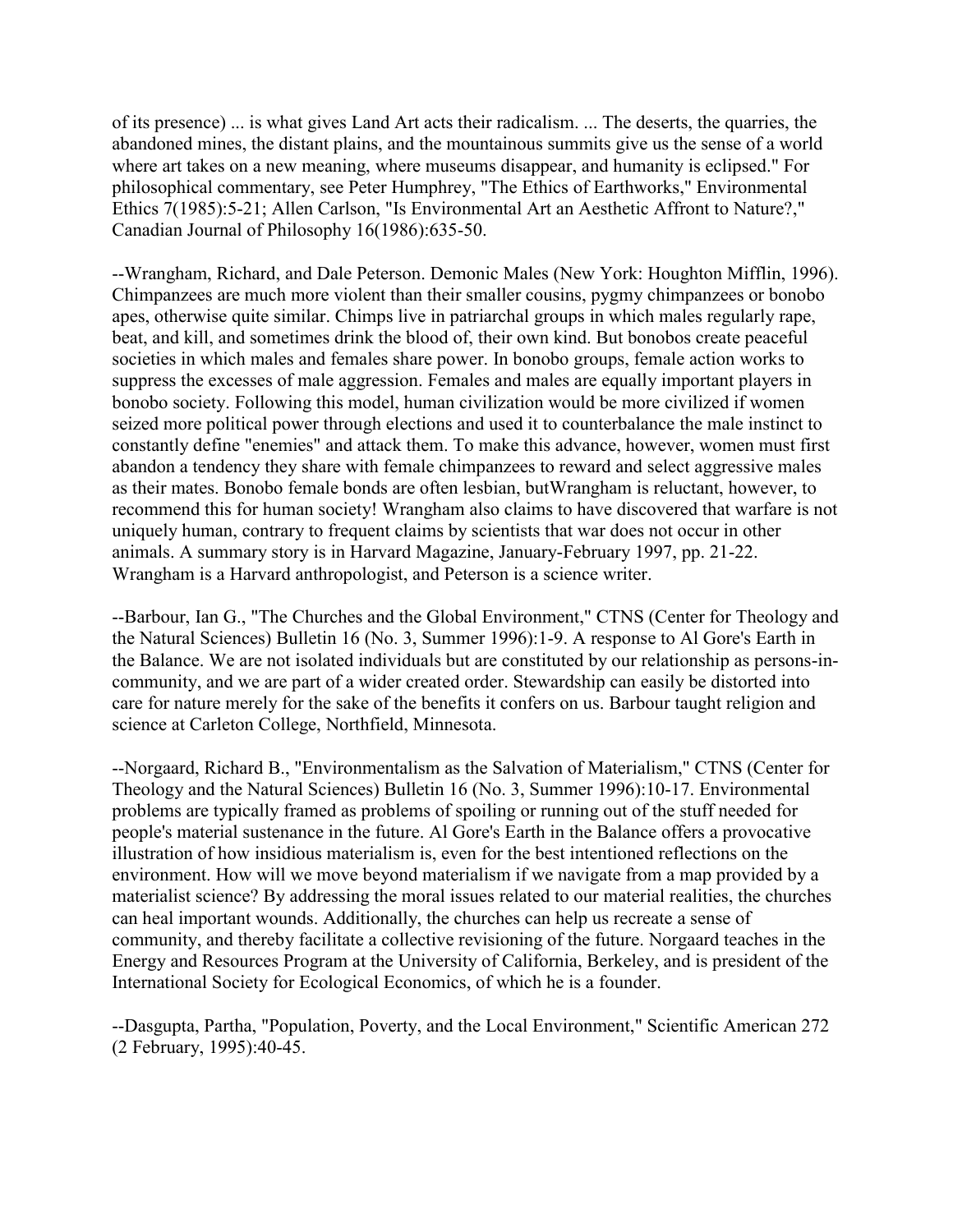of its presence) ... is what gives Land Art acts their radicalism. ... The deserts, the quarries, the abandoned mines, the distant plains, and the mountainous summits give us the sense of a world where art takes on a new meaning, where museums disappear, and humanity is eclipsed." For philosophical commentary, see Peter Humphrey, "The Ethics of Earthworks," Environmental Ethics 7(1985):5-21; Allen Carlson, "Is Environmental Art an Aesthetic Affront to Nature?," Canadian Journal of Philosophy 16(1986):635-50.

--Wrangham, Richard, and Dale Peterson. Demonic Males (New York: Houghton Mifflin, 1996). Chimpanzees are much more violent than their smaller cousins, pygmy chimpanzees or bonobo apes, otherwise quite similar. Chimps live in patriarchal groups in which males regularly rape, beat, and kill, and sometimes drink the blood of, their own kind. But bonobos create peaceful societies in which males and females share power. In bonobo groups, female action works to suppress the excesses of male aggression. Females and males are equally important players in bonobo society. Following this model, human civilization would be more civilized if women seized more political power through elections and used it to counterbalance the male instinct to constantly define "enemies" and attack them. To make this advance, however, women must first abandon a tendency they share with female chimpanzees to reward and select aggressive males as their mates. Bonobo female bonds are often lesbian, butWrangham is reluctant, however, to recommend this for human society! Wrangham also claims to have discovered that warfare is not uniquely human, contrary to frequent claims by scientists that war does not occur in other animals. A summary story is in Harvard Magazine, January-February 1997, pp. 21-22. Wrangham is a Harvard anthropologist, and Peterson is a science writer.

--Barbour, Ian G., "The Churches and the Global Environment," CTNS (Center for Theology and the Natural Sciences) Bulletin 16 (No. 3, Summer 1996):1-9. A response to Al Gore's Earth in the Balance. We are not isolated individuals but are constituted by our relationship as persons-incommunity, and we are part of a wider created order. Stewardship can easily be distorted into care for nature merely for the sake of the benefits it confers on us. Barbour taught religion and science at Carleton College, Northfield, Minnesota.

--Norgaard, Richard B., "Environmentalism as the Salvation of Materialism," CTNS (Center for Theology and the Natural Sciences) Bulletin 16 (No. 3, Summer 1996):10-17. Environmental problems are typically framed as problems of spoiling or running out of the stuff needed for people's material sustenance in the future. Al Gore's Earth in the Balance offers a provocative illustration of how insidious materialism is, even for the best intentioned reflections on the environment. How will we move beyond materialism if we navigate from a map provided by a materialist science? By addressing the moral issues related to our material realities, the churches can heal important wounds. Additionally, the churches can help us recreate a sense of community, and thereby facilitate a collective revisioning of the future. Norgaard teaches in the Energy and Resources Program at the University of California, Berkeley, and is president of the International Society for Ecological Economics, of which he is a founder.

--Dasgupta, Partha, "Population, Poverty, and the Local Environment," Scientific American 272 (2 February, 1995):40-45.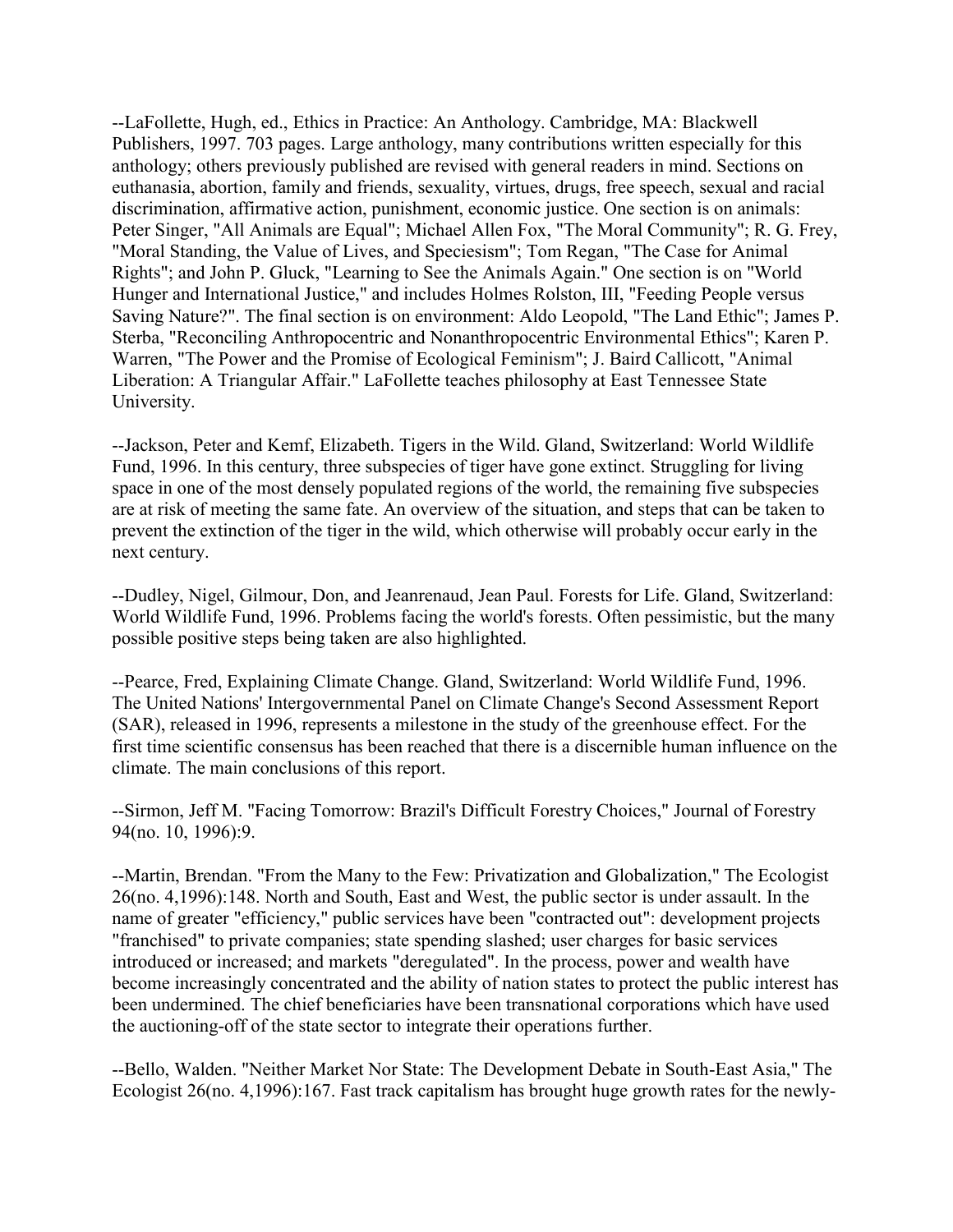--LaFollette, Hugh, ed., Ethics in Practice: An Anthology. Cambridge, MA: Blackwell Publishers, 1997. 703 pages. Large anthology, many contributions written especially for this anthology; others previously published are revised with general readers in mind. Sections on euthanasia, abortion, family and friends, sexuality, virtues, drugs, free speech, sexual and racial discrimination, affirmative action, punishment, economic justice. One section is on animals: Peter Singer, "All Animals are Equal"; Michael Allen Fox, "The Moral Community"; R. G. Frey, "Moral Standing, the Value of Lives, and Speciesism"; Tom Regan, "The Case for Animal Rights"; and John P. Gluck, "Learning to See the Animals Again." One section is on "World Hunger and International Justice," and includes Holmes Rolston, III, "Feeding People versus Saving Nature?". The final section is on environment: Aldo Leopold, "The Land Ethic"; James P. Sterba, "Reconciling Anthropocentric and Nonanthropocentric Environmental Ethics"; Karen P. Warren, "The Power and the Promise of Ecological Feminism"; J. Baird Callicott, "Animal Liberation: A Triangular Affair." LaFollette teaches philosophy at East Tennessee State University.

--Jackson, Peter and Kemf, Elizabeth. Tigers in the Wild. Gland, Switzerland: World Wildlife Fund, 1996. In this century, three subspecies of tiger have gone extinct. Struggling for living space in one of the most densely populated regions of the world, the remaining five subspecies are at risk of meeting the same fate. An overview of the situation, and steps that can be taken to prevent the extinction of the tiger in the wild, which otherwise will probably occur early in the next century.

--Dudley, Nigel, Gilmour, Don, and Jeanrenaud, Jean Paul. Forests for Life. Gland, Switzerland: World Wildlife Fund, 1996. Problems facing the world's forests. Often pessimistic, but the many possible positive steps being taken are also highlighted.

--Pearce, Fred, Explaining Climate Change. Gland, Switzerland: World Wildlife Fund, 1996. The United Nations' Intergovernmental Panel on Climate Change's Second Assessment Report (SAR), released in 1996, represents a milestone in the study of the greenhouse effect. For the first time scientific consensus has been reached that there is a discernible human influence on the climate. The main conclusions of this report.

--Sirmon, Jeff M. "Facing Tomorrow: Brazil's Difficult Forestry Choices," Journal of Forestry 94(no. 10, 1996):9.

--Martin, Brendan. "From the Many to the Few: Privatization and Globalization," The Ecologist 26(no. 4,1996):148. North and South, East and West, the public sector is under assault. In the name of greater "efficiency," public services have been "contracted out": development projects "franchised" to private companies; state spending slashed; user charges for basic services introduced or increased; and markets "deregulated". In the process, power and wealth have become increasingly concentrated and the ability of nation states to protect the public interest has been undermined. The chief beneficiaries have been transnational corporations which have used the auctioning-off of the state sector to integrate their operations further.

--Bello, Walden. "Neither Market Nor State: The Development Debate in South-East Asia," The Ecologist 26(no. 4,1996):167. Fast track capitalism has brought huge growth rates for the newly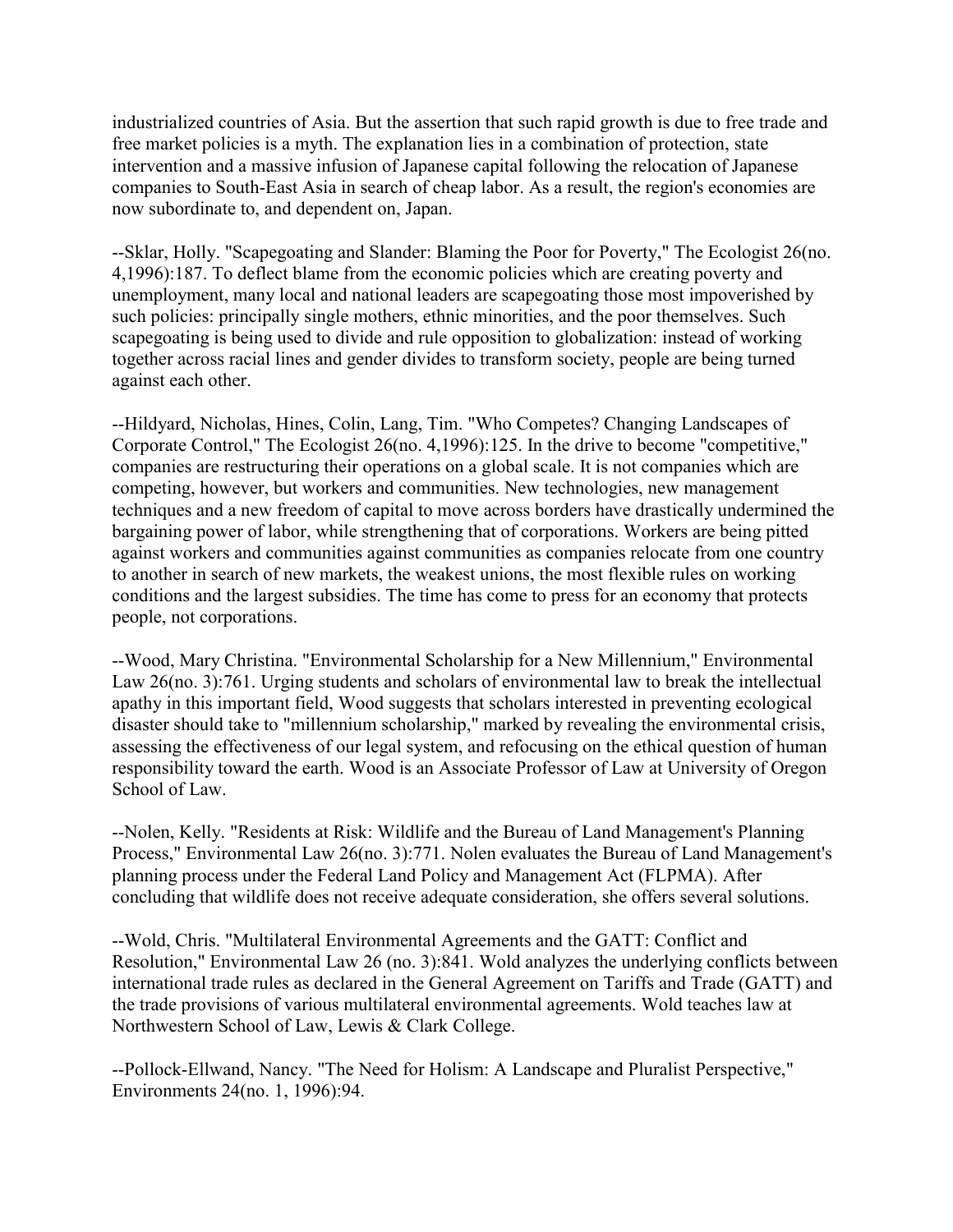industrialized countries of Asia. But the assertion that such rapid growth is due to free trade and free market policies is a myth. The explanation lies in a combination of protection, state intervention and a massive infusion of Japanese capital following the relocation of Japanese companies to South-East Asia in search of cheap labor. As a result, the region's economies are now subordinate to, and dependent on, Japan.

--Sklar, Holly. "Scapegoating and Slander: Blaming the Poor for Poverty," The Ecologist 26(no. 4,1996):187. To deflect blame from the economic policies which are creating poverty and unemployment, many local and national leaders are scapegoating those most impoverished by such policies: principally single mothers, ethnic minorities, and the poor themselves. Such scapegoating is being used to divide and rule opposition to globalization: instead of working together across racial lines and gender divides to transform society, people are being turned against each other.

--Hildyard, Nicholas, Hines, Colin, Lang, Tim. "Who Competes? Changing Landscapes of Corporate Control," The Ecologist 26(no. 4,1996):125. In the drive to become "competitive," companies are restructuring their operations on a global scale. It is not companies which are competing, however, but workers and communities. New technologies, new management techniques and a new freedom of capital to move across borders have drastically undermined the bargaining power of labor, while strengthening that of corporations. Workers are being pitted against workers and communities against communities as companies relocate from one country to another in search of new markets, the weakest unions, the most flexible rules on working conditions and the largest subsidies. The time has come to press for an economy that protects people, not corporations.

--Wood, Mary Christina. "Environmental Scholarship for a New Millennium," Environmental Law 26(no. 3):761. Urging students and scholars of environmental law to break the intellectual apathy in this important field, Wood suggests that scholars interested in preventing ecological disaster should take to "millennium scholarship," marked by revealing the environmental crisis, assessing the effectiveness of our legal system, and refocusing on the ethical question of human responsibility toward the earth. Wood is an Associate Professor of Law at University of Oregon School of Law.

--Nolen, Kelly. "Residents at Risk: Wildlife and the Bureau of Land Management's Planning Process," Environmental Law 26(no. 3):771. Nolen evaluates the Bureau of Land Management's planning process under the Federal Land Policy and Management Act (FLPMA). After concluding that wildlife does not receive adequate consideration, she offers several solutions.

--Wold, Chris. "Multilateral Environmental Agreements and the GATT: Conflict and Resolution," Environmental Law 26 (no. 3):841. Wold analyzes the underlying conflicts between international trade rules as declared in the General Agreement on Tariffs and Trade (GATT) and the trade provisions of various multilateral environmental agreements. Wold teaches law at Northwestern School of Law, Lewis & Clark College.

--Pollock-Ellwand, Nancy. "The Need for Holism: A Landscape and Pluralist Perspective," Environments 24(no. 1, 1996):94.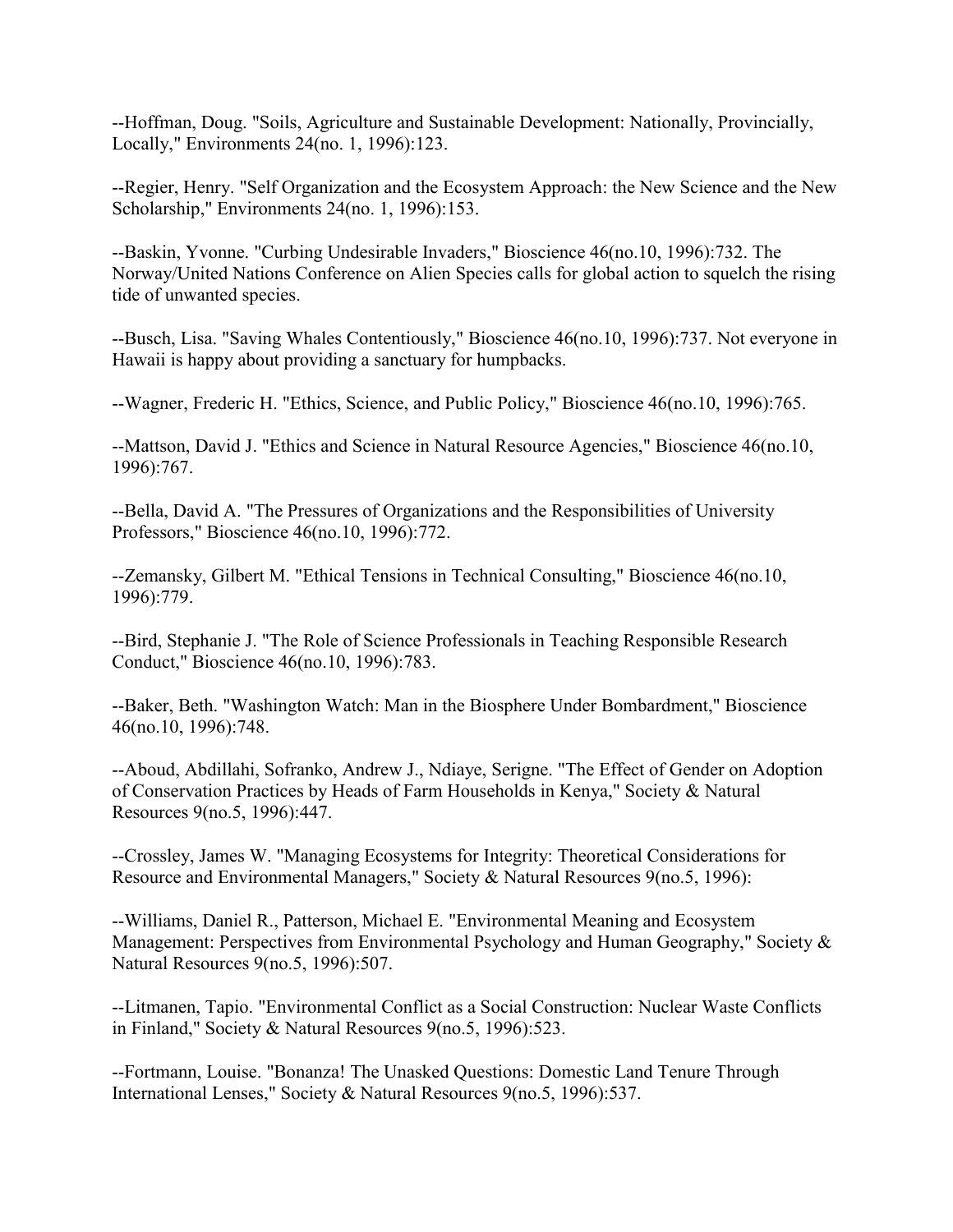--Hoffman, Doug. "Soils, Agriculture and Sustainable Development: Nationally, Provincially, Locally," Environments 24(no. 1, 1996):123.

--Regier, Henry. "Self Organization and the Ecosystem Approach: the New Science and the New Scholarship," Environments 24(no. 1, 1996):153.

--Baskin, Yvonne. "Curbing Undesirable Invaders," Bioscience 46(no.10, 1996):732. The Norway/United Nations Conference on Alien Species calls for global action to squelch the rising tide of unwanted species.

--Busch, Lisa. "Saving Whales Contentiously," Bioscience 46(no.10, 1996):737. Not everyone in Hawaii is happy about providing a sanctuary for humpbacks.

--Wagner, Frederic H. "Ethics, Science, and Public Policy," Bioscience 46(no.10, 1996):765.

--Mattson, David J. "Ethics and Science in Natural Resource Agencies," Bioscience 46(no.10, 1996):767.

--Bella, David A. "The Pressures of Organizations and the Responsibilities of University Professors," Bioscience 46(no.10, 1996):772.

--Zemansky, Gilbert M. "Ethical Tensions in Technical Consulting," Bioscience 46(no.10, 1996):779.

--Bird, Stephanie J. "The Role of Science Professionals in Teaching Responsible Research Conduct," Bioscience 46(no.10, 1996):783.

--Baker, Beth. "Washington Watch: Man in the Biosphere Under Bombardment," Bioscience 46(no.10, 1996):748.

--Aboud, Abdillahi, Sofranko, Andrew J., Ndiaye, Serigne. "The Effect of Gender on Adoption of Conservation Practices by Heads of Farm Households in Kenya," Society & Natural Resources 9(no.5, 1996):447.

--Crossley, James W. "Managing Ecosystems for Integrity: Theoretical Considerations for Resource and Environmental Managers," Society & Natural Resources 9(no.5, 1996):

--Williams, Daniel R., Patterson, Michael E. "Environmental Meaning and Ecosystem Management: Perspectives from Environmental Psychology and Human Geography," Society & Natural Resources 9(no.5, 1996):507.

--Litmanen, Tapio. "Environmental Conflict as a Social Construction: Nuclear Waste Conflicts in Finland," Society & Natural Resources 9(no.5, 1996):523.

--Fortmann, Louise. "Bonanza! The Unasked Questions: Domestic Land Tenure Through International Lenses," Society & Natural Resources 9(no.5, 1996):537.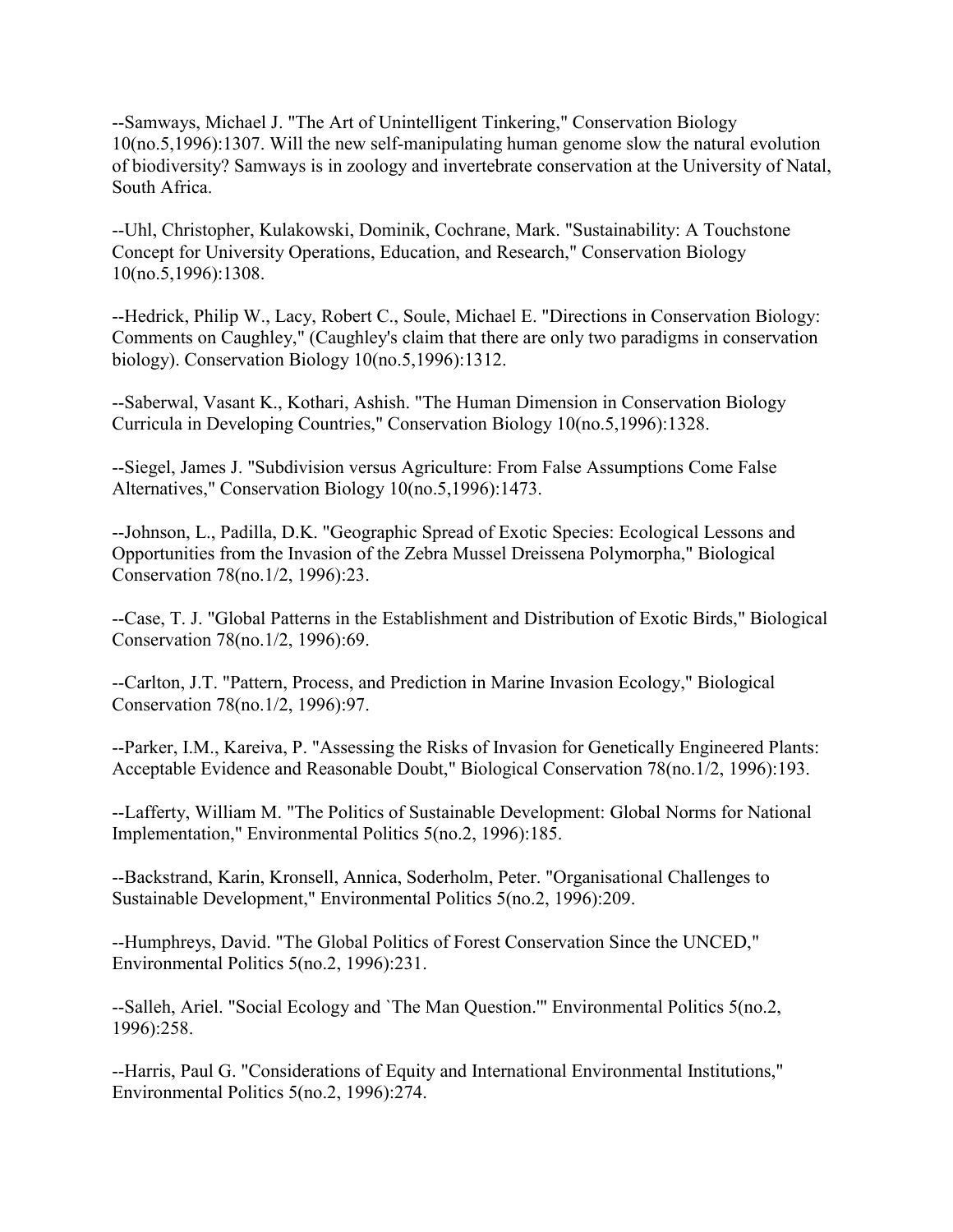--Samways, Michael J. "The Art of Unintelligent Tinkering," Conservation Biology 10(no.5,1996):1307. Will the new self-manipulating human genome slow the natural evolution of biodiversity? Samways is in zoology and invertebrate conservation at the University of Natal, South Africa.

--Uhl, Christopher, Kulakowski, Dominik, Cochrane, Mark. "Sustainability: A Touchstone Concept for University Operations, Education, and Research," Conservation Biology 10(no.5,1996):1308.

--Hedrick, Philip W., Lacy, Robert C., Soule, Michael E. "Directions in Conservation Biology: Comments on Caughley," (Caughley's claim that there are only two paradigms in conservation biology). Conservation Biology 10(no.5,1996):1312.

--Saberwal, Vasant K., Kothari, Ashish. "The Human Dimension in Conservation Biology Curricula in Developing Countries," Conservation Biology 10(no.5,1996):1328.

--Siegel, James J. "Subdivision versus Agriculture: From False Assumptions Come False Alternatives," Conservation Biology 10(no.5,1996):1473.

--Johnson, L., Padilla, D.K. "Geographic Spread of Exotic Species: Ecological Lessons and Opportunities from the Invasion of the Zebra Mussel Dreissena Polymorpha," Biological Conservation 78(no.1/2, 1996):23.

--Case, T. J. "Global Patterns in the Establishment and Distribution of Exotic Birds," Biological Conservation 78(no.1/2, 1996):69.

--Carlton, J.T. "Pattern, Process, and Prediction in Marine Invasion Ecology," Biological Conservation 78(no.1/2, 1996):97.

--Parker, I.M., Kareiva, P. "Assessing the Risks of Invasion for Genetically Engineered Plants: Acceptable Evidence and Reasonable Doubt," Biological Conservation 78(no.1/2, 1996):193.

--Lafferty, William M. "The Politics of Sustainable Development: Global Norms for National Implementation," Environmental Politics 5(no.2, 1996):185.

--Backstrand, Karin, Kronsell, Annica, Soderholm, Peter. "Organisational Challenges to Sustainable Development," Environmental Politics 5(no.2, 1996):209.

--Humphreys, David. "The Global Politics of Forest Conservation Since the UNCED," Environmental Politics 5(no.2, 1996):231.

--Salleh, Ariel. "Social Ecology and `The Man Question.'" Environmental Politics 5(no.2, 1996):258.

--Harris, Paul G. "Considerations of Equity and International Environmental Institutions," Environmental Politics 5(no.2, 1996):274.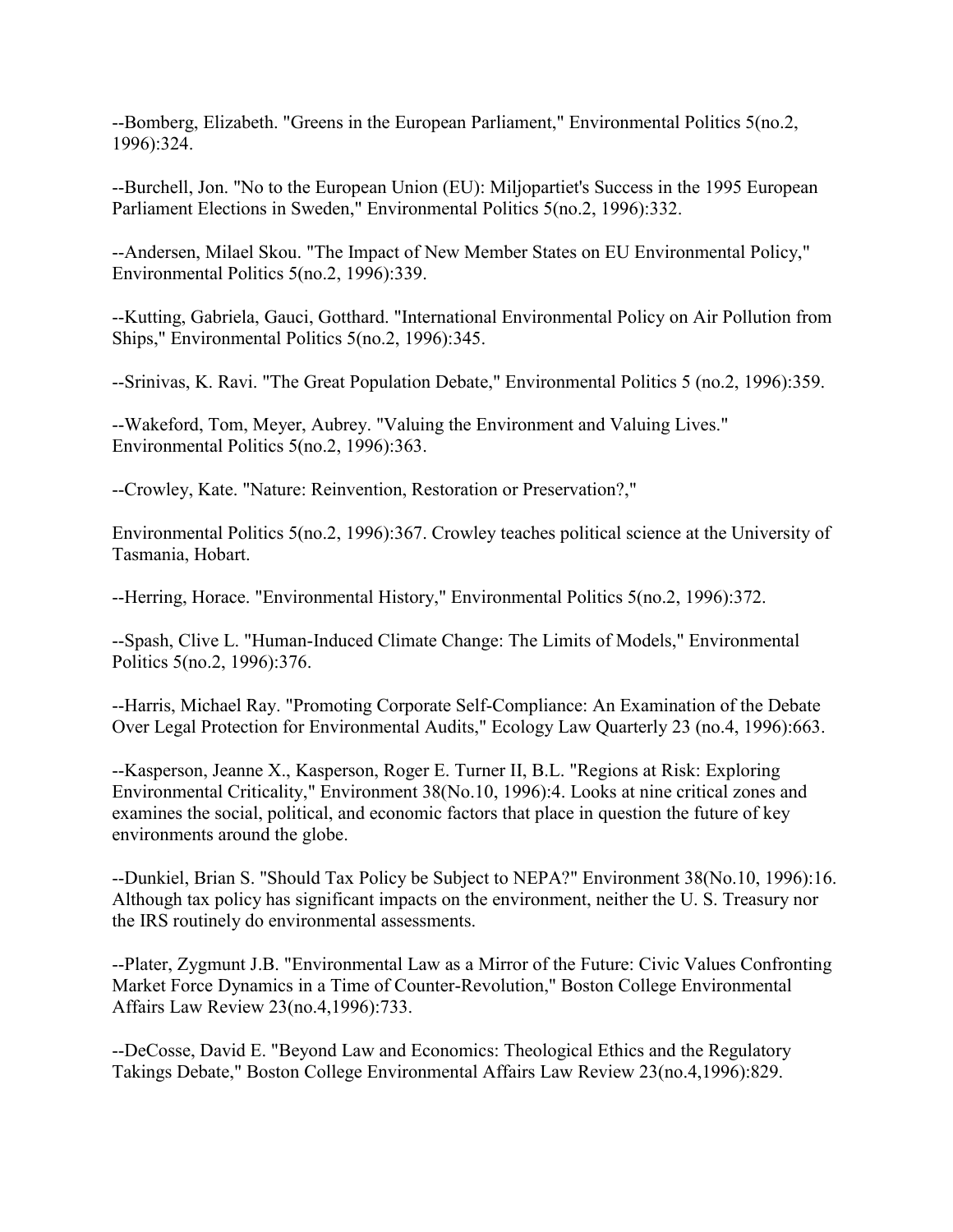--Bomberg, Elizabeth. "Greens in the European Parliament," Environmental Politics 5(no.2, 1996):324.

--Burchell, Jon. "No to the European Union (EU): Miljopartiet's Success in the 1995 European Parliament Elections in Sweden," Environmental Politics 5(no.2, 1996):332.

--Andersen, Milael Skou. "The Impact of New Member States on EU Environmental Policy," Environmental Politics 5(no.2, 1996):339.

--Kutting, Gabriela, Gauci, Gotthard. "International Environmental Policy on Air Pollution from Ships," Environmental Politics 5(no.2, 1996):345.

--Srinivas, K. Ravi. "The Great Population Debate," Environmental Politics 5 (no.2, 1996):359.

--Wakeford, Tom, Meyer, Aubrey. "Valuing the Environment and Valuing Lives." Environmental Politics 5(no.2, 1996):363.

--Crowley, Kate. "Nature: Reinvention, Restoration or Preservation?,"

Environmental Politics 5(no.2, 1996):367. Crowley teaches political science at the University of Tasmania, Hobart.

--Herring, Horace. "Environmental History," Environmental Politics 5(no.2, 1996):372.

--Spash, Clive L. "Human-Induced Climate Change: The Limits of Models," Environmental Politics 5(no.2, 1996):376.

--Harris, Michael Ray. "Promoting Corporate Self-Compliance: An Examination of the Debate Over Legal Protection for Environmental Audits," Ecology Law Quarterly 23 (no.4, 1996):663.

--Kasperson, Jeanne X., Kasperson, Roger E. Turner II, B.L. "Regions at Risk: Exploring Environmental Criticality," Environment 38(No.10, 1996):4. Looks at nine critical zones and examines the social, political, and economic factors that place in question the future of key environments around the globe.

--Dunkiel, Brian S. "Should Tax Policy be Subject to NEPA?" Environment 38(No.10, 1996):16. Although tax policy has significant impacts on the environment, neither the U. S. Treasury nor the IRS routinely do environmental assessments.

--Plater, Zygmunt J.B. "Environmental Law as a Mirror of the Future: Civic Values Confronting Market Force Dynamics in a Time of Counter-Revolution," Boston College Environmental Affairs Law Review 23(no.4,1996):733.

--DeCosse, David E. "Beyond Law and Economics: Theological Ethics and the Regulatory Takings Debate," Boston College Environmental Affairs Law Review 23(no.4,1996):829.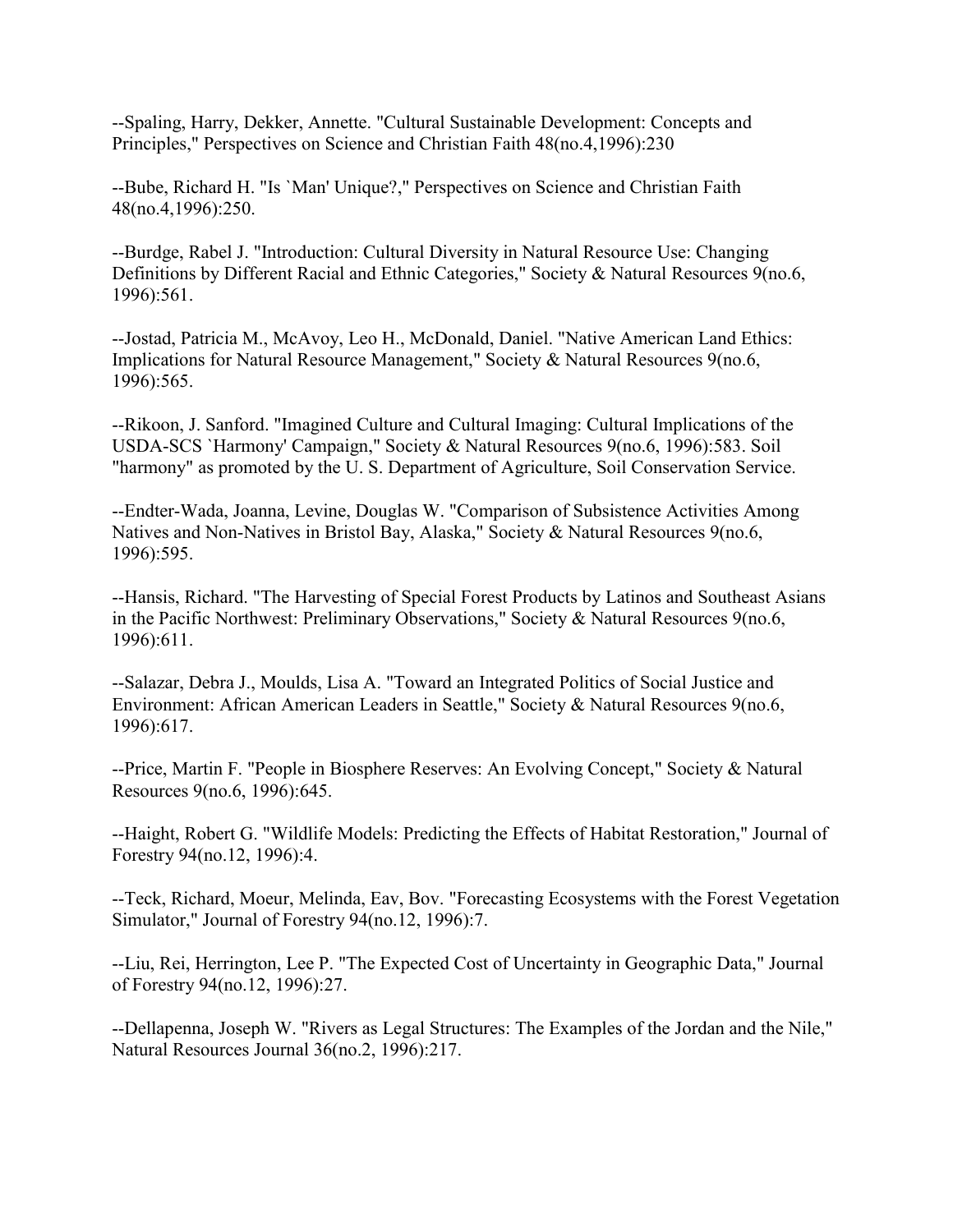--Spaling, Harry, Dekker, Annette. "Cultural Sustainable Development: Concepts and Principles," Perspectives on Science and Christian Faith 48(no.4,1996):230

--Bube, Richard H. "Is `Man' Unique?," Perspectives on Science and Christian Faith 48(no.4,1996):250.

--Burdge, Rabel J. "Introduction: Cultural Diversity in Natural Resource Use: Changing Definitions by Different Racial and Ethnic Categories," Society & Natural Resources 9(no.6, 1996):561.

--Jostad, Patricia M., McAvoy, Leo H., McDonald, Daniel. "Native American Land Ethics: Implications for Natural Resource Management," Society & Natural Resources 9(no.6, 1996):565.

--Rikoon, J. Sanford. "Imagined Culture and Cultural Imaging: Cultural Implications of the USDA-SCS `Harmony' Campaign," Society & Natural Resources 9(no.6, 1996):583. Soil "harmony" as promoted by the U. S. Department of Agriculture, Soil Conservation Service.

--Endter-Wada, Joanna, Levine, Douglas W. "Comparison of Subsistence Activities Among Natives and Non-Natives in Bristol Bay, Alaska," Society & Natural Resources 9(no.6, 1996):595.

--Hansis, Richard. "The Harvesting of Special Forest Products by Latinos and Southeast Asians in the Pacific Northwest: Preliminary Observations," Society & Natural Resources 9(no.6, 1996):611.

--Salazar, Debra J., Moulds, Lisa A. "Toward an Integrated Politics of Social Justice and Environment: African American Leaders in Seattle," Society & Natural Resources 9(no.6, 1996):617.

--Price, Martin F. "People in Biosphere Reserves: An Evolving Concept," Society & Natural Resources 9(no.6, 1996):645.

--Haight, Robert G. "Wildlife Models: Predicting the Effects of Habitat Restoration," Journal of Forestry 94(no.12, 1996):4.

--Teck, Richard, Moeur, Melinda, Eav, Bov. "Forecasting Ecosystems with the Forest Vegetation Simulator," Journal of Forestry 94(no.12, 1996):7.

--Liu, Rei, Herrington, Lee P. "The Expected Cost of Uncertainty in Geographic Data," Journal of Forestry 94(no.12, 1996):27.

--Dellapenna, Joseph W. "Rivers as Legal Structures: The Examples of the Jordan and the Nile," Natural Resources Journal 36(no.2, 1996):217.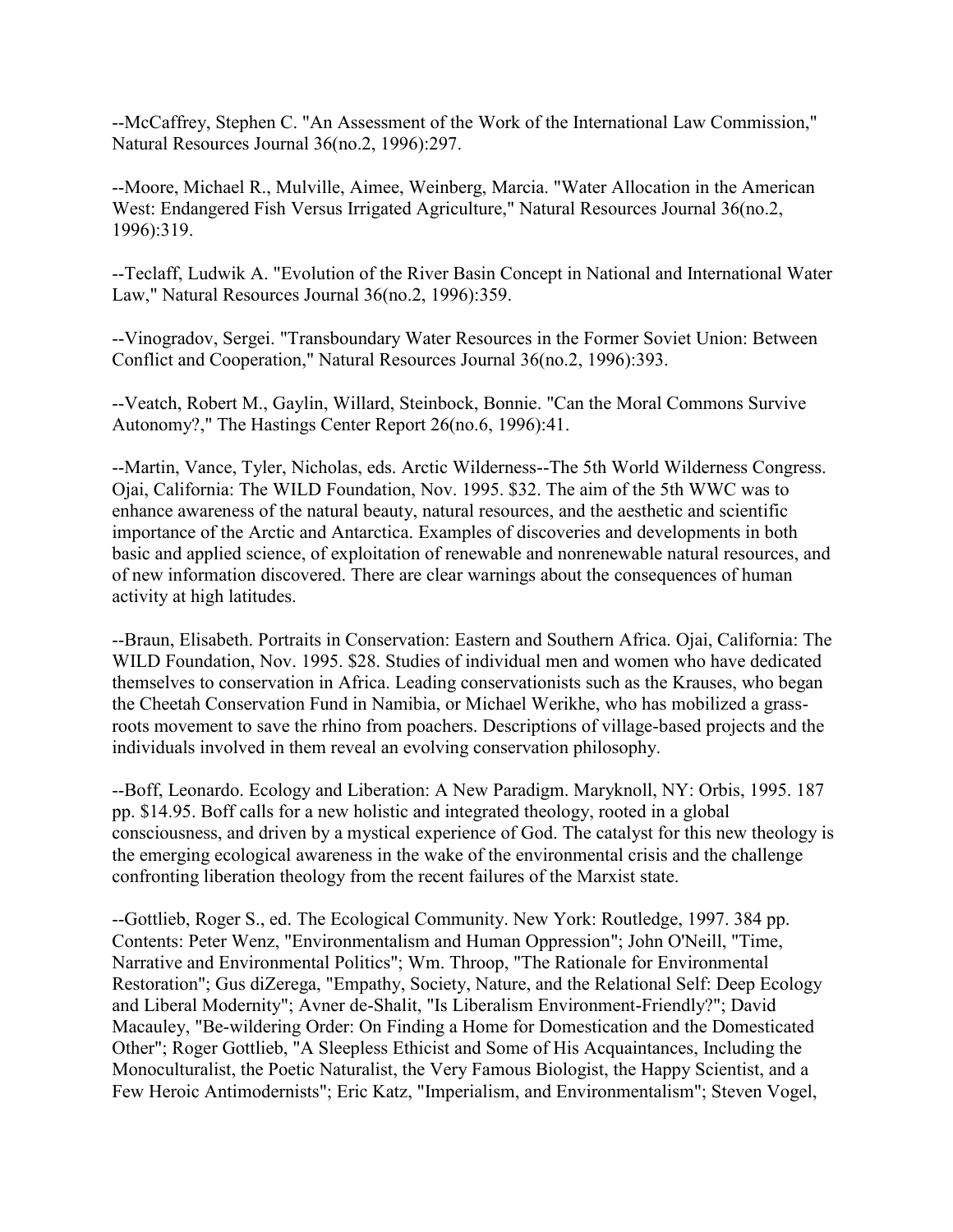--McCaffrey, Stephen C. "An Assessment of the Work of the International Law Commission," Natural Resources Journal 36(no.2, 1996):297.

--Moore, Michael R., Mulville, Aimee, Weinberg, Marcia. "Water Allocation in the American West: Endangered Fish Versus Irrigated Agriculture," Natural Resources Journal 36(no.2, 1996):319.

--Teclaff, Ludwik A. "Evolution of the River Basin Concept in National and International Water Law," Natural Resources Journal 36(no.2, 1996):359.

--Vinogradov, Sergei. "Transboundary Water Resources in the Former Soviet Union: Between Conflict and Cooperation," Natural Resources Journal 36(no.2, 1996):393.

--Veatch, Robert M., Gaylin, Willard, Steinbock, Bonnie. "Can the Moral Commons Survive Autonomy?," The Hastings Center Report 26(no.6, 1996):41.

--Martin, Vance, Tyler, Nicholas, eds. Arctic Wilderness--The 5th World Wilderness Congress. Ojai, California: The WILD Foundation, Nov. 1995. \$32. The aim of the 5th WWC was to enhance awareness of the natural beauty, natural resources, and the aesthetic and scientific importance of the Arctic and Antarctica. Examples of discoveries and developments in both basic and applied science, of exploitation of renewable and nonrenewable natural resources, and of new information discovered. There are clear warnings about the consequences of human activity at high latitudes.

--Braun, Elisabeth. Portraits in Conservation: Eastern and Southern Africa. Ojai, California: The WILD Foundation, Nov. 1995. \$28. Studies of individual men and women who have dedicated themselves to conservation in Africa. Leading conservationists such as the Krauses, who began the Cheetah Conservation Fund in Namibia, or Michael Werikhe, who has mobilized a grassroots movement to save the rhino from poachers. Descriptions of village-based projects and the individuals involved in them reveal an evolving conservation philosophy.

--Boff, Leonardo. Ecology and Liberation: A New Paradigm. Maryknoll, NY: Orbis, 1995. 187 pp. \$14.95. Boff calls for a new holistic and integrated theology, rooted in a global consciousness, and driven by a mystical experience of God. The catalyst for this new theology is the emerging ecological awareness in the wake of the environmental crisis and the challenge confronting liberation theology from the recent failures of the Marxist state.

--Gottlieb, Roger S., ed. The Ecological Community. New York: Routledge, 1997. 384 pp. Contents: Peter Wenz, "Environmentalism and Human Oppression"; John O'Neill, "Time, Narrative and Environmental Politics"; Wm. Throop, "The Rationale for Environmental Restoration"; Gus diZerega, "Empathy, Society, Nature, and the Relational Self: Deep Ecology and Liberal Modernity"; Avner de-Shalit, "Is Liberalism Environment-Friendly?"; David Macauley, "Be-wildering Order: On Finding a Home for Domestication and the Domesticated Other"; Roger Gottlieb, "A Sleepless Ethicist and Some of His Acquaintances, Including the Monoculturalist, the Poetic Naturalist, the Very Famous Biologist, the Happy Scientist, and a Few Heroic Antimodernists"; Eric Katz, "Imperialism, and Environmentalism"; Steven Vogel,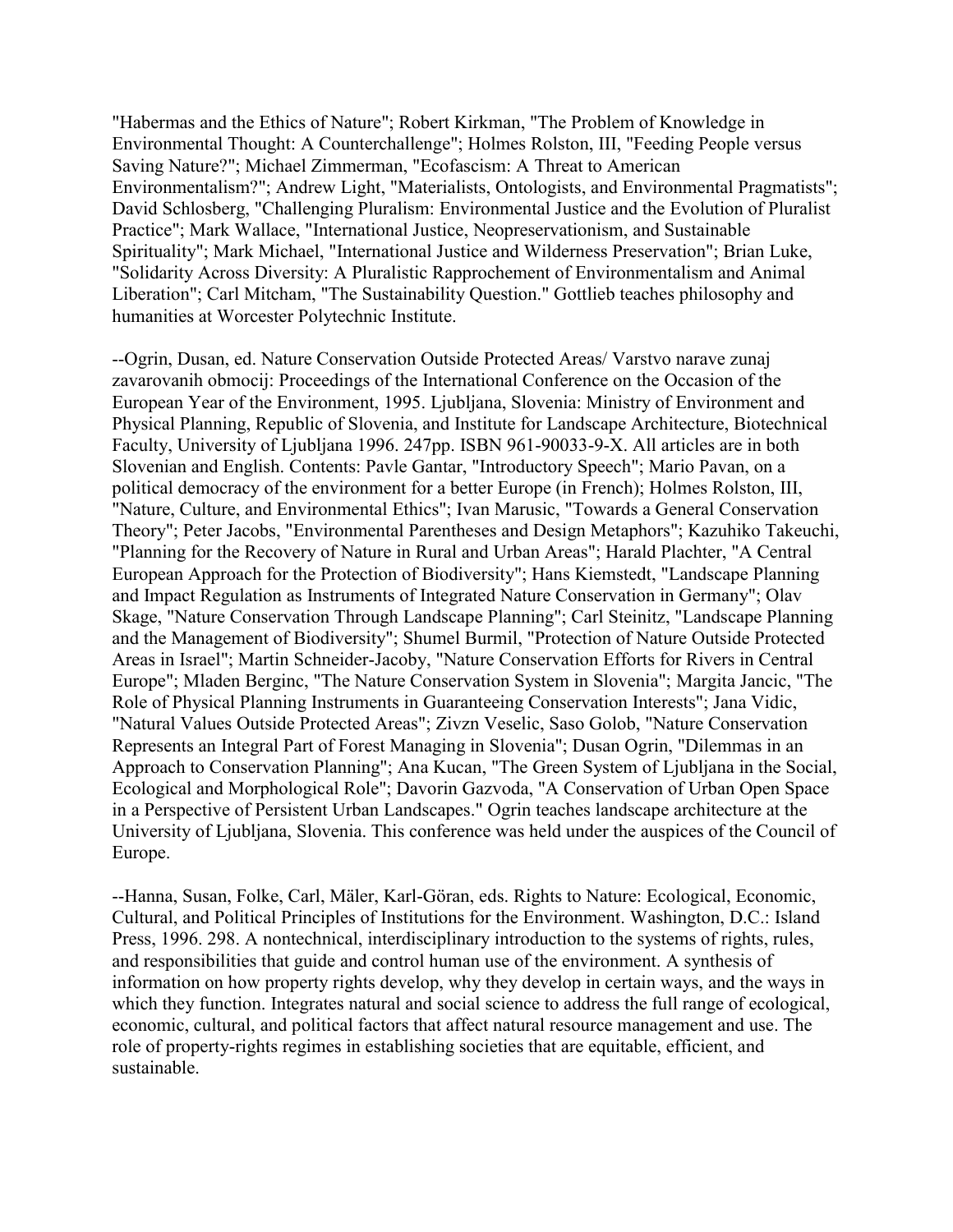"Habermas and the Ethics of Nature"; Robert Kirkman, "The Problem of Knowledge in Environmental Thought: A Counterchallenge"; Holmes Rolston, III, "Feeding People versus Saving Nature?"; Michael Zimmerman, "Ecofascism: A Threat to American Environmentalism?"; Andrew Light, "Materialists, Ontologists, and Environmental Pragmatists"; David Schlosberg, "Challenging Pluralism: Environmental Justice and the Evolution of Pluralist Practice"; Mark Wallace, "International Justice, Neopreservationism, and Sustainable Spirituality"; Mark Michael, "International Justice and Wilderness Preservation"; Brian Luke, "Solidarity Across Diversity: A Pluralistic Rapprochement of Environmentalism and Animal Liberation"; Carl Mitcham, "The Sustainability Question." Gottlieb teaches philosophy and humanities at Worcester Polytechnic Institute.

--Ogrin, Dusan, ed. Nature Conservation Outside Protected Areas/ Varstvo narave zunaj zavarovanih obmocij: Proceedings of the International Conference on the Occasion of the European Year of the Environment, 1995. Ljubljana, Slovenia: Ministry of Environment and Physical Planning, Republic of Slovenia, and Institute for Landscape Architecture, Biotechnical Faculty, University of Ljubljana 1996. 247pp. ISBN 961-90033-9-X. All articles are in both Slovenian and English. Contents: Pavle Gantar, "Introductory Speech"; Mario Pavan, on a political democracy of the environment for a better Europe (in French); Holmes Rolston, III, "Nature, Culture, and Environmental Ethics"; Ivan Marusic, "Towards a General Conservation Theory"; Peter Jacobs, "Environmental Parentheses and Design Metaphors"; Kazuhiko Takeuchi, "Planning for the Recovery of Nature in Rural and Urban Areas"; Harald Plachter, "A Central European Approach for the Protection of Biodiversity"; Hans Kiemstedt, "Landscape Planning and Impact Regulation as Instruments of Integrated Nature Conservation in Germany"; Olav Skage, "Nature Conservation Through Landscape Planning"; Carl Steinitz, "Landscape Planning and the Management of Biodiversity"; Shumel Burmil, "Protection of Nature Outside Protected Areas in Israel"; Martin Schneider-Jacoby, "Nature Conservation Efforts for Rivers in Central Europe"; Mladen Berginc, "The Nature Conservation System in Slovenia"; Margita Jancic, "The Role of Physical Planning Instruments in Guaranteeing Conservation Interests"; Jana Vidic, "Natural Values Outside Protected Areas"; Zivzn Veselic, Saso Golob, "Nature Conservation Represents an Integral Part of Forest Managing in Slovenia"; Dusan Ogrin, "Dilemmas in an Approach to Conservation Planning"; Ana Kucan, "The Green System of Ljubljana in the Social, Ecological and Morphological Role"; Davorin Gazvoda, "A Conservation of Urban Open Space in a Perspective of Persistent Urban Landscapes." Ogrin teaches landscape architecture at the University of Ljubljana, Slovenia. This conference was held under the auspices of the Council of Europe.

--Hanna, Susan, Folke, Carl, Mäler, Karl-Göran, eds. Rights to Nature: Ecological, Economic, Cultural, and Political Principles of Institutions for the Environment. Washington, D.C.: Island Press, 1996. 298. A nontechnical, interdisciplinary introduction to the systems of rights, rules, and responsibilities that guide and control human use of the environment. A synthesis of information on how property rights develop, why they develop in certain ways, and the ways in which they function. Integrates natural and social science to address the full range of ecological, economic, cultural, and political factors that affect natural resource management and use. The role of property-rights regimes in establishing societies that are equitable, efficient, and sustainable.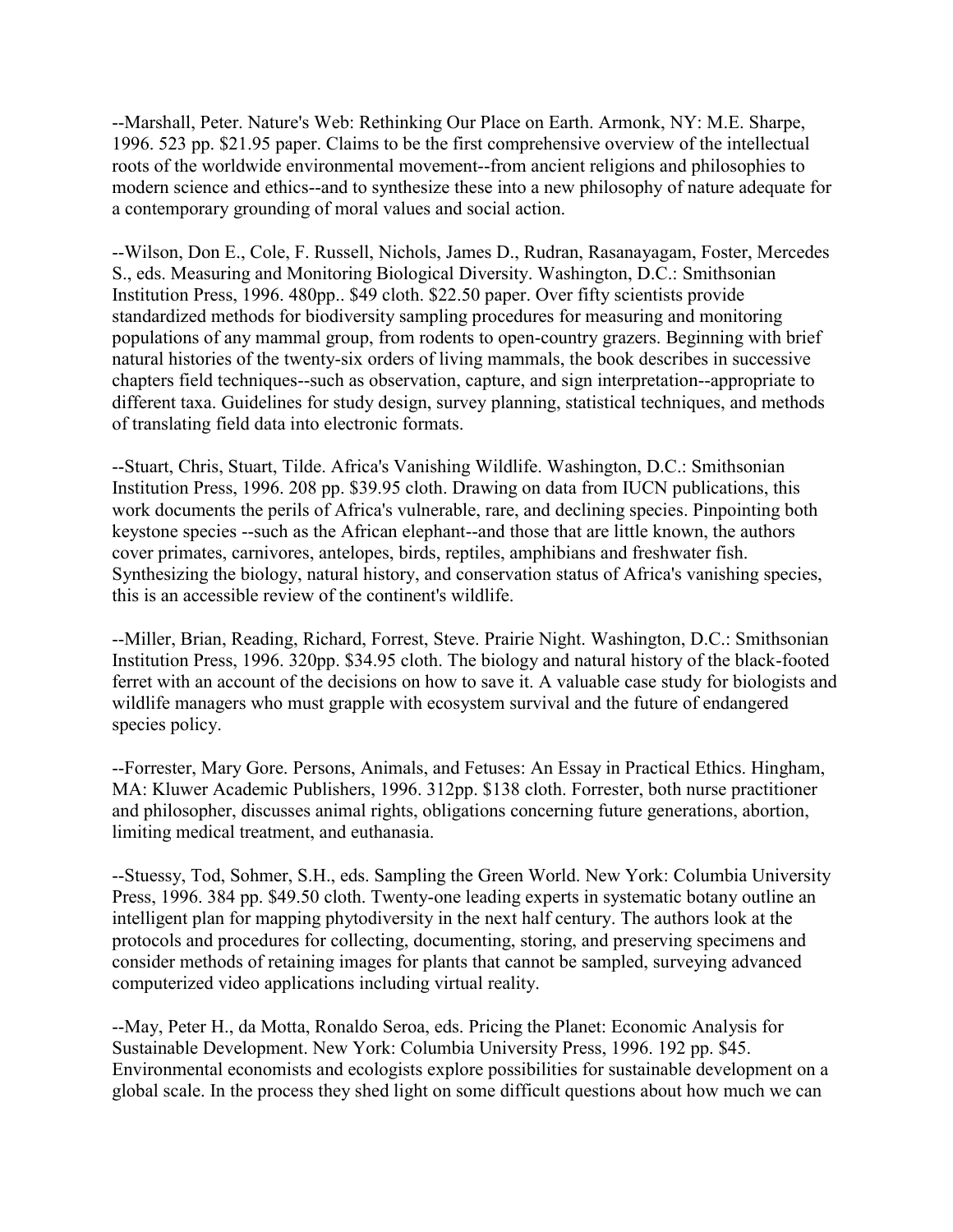--Marshall, Peter. Nature's Web: Rethinking Our Place on Earth. Armonk, NY: M.E. Sharpe, 1996. 523 pp. \$21.95 paper. Claims to be the first comprehensive overview of the intellectual roots of the worldwide environmental movement--from ancient religions and philosophies to modern science and ethics--and to synthesize these into a new philosophy of nature adequate for a contemporary grounding of moral values and social action.

--Wilson, Don E., Cole, F. Russell, Nichols, James D., Rudran, Rasanayagam, Foster, Mercedes S., eds. Measuring and Monitoring Biological Diversity. Washington, D.C.: Smithsonian Institution Press, 1996. 480pp.. \$49 cloth. \$22.50 paper. Over fifty scientists provide standardized methods for biodiversity sampling procedures for measuring and monitoring populations of any mammal group, from rodents to open-country grazers. Beginning with brief natural histories of the twenty-six orders of living mammals, the book describes in successive chapters field techniques--such as observation, capture, and sign interpretation--appropriate to different taxa. Guidelines for study design, survey planning, statistical techniques, and methods of translating field data into electronic formats.

--Stuart, Chris, Stuart, Tilde. Africa's Vanishing Wildlife. Washington, D.C.: Smithsonian Institution Press, 1996. 208 pp. \$39.95 cloth. Drawing on data from IUCN publications, this work documents the perils of Africa's vulnerable, rare, and declining species. Pinpointing both keystone species --such as the African elephant--and those that are little known, the authors cover primates, carnivores, antelopes, birds, reptiles, amphibians and freshwater fish. Synthesizing the biology, natural history, and conservation status of Africa's vanishing species, this is an accessible review of the continent's wildlife.

--Miller, Brian, Reading, Richard, Forrest, Steve. Prairie Night. Washington, D.C.: Smithsonian Institution Press, 1996. 320pp. \$34.95 cloth. The biology and natural history of the black-footed ferret with an account of the decisions on how to save it. A valuable case study for biologists and wildlife managers who must grapple with ecosystem survival and the future of endangered species policy.

--Forrester, Mary Gore. Persons, Animals, and Fetuses: An Essay in Practical Ethics. Hingham, MA: Kluwer Academic Publishers, 1996. 312pp. \$138 cloth. Forrester, both nurse practitioner and philosopher, discusses animal rights, obligations concerning future generations, abortion, limiting medical treatment, and euthanasia.

--Stuessy, Tod, Sohmer, S.H., eds. Sampling the Green World. New York: Columbia University Press, 1996. 384 pp. \$49.50 cloth. Twenty-one leading experts in systematic botany outline an intelligent plan for mapping phytodiversity in the next half century. The authors look at the protocols and procedures for collecting, documenting, storing, and preserving specimens and consider methods of retaining images for plants that cannot be sampled, surveying advanced computerized video applications including virtual reality.

--May, Peter H., da Motta, Ronaldo Seroa, eds. Pricing the Planet: Economic Analysis for Sustainable Development. New York: Columbia University Press, 1996. 192 pp. \$45. Environmental economists and ecologists explore possibilities for sustainable development on a global scale. In the process they shed light on some difficult questions about how much we can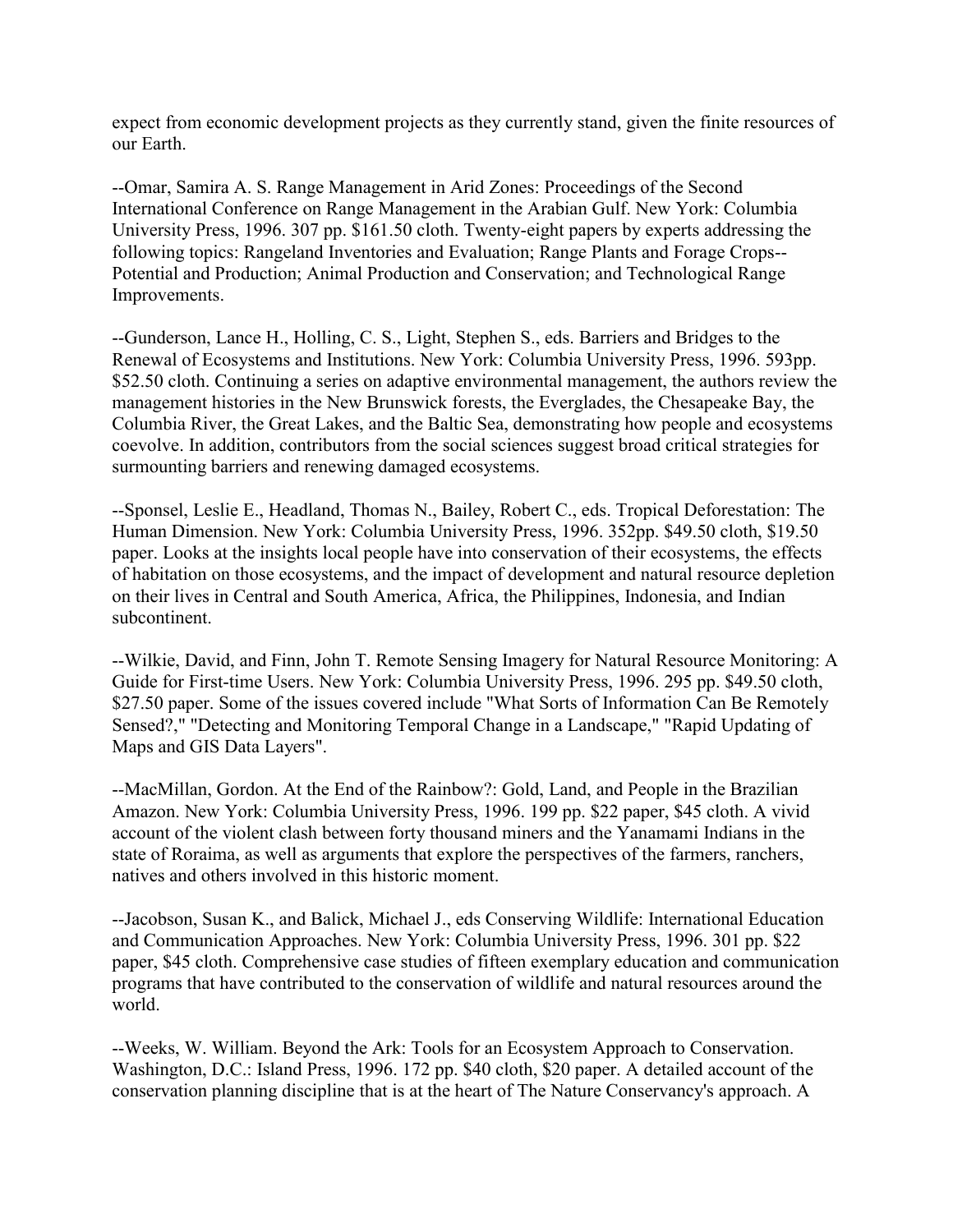expect from economic development projects as they currently stand, given the finite resources of our Earth.

--Omar, Samira A. S. Range Management in Arid Zones: Proceedings of the Second International Conference on Range Management in the Arabian Gulf. New York: Columbia University Press, 1996. 307 pp. \$161.50 cloth. Twenty-eight papers by experts addressing the following topics: Rangeland Inventories and Evaluation; Range Plants and Forage Crops-- Potential and Production; Animal Production and Conservation; and Technological Range Improvements.

--Gunderson, Lance H., Holling, C. S., Light, Stephen S., eds. Barriers and Bridges to the Renewal of Ecosystems and Institutions. New York: Columbia University Press, 1996. 593pp. \$52.50 cloth. Continuing a series on adaptive environmental management, the authors review the management histories in the New Brunswick forests, the Everglades, the Chesapeake Bay, the Columbia River, the Great Lakes, and the Baltic Sea, demonstrating how people and ecosystems coevolve. In addition, contributors from the social sciences suggest broad critical strategies for surmounting barriers and renewing damaged ecosystems.

--Sponsel, Leslie E., Headland, Thomas N., Bailey, Robert C., eds. Tropical Deforestation: The Human Dimension. New York: Columbia University Press, 1996. 352pp. \$49.50 cloth, \$19.50 paper. Looks at the insights local people have into conservation of their ecosystems, the effects of habitation on those ecosystems, and the impact of development and natural resource depletion on their lives in Central and South America, Africa, the Philippines, Indonesia, and Indian subcontinent.

--Wilkie, David, and Finn, John T. Remote Sensing Imagery for Natural Resource Monitoring: A Guide for First-time Users. New York: Columbia University Press, 1996. 295 pp. \$49.50 cloth, \$27.50 paper. Some of the issues covered include "What Sorts of Information Can Be Remotely Sensed?," "Detecting and Monitoring Temporal Change in a Landscape," "Rapid Updating of Maps and GIS Data Layers".

--MacMillan, Gordon. At the End of the Rainbow?: Gold, Land, and People in the Brazilian Amazon. New York: Columbia University Press, 1996. 199 pp. \$22 paper, \$45 cloth. A vivid account of the violent clash between forty thousand miners and the Yanamami Indians in the state of Roraima, as well as arguments that explore the perspectives of the farmers, ranchers, natives and others involved in this historic moment.

--Jacobson, Susan K., and Balick, Michael J., eds Conserving Wildlife: International Education and Communication Approaches. New York: Columbia University Press, 1996. 301 pp. \$22 paper, \$45 cloth. Comprehensive case studies of fifteen exemplary education and communication programs that have contributed to the conservation of wildlife and natural resources around the world.

--Weeks, W. William. Beyond the Ark: Tools for an Ecosystem Approach to Conservation. Washington, D.C.: Island Press, 1996. 172 pp. \$40 cloth, \$20 paper. A detailed account of the conservation planning discipline that is at the heart of The Nature Conservancy's approach. A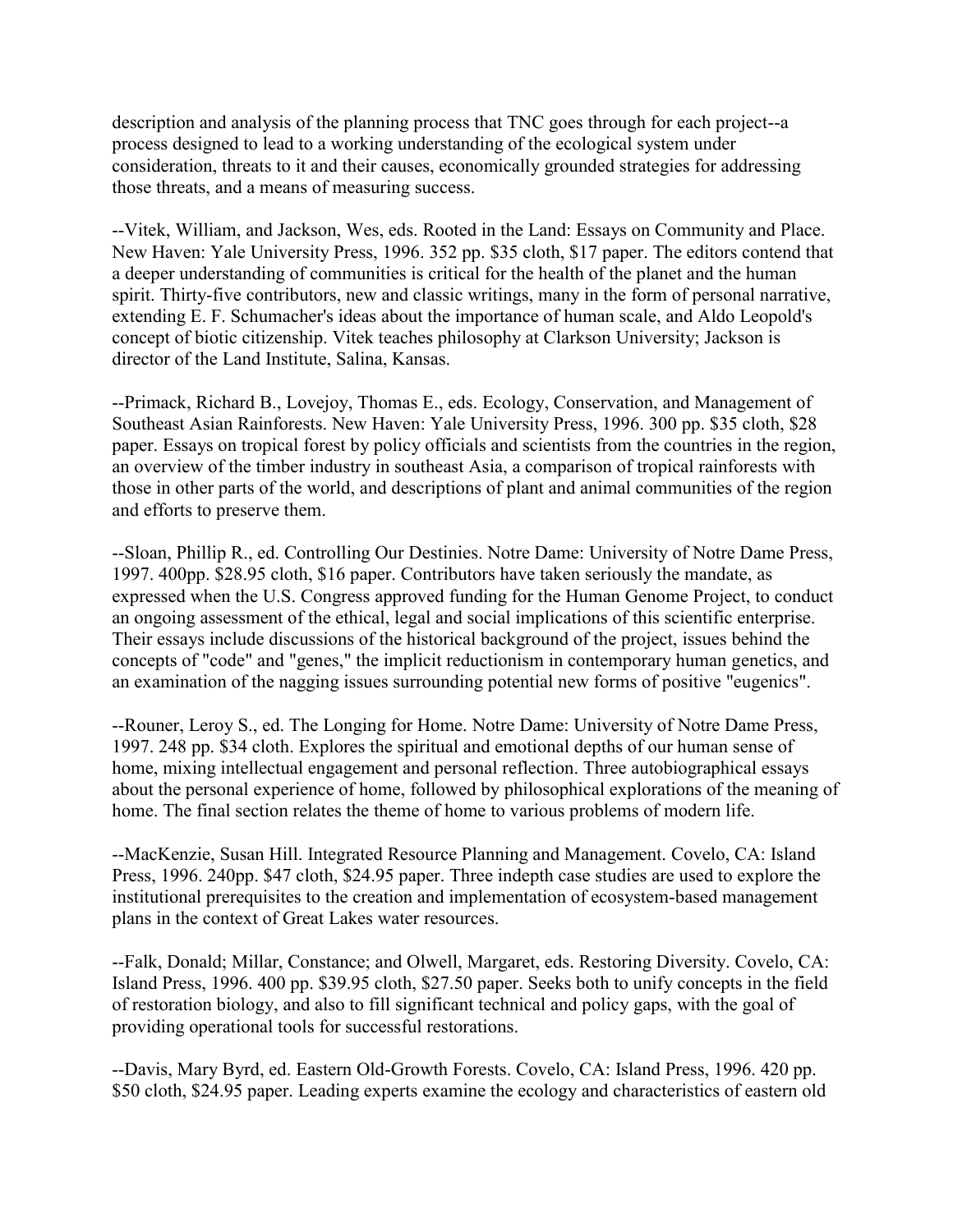description and analysis of the planning process that TNC goes through for each project--a process designed to lead to a working understanding of the ecological system under consideration, threats to it and their causes, economically grounded strategies for addressing those threats, and a means of measuring success.

--Vitek, William, and Jackson, Wes, eds. Rooted in the Land: Essays on Community and Place. New Haven: Yale University Press, 1996. 352 pp. \$35 cloth, \$17 paper. The editors contend that a deeper understanding of communities is critical for the health of the planet and the human spirit. Thirty-five contributors, new and classic writings, many in the form of personal narrative, extending E. F. Schumacher's ideas about the importance of human scale, and Aldo Leopold's concept of biotic citizenship. Vitek teaches philosophy at Clarkson University; Jackson is director of the Land Institute, Salina, Kansas.

--Primack, Richard B., Lovejoy, Thomas E., eds. Ecology, Conservation, and Management of Southeast Asian Rainforests. New Haven: Yale University Press, 1996. 300 pp. \$35 cloth, \$28 paper. Essays on tropical forest by policy officials and scientists from the countries in the region, an overview of the timber industry in southeast Asia, a comparison of tropical rainforests with those in other parts of the world, and descriptions of plant and animal communities of the region and efforts to preserve them.

--Sloan, Phillip R., ed. Controlling Our Destinies. Notre Dame: University of Notre Dame Press, 1997. 400pp. \$28.95 cloth, \$16 paper. Contributors have taken seriously the mandate, as expressed when the U.S. Congress approved funding for the Human Genome Project, to conduct an ongoing assessment of the ethical, legal and social implications of this scientific enterprise. Their essays include discussions of the historical background of the project, issues behind the concepts of "code" and "genes," the implicit reductionism in contemporary human genetics, and an examination of the nagging issues surrounding potential new forms of positive "eugenics".

--Rouner, Leroy S., ed. The Longing for Home. Notre Dame: University of Notre Dame Press, 1997. 248 pp. \$34 cloth. Explores the spiritual and emotional depths of our human sense of home, mixing intellectual engagement and personal reflection. Three autobiographical essays about the personal experience of home, followed by philosophical explorations of the meaning of home. The final section relates the theme of home to various problems of modern life.

--MacKenzie, Susan Hill. Integrated Resource Planning and Management. Covelo, CA: Island Press, 1996. 240pp. \$47 cloth, \$24.95 paper. Three indepth case studies are used to explore the institutional prerequisites to the creation and implementation of ecosystem-based management plans in the context of Great Lakes water resources.

--Falk, Donald; Millar, Constance; and Olwell, Margaret, eds. Restoring Diversity. Covelo, CA: Island Press, 1996. 400 pp. \$39.95 cloth, \$27.50 paper. Seeks both to unify concepts in the field of restoration biology, and also to fill significant technical and policy gaps, with the goal of providing operational tools for successful restorations.

--Davis, Mary Byrd, ed. Eastern Old-Growth Forests. Covelo, CA: Island Press, 1996. 420 pp. \$50 cloth, \$24.95 paper. Leading experts examine the ecology and characteristics of eastern old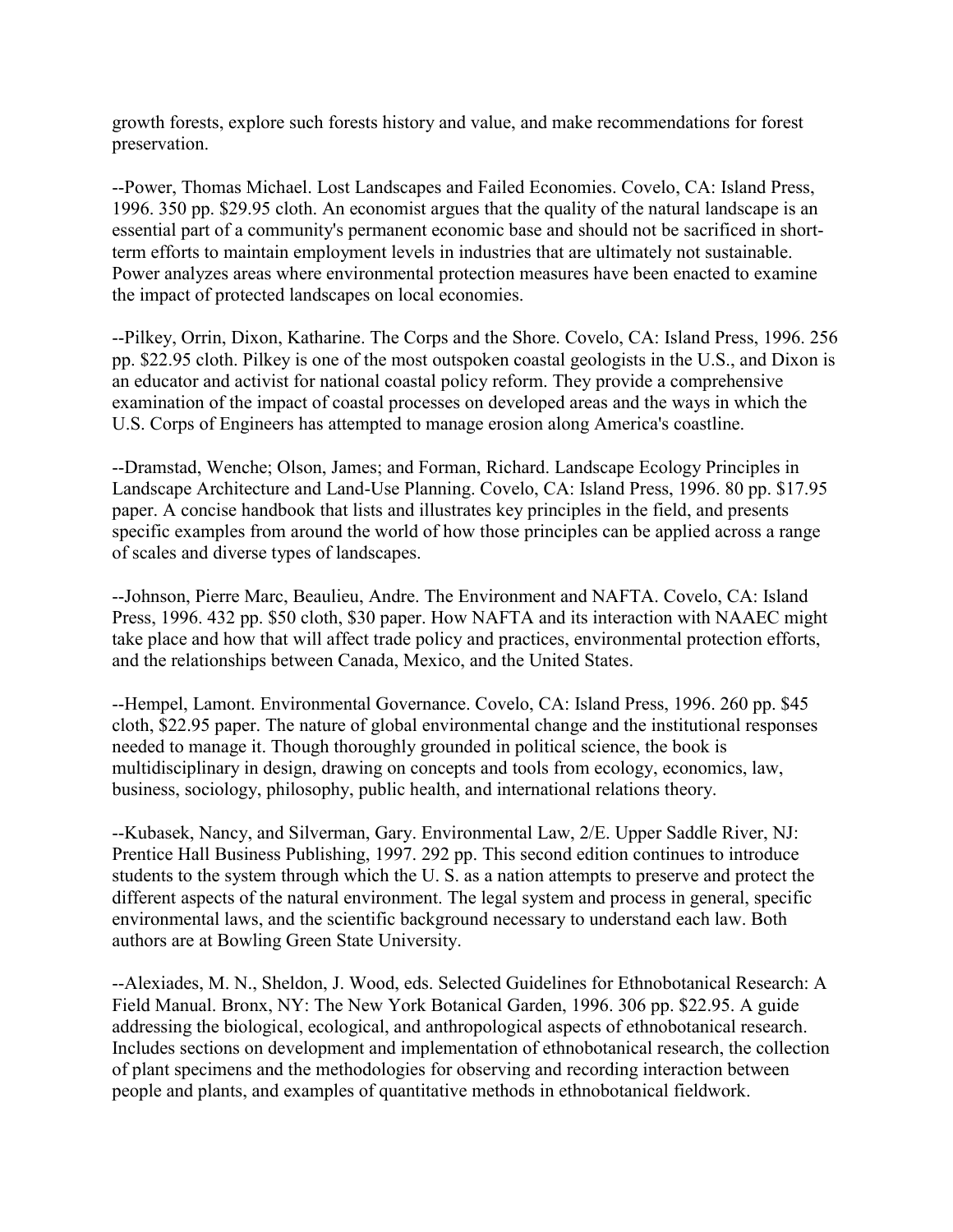growth forests, explore such forests history and value, and make recommendations for forest preservation.

--Power, Thomas Michael. Lost Landscapes and Failed Economies. Covelo, CA: Island Press, 1996. 350 pp. \$29.95 cloth. An economist argues that the quality of the natural landscape is an essential part of a community's permanent economic base and should not be sacrificed in shortterm efforts to maintain employment levels in industries that are ultimately not sustainable. Power analyzes areas where environmental protection measures have been enacted to examine the impact of protected landscapes on local economies.

--Pilkey, Orrin, Dixon, Katharine. The Corps and the Shore. Covelo, CA: Island Press, 1996. 256 pp. \$22.95 cloth. Pilkey is one of the most outspoken coastal geologists in the U.S., and Dixon is an educator and activist for national coastal policy reform. They provide a comprehensive examination of the impact of coastal processes on developed areas and the ways in which the U.S. Corps of Engineers has attempted to manage erosion along America's coastline.

--Dramstad, Wenche; Olson, James; and Forman, Richard. Landscape Ecology Principles in Landscape Architecture and Land-Use Planning. Covelo, CA: Island Press, 1996. 80 pp. \$17.95 paper. A concise handbook that lists and illustrates key principles in the field, and presents specific examples from around the world of how those principles can be applied across a range of scales and diverse types of landscapes.

--Johnson, Pierre Marc, Beaulieu, Andre. The Environment and NAFTA. Covelo, CA: Island Press, 1996. 432 pp. \$50 cloth, \$30 paper. How NAFTA and its interaction with NAAEC might take place and how that will affect trade policy and practices, environmental protection efforts, and the relationships between Canada, Mexico, and the United States.

--Hempel, Lamont. Environmental Governance. Covelo, CA: Island Press, 1996. 260 pp. \$45 cloth, \$22.95 paper. The nature of global environmental change and the institutional responses needed to manage it. Though thoroughly grounded in political science, the book is multidisciplinary in design, drawing on concepts and tools from ecology, economics, law, business, sociology, philosophy, public health, and international relations theory.

--Kubasek, Nancy, and Silverman, Gary. Environmental Law, 2/E. Upper Saddle River, NJ: Prentice Hall Business Publishing, 1997. 292 pp. This second edition continues to introduce students to the system through which the U. S. as a nation attempts to preserve and protect the different aspects of the natural environment. The legal system and process in general, specific environmental laws, and the scientific background necessary to understand each law. Both authors are at Bowling Green State University.

--Alexiades, M. N., Sheldon, J. Wood, eds. Selected Guidelines for Ethnobotanical Research: A Field Manual. Bronx, NY: The New York Botanical Garden, 1996. 306 pp. \$22.95. A guide addressing the biological, ecological, and anthropological aspects of ethnobotanical research. Includes sections on development and implementation of ethnobotanical research, the collection of plant specimens and the methodologies for observing and recording interaction between people and plants, and examples of quantitative methods in ethnobotanical fieldwork.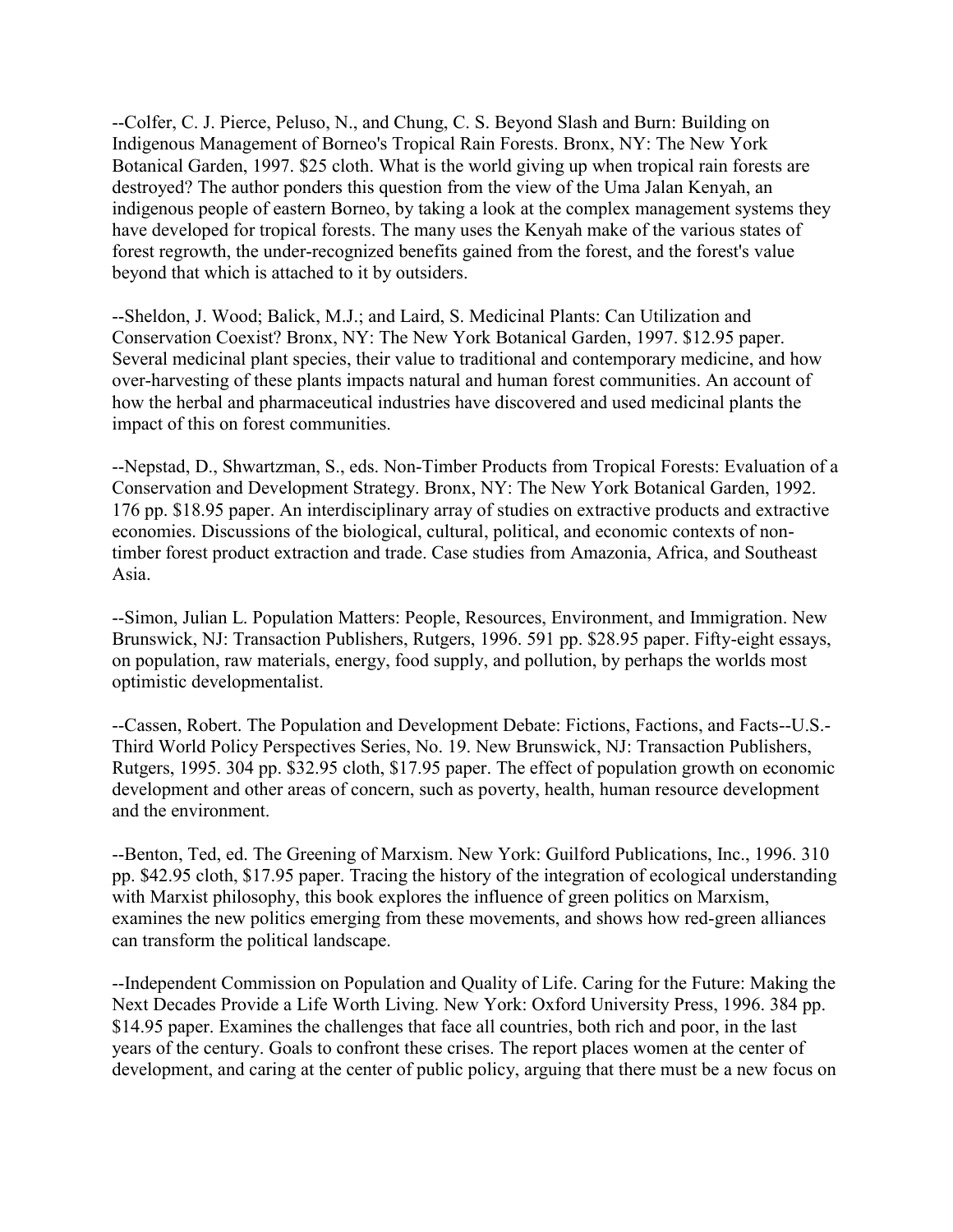--Colfer, C. J. Pierce, Peluso, N., and Chung, C. S. Beyond Slash and Burn: Building on Indigenous Management of Borneo's Tropical Rain Forests. Bronx, NY: The New York Botanical Garden, 1997. \$25 cloth. What is the world giving up when tropical rain forests are destroyed? The author ponders this question from the view of the Uma Jalan Kenyah, an indigenous people of eastern Borneo, by taking a look at the complex management systems they have developed for tropical forests. The many uses the Kenyah make of the various states of forest regrowth, the under-recognized benefits gained from the forest, and the forest's value beyond that which is attached to it by outsiders.

--Sheldon, J. Wood; Balick, M.J.; and Laird, S. Medicinal Plants: Can Utilization and Conservation Coexist? Bronx, NY: The New York Botanical Garden, 1997. \$12.95 paper. Several medicinal plant species, their value to traditional and contemporary medicine, and how over-harvesting of these plants impacts natural and human forest communities. An account of how the herbal and pharmaceutical industries have discovered and used medicinal plants the impact of this on forest communities.

--Nepstad, D., Shwartzman, S., eds. Non-Timber Products from Tropical Forests: Evaluation of a Conservation and Development Strategy. Bronx, NY: The New York Botanical Garden, 1992. 176 pp. \$18.95 paper. An interdisciplinary array of studies on extractive products and extractive economies. Discussions of the biological, cultural, political, and economic contexts of nontimber forest product extraction and trade. Case studies from Amazonia, Africa, and Southeast Asia.

--Simon, Julian L. Population Matters: People, Resources, Environment, and Immigration. New Brunswick, NJ: Transaction Publishers, Rutgers, 1996. 591 pp. \$28.95 paper. Fifty-eight essays, on population, raw materials, energy, food supply, and pollution, by perhaps the worlds most optimistic developmentalist.

--Cassen, Robert. The Population and Development Debate: Fictions, Factions, and Facts--U.S.- Third World Policy Perspectives Series, No. 19. New Brunswick, NJ: Transaction Publishers, Rutgers, 1995. 304 pp. \$32.95 cloth, \$17.95 paper. The effect of population growth on economic development and other areas of concern, such as poverty, health, human resource development and the environment.

--Benton, Ted, ed. The Greening of Marxism. New York: Guilford Publications, Inc., 1996. 310 pp. \$42.95 cloth, \$17.95 paper. Tracing the history of the integration of ecological understanding with Marxist philosophy, this book explores the influence of green politics on Marxism, examines the new politics emerging from these movements, and shows how red-green alliances can transform the political landscape.

--Independent Commission on Population and Quality of Life. Caring for the Future: Making the Next Decades Provide a Life Worth Living. New York: Oxford University Press, 1996. 384 pp. \$14.95 paper. Examines the challenges that face all countries, both rich and poor, in the last years of the century. Goals to confront these crises. The report places women at the center of development, and caring at the center of public policy, arguing that there must be a new focus on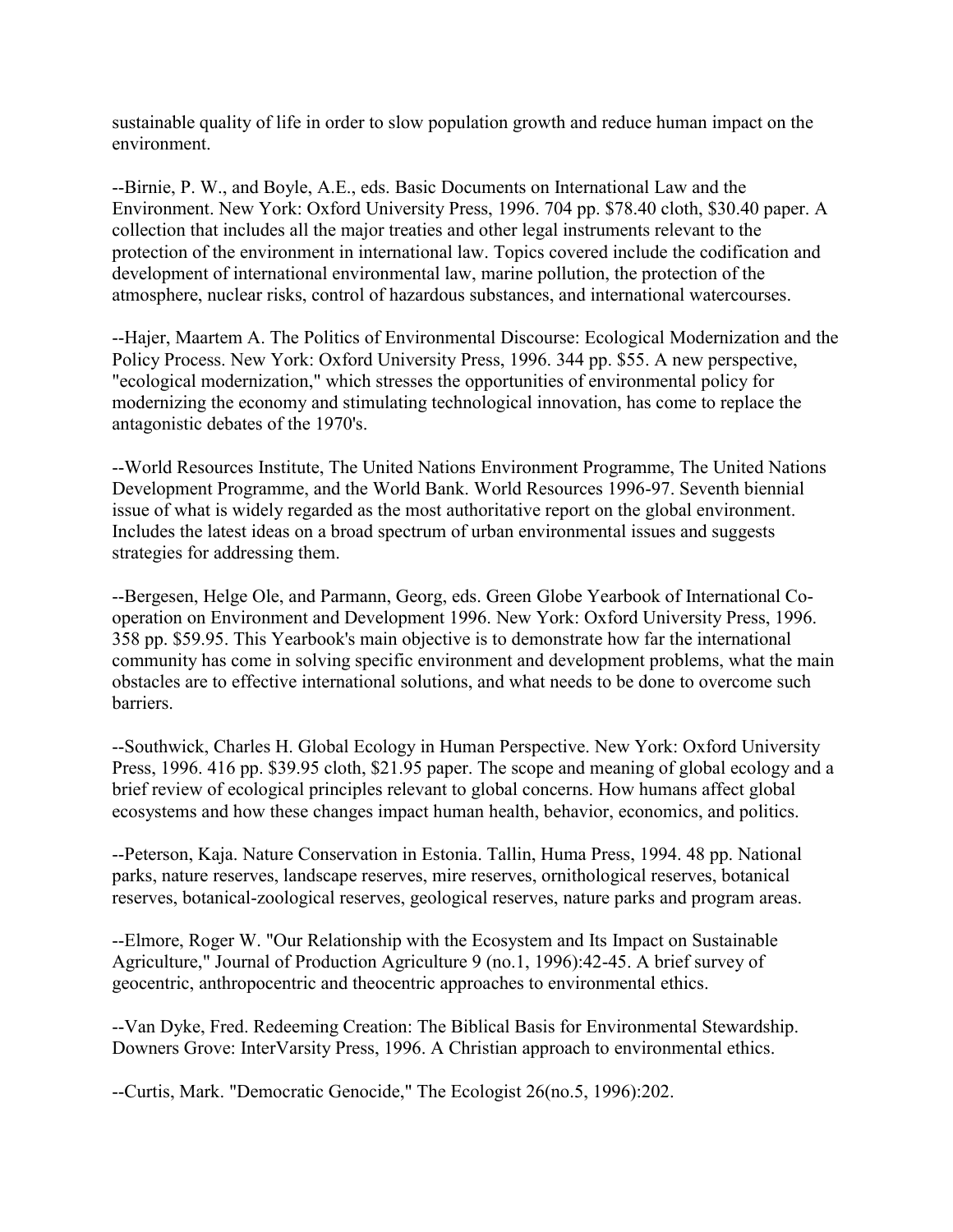sustainable quality of life in order to slow population growth and reduce human impact on the environment.

--Birnie, P. W., and Boyle, A.E., eds. Basic Documents on International Law and the Environment. New York: Oxford University Press, 1996. 704 pp. \$78.40 cloth, \$30.40 paper. A collection that includes all the major treaties and other legal instruments relevant to the protection of the environment in international law. Topics covered include the codification and development of international environmental law, marine pollution, the protection of the atmosphere, nuclear risks, control of hazardous substances, and international watercourses.

--Hajer, Maartem A. The Politics of Environmental Discourse: Ecological Modernization and the Policy Process. New York: Oxford University Press, 1996. 344 pp. \$55. A new perspective, "ecological modernization," which stresses the opportunities of environmental policy for modernizing the economy and stimulating technological innovation, has come to replace the antagonistic debates of the 1970's.

--World Resources Institute, The United Nations Environment Programme, The United Nations Development Programme, and the World Bank. World Resources 1996-97. Seventh biennial issue of what is widely regarded as the most authoritative report on the global environment. Includes the latest ideas on a broad spectrum of urban environmental issues and suggests strategies for addressing them.

--Bergesen, Helge Ole, and Parmann, Georg, eds. Green Globe Yearbook of International Cooperation on Environment and Development 1996. New York: Oxford University Press, 1996. 358 pp. \$59.95. This Yearbook's main objective is to demonstrate how far the international community has come in solving specific environment and development problems, what the main obstacles are to effective international solutions, and what needs to be done to overcome such barriers.

--Southwick, Charles H. Global Ecology in Human Perspective. New York: Oxford University Press, 1996. 416 pp. \$39.95 cloth, \$21.95 paper. The scope and meaning of global ecology and a brief review of ecological principles relevant to global concerns. How humans affect global ecosystems and how these changes impact human health, behavior, economics, and politics.

--Peterson, Kaja. Nature Conservation in Estonia. Tallin, Huma Press, 1994. 48 pp. National parks, nature reserves, landscape reserves, mire reserves, ornithological reserves, botanical reserves, botanical-zoological reserves, geological reserves, nature parks and program areas.

--Elmore, Roger W. "Our Relationship with the Ecosystem and Its Impact on Sustainable Agriculture," Journal of Production Agriculture 9 (no.1, 1996):42-45. A brief survey of geocentric, anthropocentric and theocentric approaches to environmental ethics.

--Van Dyke, Fred. Redeeming Creation: The Biblical Basis for Environmental Stewardship. Downers Grove: InterVarsity Press, 1996. A Christian approach to environmental ethics.

--Curtis, Mark. "Democratic Genocide," The Ecologist 26(no.5, 1996):202.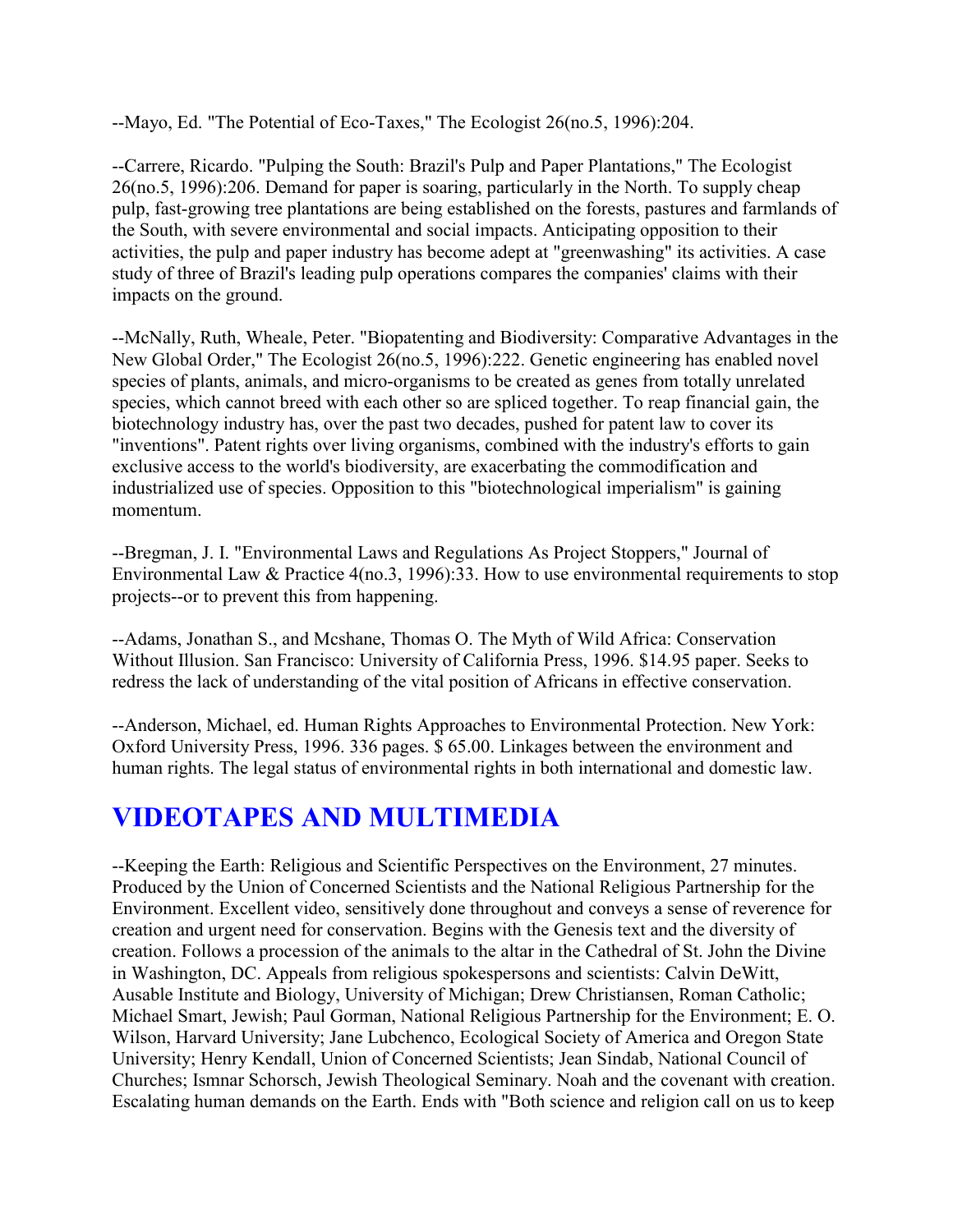--Mayo, Ed. "The Potential of Eco-Taxes," The Ecologist 26(no.5, 1996):204.

--Carrere, Ricardo. "Pulping the South: Brazil's Pulp and Paper Plantations," The Ecologist 26(no.5, 1996):206. Demand for paper is soaring, particularly in the North. To supply cheap pulp, fast-growing tree plantations are being established on the forests, pastures and farmlands of the South, with severe environmental and social impacts. Anticipating opposition to their activities, the pulp and paper industry has become adept at "greenwashing" its activities. A case study of three of Brazil's leading pulp operations compares the companies' claims with their impacts on the ground.

--McNally, Ruth, Wheale, Peter. "Biopatenting and Biodiversity: Comparative Advantages in the New Global Order," The Ecologist 26(no.5, 1996):222. Genetic engineering has enabled novel species of plants, animals, and micro-organisms to be created as genes from totally unrelated species, which cannot breed with each other so are spliced together. To reap financial gain, the biotechnology industry has, over the past two decades, pushed for patent law to cover its "inventions". Patent rights over living organisms, combined with the industry's efforts to gain exclusive access to the world's biodiversity, are exacerbating the commodification and industrialized use of species. Opposition to this "biotechnological imperialism" is gaining momentum.

--Bregman, J. I. "Environmental Laws and Regulations As Project Stoppers," Journal of Environmental Law & Practice 4(no.3, 1996):33. How to use environmental requirements to stop projects--or to prevent this from happening.

--Adams, Jonathan S., and Mcshane, Thomas O. The Myth of Wild Africa: Conservation Without Illusion. San Francisco: University of California Press, 1996. \$14.95 paper. Seeks to redress the lack of understanding of the vital position of Africans in effective conservation.

--Anderson, Michael, ed. Human Rights Approaches to Environmental Protection. New York: Oxford University Press, 1996. 336 pages. \$ 65.00. Linkages between the environment and human rights. The legal status of environmental rights in both international and domestic law.

### **VIDEOTAPES AND MULTIMEDIA**

--Keeping the Earth: Religious and Scientific Perspectives on the Environment, 27 minutes. Produced by the Union of Concerned Scientists and the National Religious Partnership for the Environment. Excellent video, sensitively done throughout and conveys a sense of reverence for creation and urgent need for conservation. Begins with the Genesis text and the diversity of creation. Follows a procession of the animals to the altar in the Cathedral of St. John the Divine in Washington, DC. Appeals from religious spokespersons and scientists: Calvin DeWitt, Ausable Institute and Biology, University of Michigan; Drew Christiansen, Roman Catholic; Michael Smart, Jewish; Paul Gorman, National Religious Partnership for the Environment; E. O. Wilson, Harvard University; Jane Lubchenco, Ecological Society of America and Oregon State University; Henry Kendall, Union of Concerned Scientists; Jean Sindab, National Council of Churches; Ismnar Schorsch, Jewish Theological Seminary. Noah and the covenant with creation. Escalating human demands on the Earth. Ends with "Both science and religion call on us to keep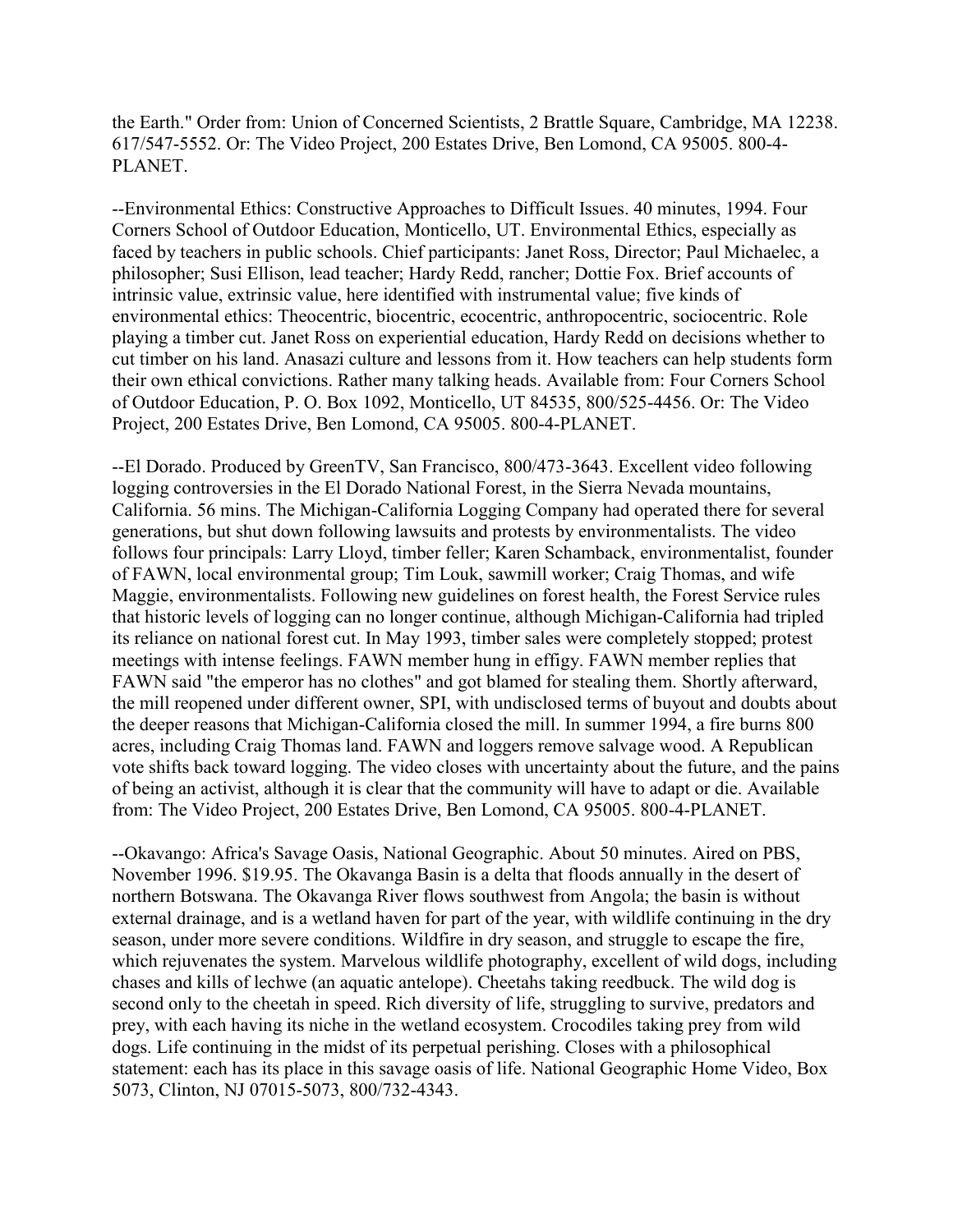the Earth." Order from: Union of Concerned Scientists, 2 Brattle Square, Cambridge, MA 12238. 617/547-5552. Or: The Video Project, 200 Estates Drive, Ben Lomond, CA 95005. 800-4- PLANET.

--Environmental Ethics: Constructive Approaches to Difficult Issues. 40 minutes, 1994. Four Corners School of Outdoor Education, Monticello, UT. Environmental Ethics, especially as faced by teachers in public schools. Chief participants: Janet Ross, Director; Paul Michaelec, a philosopher; Susi Ellison, lead teacher; Hardy Redd, rancher; Dottie Fox. Brief accounts of intrinsic value, extrinsic value, here identified with instrumental value; five kinds of environmental ethics: Theocentric, biocentric, ecocentric, anthropocentric, sociocentric. Role playing a timber cut. Janet Ross on experiential education, Hardy Redd on decisions whether to cut timber on his land. Anasazi culture and lessons from it. How teachers can help students form their own ethical convictions. Rather many talking heads. Available from: Four Corners School of Outdoor Education, P. O. Box 1092, Monticello, UT 84535, 800/525-4456. Or: The Video Project, 200 Estates Drive, Ben Lomond, CA 95005. 800-4-PLANET.

--El Dorado. Produced by GreenTV, San Francisco, 800/473-3643. Excellent video following logging controversies in the El Dorado National Forest, in the Sierra Nevada mountains, California. 56 mins. The Michigan-California Logging Company had operated there for several generations, but shut down following lawsuits and protests by environmentalists. The video follows four principals: Larry Lloyd, timber feller; Karen Schamback, environmentalist, founder of FAWN, local environmental group; Tim Louk, sawmill worker; Craig Thomas, and wife Maggie, environmentalists. Following new guidelines on forest health, the Forest Service rules that historic levels of logging can no longer continue, although Michigan-California had tripled its reliance on national forest cut. In May 1993, timber sales were completely stopped; protest meetings with intense feelings. FAWN member hung in effigy. FAWN member replies that FAWN said "the emperor has no clothes" and got blamed for stealing them. Shortly afterward, the mill reopened under different owner, SPI, with undisclosed terms of buyout and doubts about the deeper reasons that Michigan-California closed the mill. In summer 1994, a fire burns 800 acres, including Craig Thomas land. FAWN and loggers remove salvage wood. A Republican vote shifts back toward logging. The video closes with uncertainty about the future, and the pains of being an activist, although it is clear that the community will have to adapt or die. Available from: The Video Project, 200 Estates Drive, Ben Lomond, CA 95005. 800-4-PLANET.

--Okavango: Africa's Savage Oasis, National Geographic. About 50 minutes. Aired on PBS, November 1996. \$19.95. The Okavanga Basin is a delta that floods annually in the desert of northern Botswana. The Okavanga River flows southwest from Angola; the basin is without external drainage, and is a wetland haven for part of the year, with wildlife continuing in the dry season, under more severe conditions. Wildfire in dry season, and struggle to escape the fire, which rejuvenates the system. Marvelous wildlife photography, excellent of wild dogs, including chases and kills of lechwe (an aquatic antelope). Cheetahs taking reedbuck. The wild dog is second only to the cheetah in speed. Rich diversity of life, struggling to survive, predators and prey, with each having its niche in the wetland ecosystem. Crocodiles taking prey from wild dogs. Life continuing in the midst of its perpetual perishing. Closes with a philosophical statement: each has its place in this savage oasis of life. National Geographic Home Video, Box 5073, Clinton, NJ 07015-5073, 800/732-4343.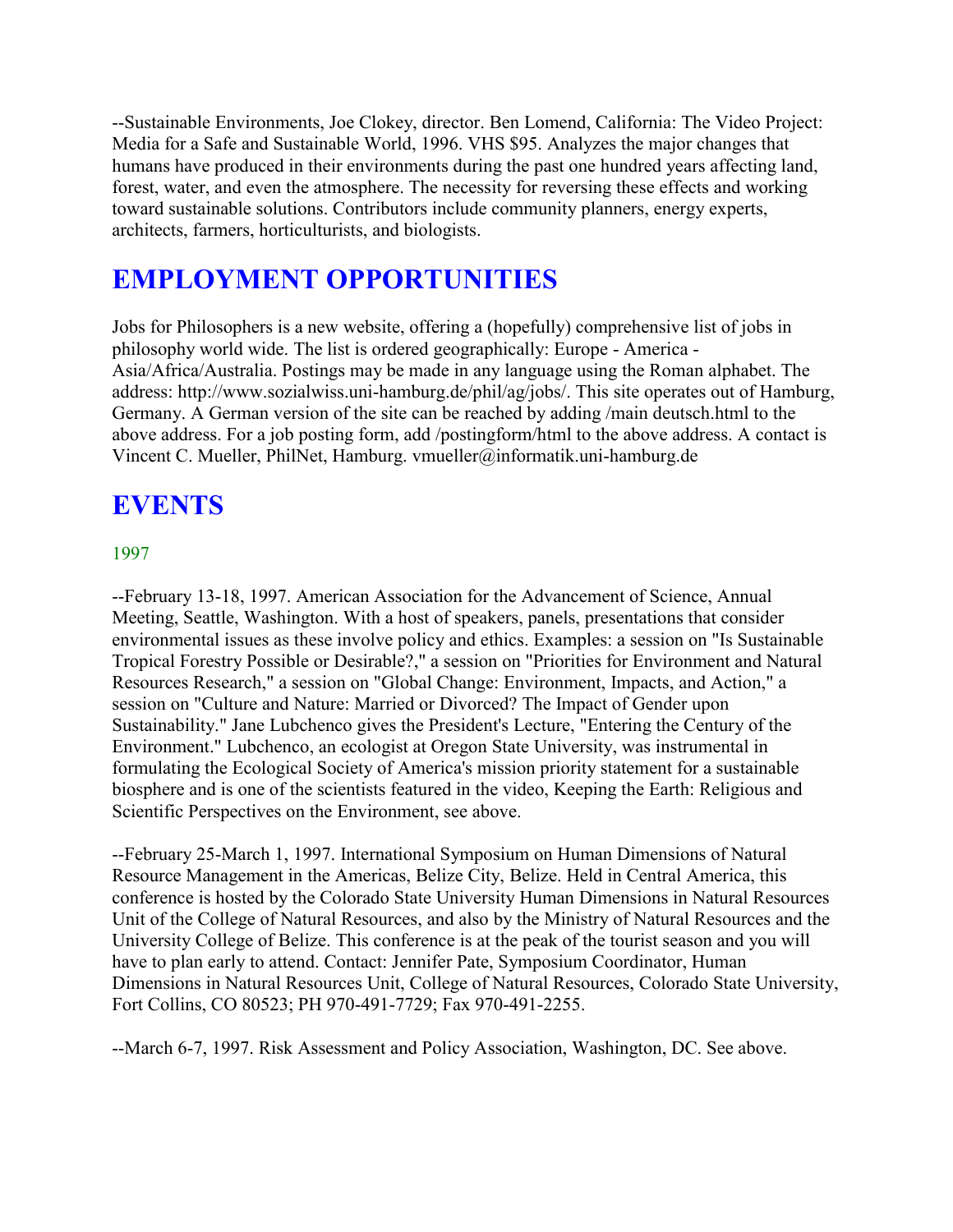--Sustainable Environments, Joe Clokey, director. Ben Lomend, California: The Video Project: Media for a Safe and Sustainable World, 1996. VHS \$95. Analyzes the major changes that humans have produced in their environments during the past one hundred years affecting land, forest, water, and even the atmosphere. The necessity for reversing these effects and working toward sustainable solutions. Contributors include community planners, energy experts, architects, farmers, horticulturists, and biologists.

# **EMPLOYMENT OPPORTUNITIES**

Jobs for Philosophers is a new website, offering a (hopefully) comprehensive list of jobs in philosophy world wide. The list is ordered geographically: Europe - America - Asia/Africa/Australia. Postings may be made in any language using the Roman alphabet. The address: http://www.sozialwiss.uni-hamburg.de/phil/ag/jobs/. This site operates out of Hamburg, Germany. A German version of the site can be reached by adding /main deutsch.html to the above address. For a job posting form, add /postingform/html to the above address. A contact is Vincent C. Mueller, PhilNet, Hamburg. vmueller@informatik.uni-hamburg.de

# **EVENTS**

#### 1997

--February 13-18, 1997. American Association for the Advancement of Science, Annual Meeting, Seattle, Washington. With a host of speakers, panels, presentations that consider environmental issues as these involve policy and ethics. Examples: a session on "Is Sustainable Tropical Forestry Possible or Desirable?," a session on "Priorities for Environment and Natural Resources Research," a session on "Global Change: Environment, Impacts, and Action," a session on "Culture and Nature: Married or Divorced? The Impact of Gender upon Sustainability." Jane Lubchenco gives the President's Lecture, "Entering the Century of the Environment." Lubchenco, an ecologist at Oregon State University, was instrumental in formulating the Ecological Society of America's mission priority statement for a sustainable biosphere and is one of the scientists featured in the video, Keeping the Earth: Religious and Scientific Perspectives on the Environment, see above.

--February 25-March 1, 1997. International Symposium on Human Dimensions of Natural Resource Management in the Americas, Belize City, Belize. Held in Central America, this conference is hosted by the Colorado State University Human Dimensions in Natural Resources Unit of the College of Natural Resources, and also by the Ministry of Natural Resources and the University College of Belize. This conference is at the peak of the tourist season and you will have to plan early to attend. Contact: Jennifer Pate, Symposium Coordinator, Human Dimensions in Natural Resources Unit, College of Natural Resources, Colorado State University, Fort Collins, CO 80523; PH 970-491-7729; Fax 970-491-2255.

--March 6-7, 1997. Risk Assessment and Policy Association, Washington, DC. See above.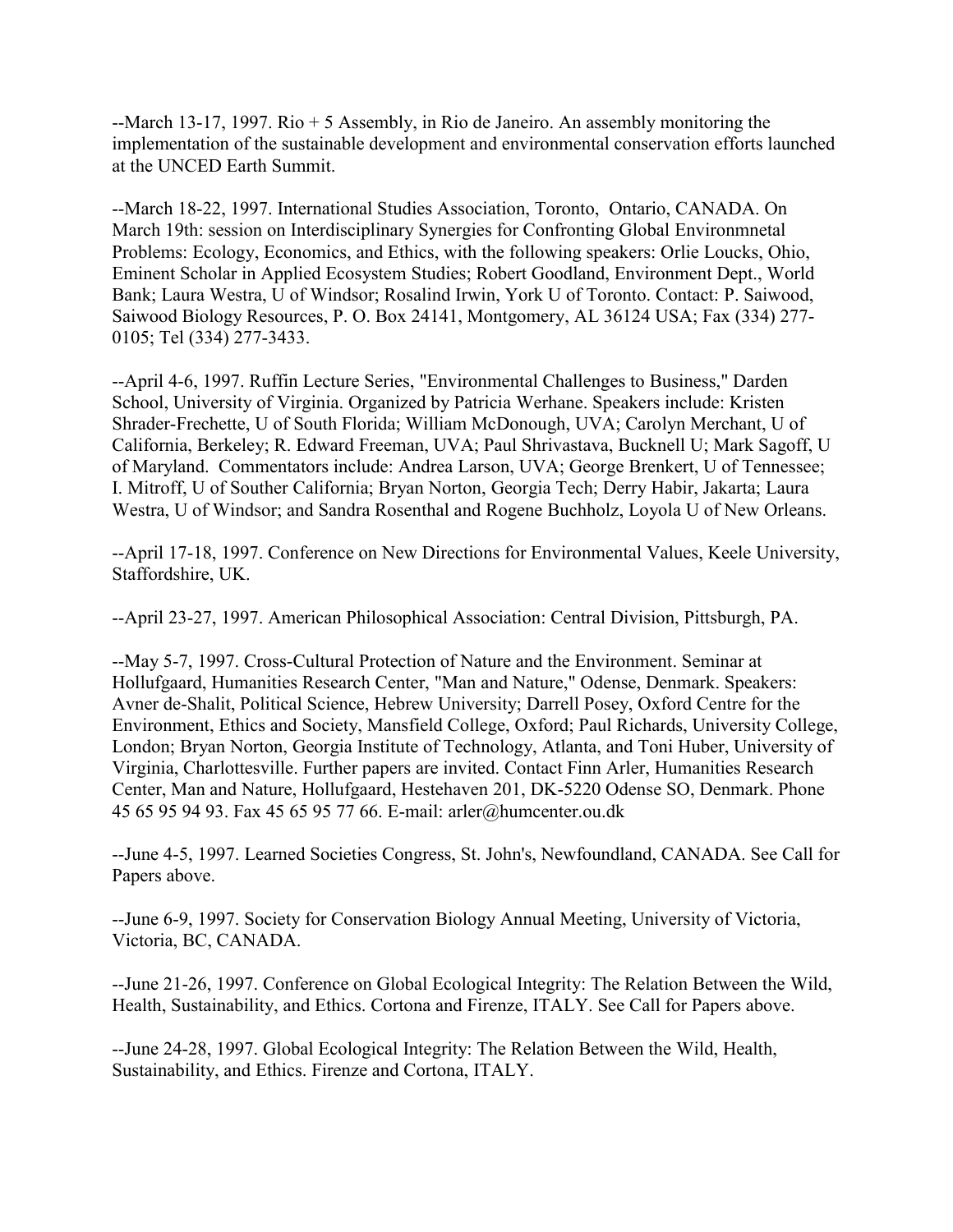--March 13-17, 1997. Rio + 5 Assembly, in Rio de Janeiro. An assembly monitoring the implementation of the sustainable development and environmental conservation efforts launched at the UNCED Earth Summit.

--March 18-22, 1997. International Studies Association, Toronto, Ontario, CANADA. On March 19th: session on Interdisciplinary Synergies for Confronting Global Environmnetal Problems: Ecology, Economics, and Ethics, with the following speakers: Orlie Loucks, Ohio, Eminent Scholar in Applied Ecosystem Studies; Robert Goodland, Environment Dept., World Bank; Laura Westra, U of Windsor; Rosalind Irwin, York U of Toronto. Contact: P. Saiwood, Saiwood Biology Resources, P. O. Box 24141, Montgomery, AL 36124 USA; Fax (334) 277- 0105; Tel (334) 277-3433.

--April 4-6, 1997. Ruffin Lecture Series, "Environmental Challenges to Business," Darden School, University of Virginia. Organized by Patricia Werhane. Speakers include: Kristen Shrader-Frechette, U of South Florida; William McDonough, UVA; Carolyn Merchant, U of California, Berkeley; R. Edward Freeman, UVA; Paul Shrivastava, Bucknell U; Mark Sagoff, U of Maryland. Commentators include: Andrea Larson, UVA; George Brenkert, U of Tennessee; I. Mitroff, U of Souther California; Bryan Norton, Georgia Tech; Derry Habir, Jakarta; Laura Westra, U of Windsor; and Sandra Rosenthal and Rogene Buchholz, Loyola U of New Orleans.

--April 17-18, 1997. Conference on New Directions for Environmental Values, Keele University, Staffordshire, UK.

--April 23-27, 1997. American Philosophical Association: Central Division, Pittsburgh, PA.

--May 5-7, 1997. Cross-Cultural Protection of Nature and the Environment. Seminar at Hollufgaard, Humanities Research Center, "Man and Nature," Odense, Denmark. Speakers: Avner de-Shalit, Political Science, Hebrew University; Darrell Posey, Oxford Centre for the Environment, Ethics and Society, Mansfield College, Oxford; Paul Richards, University College, London; Bryan Norton, Georgia Institute of Technology, Atlanta, and Toni Huber, University of Virginia, Charlottesville. Further papers are invited. Contact Finn Arler, Humanities Research Center, Man and Nature, Hollufgaard, Hestehaven 201, DK-5220 Odense SO, Denmark. Phone 45 65 95 94 93. Fax 45 65 95 77 66. E-mail: arler@humcenter.ou.dk

--June 4-5, 1997. Learned Societies Congress, St. John's, Newfoundland, CANADA. See Call for Papers above.

--June 6-9, 1997. Society for Conservation Biology Annual Meeting, University of Victoria, Victoria, BC, CANADA.

--June 21-26, 1997. Conference on Global Ecological Integrity: The Relation Between the Wild, Health, Sustainability, and Ethics. Cortona and Firenze, ITALY. See Call for Papers above.

--June 24-28, 1997. Global Ecological Integrity: The Relation Between the Wild, Health, Sustainability, and Ethics. Firenze and Cortona, ITALY.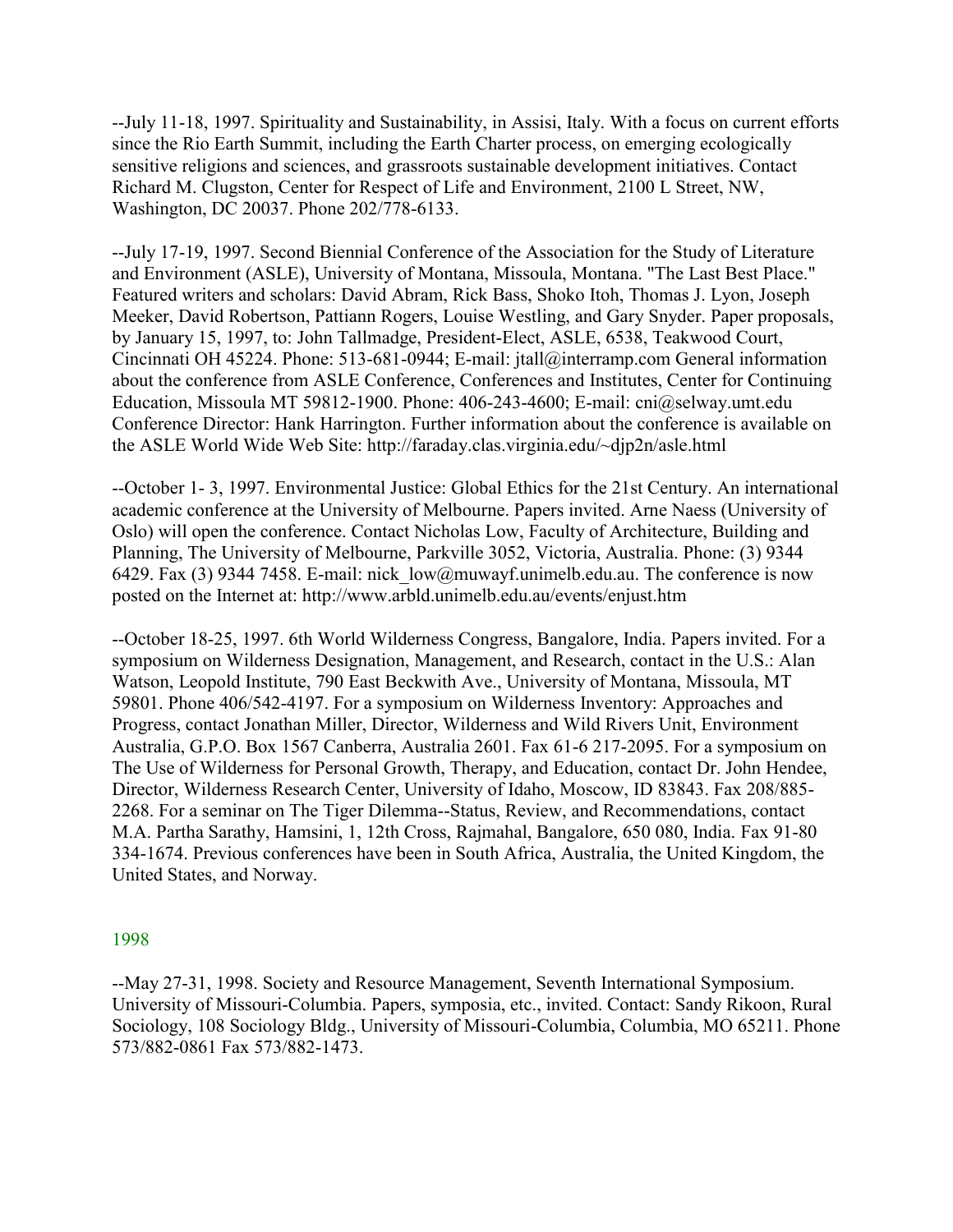--July 11-18, 1997. Spirituality and Sustainability, in Assisi, Italy. With a focus on current efforts since the Rio Earth Summit, including the Earth Charter process, on emerging ecologically sensitive religions and sciences, and grassroots sustainable development initiatives. Contact Richard M. Clugston, Center for Respect of Life and Environment, 2100 L Street, NW, Washington, DC 20037. Phone 202/778-6133.

--July 17-19, 1997. Second Biennial Conference of the Association for the Study of Literature and Environment (ASLE), University of Montana, Missoula, Montana. "The Last Best Place." Featured writers and scholars: David Abram, Rick Bass, Shoko Itoh, Thomas J. Lyon, Joseph Meeker, David Robertson, Pattiann Rogers, Louise Westling, and Gary Snyder. Paper proposals, by January 15, 1997, to: John Tallmadge, President-Elect, ASLE, 6538, Teakwood Court, Cincinnati OH 45224. Phone: 513-681-0944; E-mail: jtall@interramp.com General information about the conference from ASLE Conference, Conferences and Institutes, Center for Continuing Education, Missoula MT 59812-1900. Phone: 406-243-4600; E-mail: cni@selway.umt.edu Conference Director: Hank Harrington. Further information about the conference is available on the ASLE World Wide Web Site: http://faraday.clas.virginia.edu/~djp2n/asle.html

--October 1- 3, 1997. Environmental Justice: Global Ethics for the 21st Century. An international academic conference at the University of Melbourne. Papers invited. Arne Naess (University of Oslo) will open the conference. Contact Nicholas Low, Faculty of Architecture, Building and Planning, The University of Melbourne, Parkville 3052, Victoria, Australia. Phone: (3) 9344 6429. Fax (3) 9344 7458. E-mail: nick  $low@mu$ wayf.unimelb.edu.au. The conference is now posted on the Internet at: http://www.arbld.unimelb.edu.au/events/enjust.htm

--October 18-25, 1997. 6th World Wilderness Congress, Bangalore, India. Papers invited. For a symposium on Wilderness Designation, Management, and Research, contact in the U.S.: Alan Watson, Leopold Institute, 790 East Beckwith Ave., University of Montana, Missoula, MT 59801. Phone 406/542-4197. For a symposium on Wilderness Inventory: Approaches and Progress, contact Jonathan Miller, Director, Wilderness and Wild Rivers Unit, Environment Australia, G.P.O. Box 1567 Canberra, Australia 2601. Fax 61-6 217-2095. For a symposium on The Use of Wilderness for Personal Growth, Therapy, and Education, contact Dr. John Hendee, Director, Wilderness Research Center, University of Idaho, Moscow, ID 83843. Fax 208/885- 2268. For a seminar on The Tiger Dilemma--Status, Review, and Recommendations, contact M.A. Partha Sarathy, Hamsini, 1, 12th Cross, Rajmahal, Bangalore, 650 080, India. Fax 91-80 334-1674. Previous conferences have been in South Africa, Australia, the United Kingdom, the United States, and Norway.

#### 1998

--May 27-31, 1998. Society and Resource Management, Seventh International Symposium. University of Missouri-Columbia. Papers, symposia, etc., invited. Contact: Sandy Rikoon, Rural Sociology, 108 Sociology Bldg., University of Missouri-Columbia, Columbia, MO 65211. Phone 573/882-0861 Fax 573/882-1473.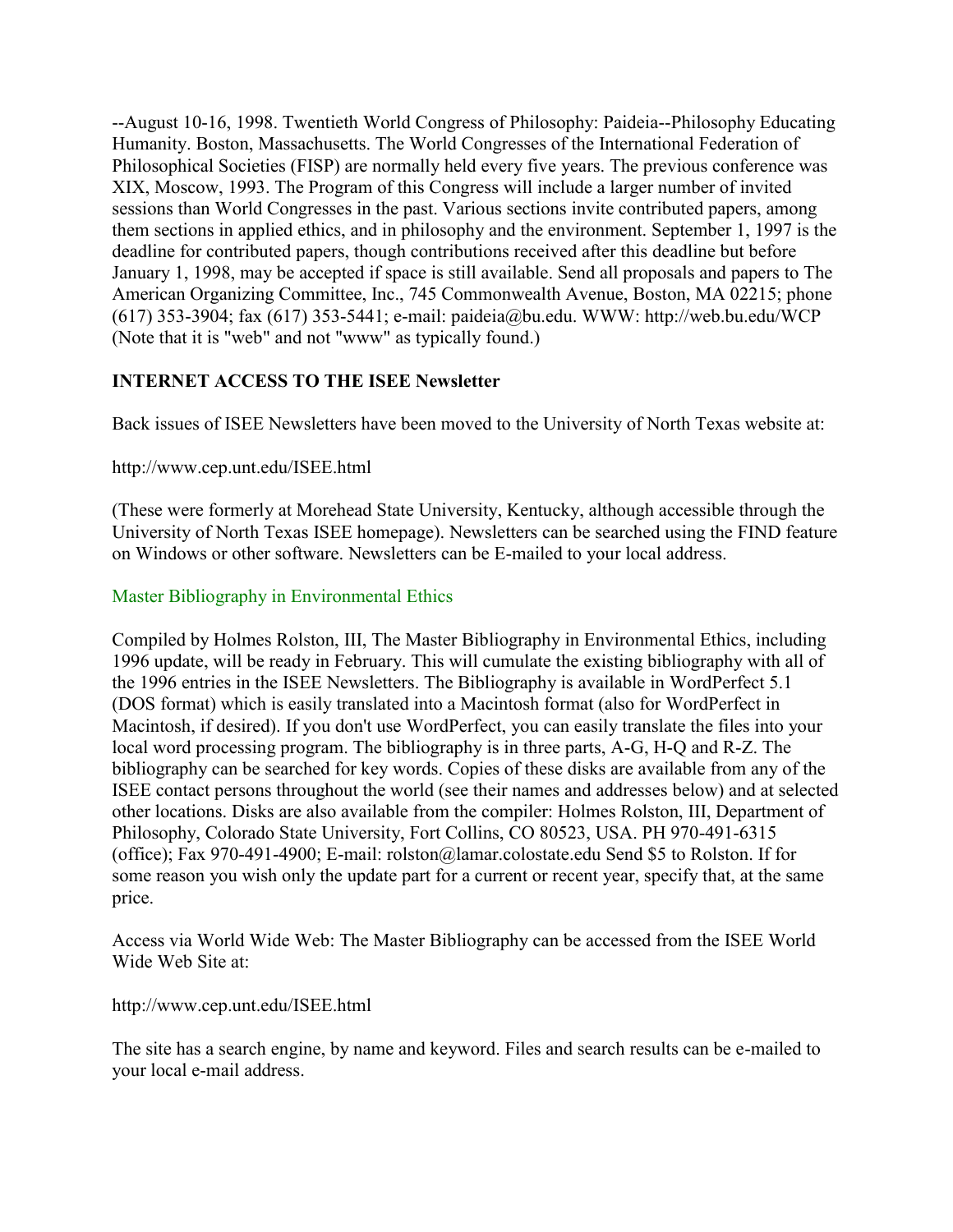--August 10-16, 1998. Twentieth World Congress of Philosophy: Paideia--Philosophy Educating Humanity. Boston, Massachusetts. The World Congresses of the International Federation of Philosophical Societies (FISP) are normally held every five years. The previous conference was XIX, Moscow, 1993. The Program of this Congress will include a larger number of invited sessions than World Congresses in the past. Various sections invite contributed papers, among them sections in applied ethics, and in philosophy and the environment. September 1, 1997 is the deadline for contributed papers, though contributions received after this deadline but before January 1, 1998, may be accepted if space is still available. Send all proposals and papers to The American Organizing Committee, Inc., 745 Commonwealth Avenue, Boston, MA 02215; phone (617) 353-3904; fax (617) 353-5441; e-mail: paideia@bu.edu. WWW: http://web.bu.edu/WCP (Note that it is "web" and not "www" as typically found.)

#### **INTERNET ACCESS TO THE ISEE Newsletter**

Back issues of ISEE Newsletters have been moved to the University of North Texas website at:

#### http://www.cep.unt.edu/ISEE.html

(These were formerly at Morehead State University, Kentucky, although accessible through the University of North Texas ISEE homepage). Newsletters can be searched using the FIND feature on Windows or other software. Newsletters can be E-mailed to your local address.

#### Master Bibliography in Environmental Ethics

Compiled by Holmes Rolston, III, The Master Bibliography in Environmental Ethics, including 1996 update, will be ready in February. This will cumulate the existing bibliography with all of the 1996 entries in the ISEE Newsletters. The Bibliography is available in WordPerfect 5.1 (DOS format) which is easily translated into a Macintosh format (also for WordPerfect in Macintosh, if desired). If you don't use WordPerfect, you can easily translate the files into your local word processing program. The bibliography is in three parts, A-G, H-Q and R-Z. The bibliography can be searched for key words. Copies of these disks are available from any of the ISEE contact persons throughout the world (see their names and addresses below) and at selected other locations. Disks are also available from the compiler: Holmes Rolston, III, Department of Philosophy, Colorado State University, Fort Collins, CO 80523, USA. PH 970-491-6315 (office); Fax 970-491-4900; E-mail: rolston@lamar.colostate.edu Send \$5 to Rolston. If for some reason you wish only the update part for a current or recent year, specify that, at the same price.

Access via World Wide Web: The Master Bibliography can be accessed from the ISEE World Wide Web Site at:

#### http://www.cep.unt.edu/ISEE.html

The site has a search engine, by name and keyword. Files and search results can be e-mailed to your local e-mail address.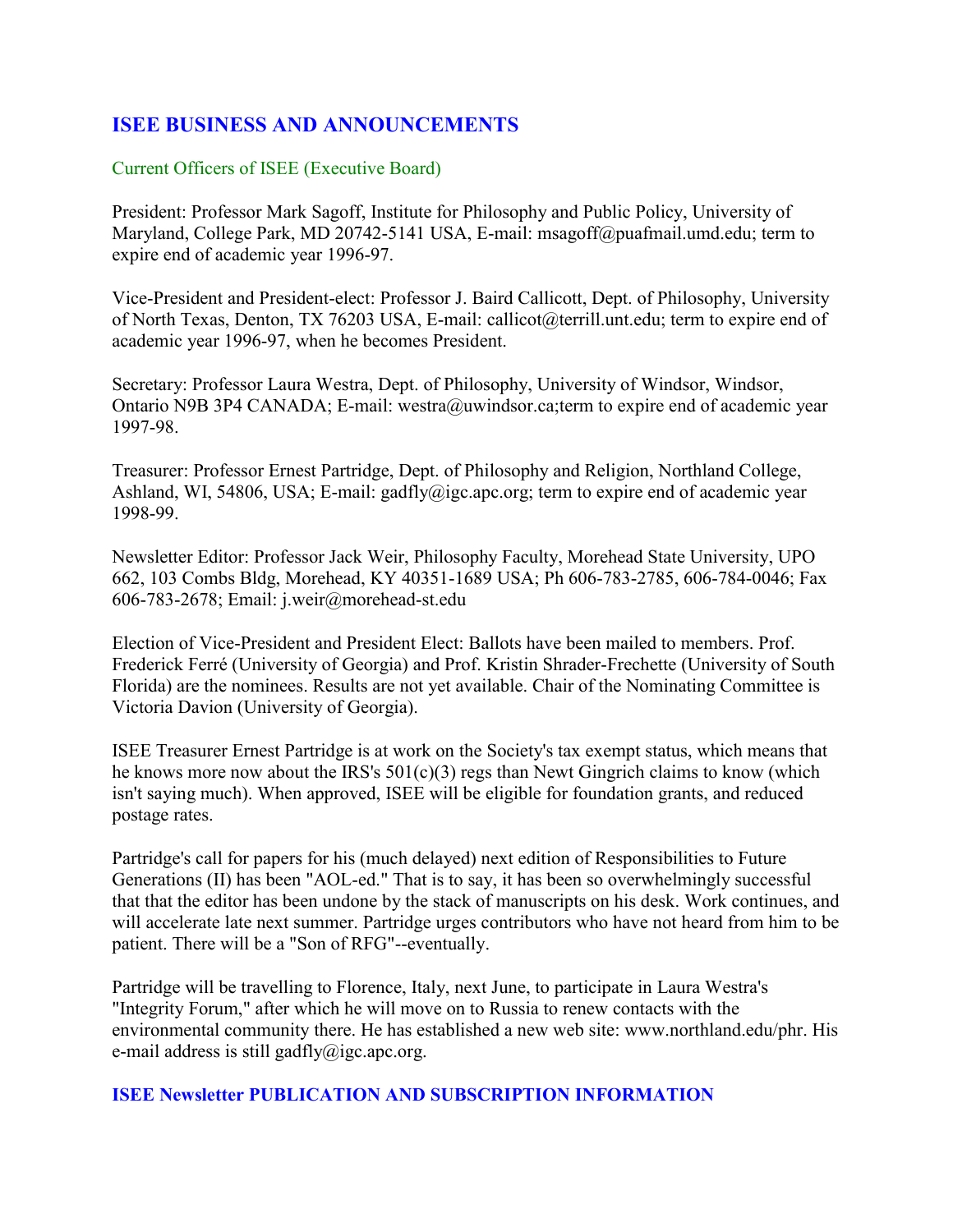### **ISEE BUSINESS AND ANNOUNCEMENTS**

#### Current Officers of ISEE (Executive Board)

President: Professor Mark Sagoff, Institute for Philosophy and Public Policy, University of Maryland, College Park, MD 20742-5141 USA, E-mail: msagoff@puafmail.umd.edu; term to expire end of academic year 1996-97.

Vice-President and President-elect: Professor J. Baird Callicott, Dept. of Philosophy, University of North Texas, Denton, TX 76203 USA, E-mail: callicot@terrill.unt.edu; term to expire end of academic year 1996-97, when he becomes President.

Secretary: Professor Laura Westra, Dept. of Philosophy, University of Windsor, Windsor, Ontario N9B 3P4 CANADA; E-mail: westra@uwindsor.ca;term to expire end of academic year 1997-98.

Treasurer: Professor Ernest Partridge, Dept. of Philosophy and Religion, Northland College, Ashland, WI, 54806, USA; E-mail: gadfly@igc.apc.org; term to expire end of academic year 1998-99.

Newsletter Editor: Professor Jack Weir, Philosophy Faculty, Morehead State University, UPO 662, 103 Combs Bldg, Morehead, KY 40351-1689 USA; Ph 606-783-2785, 606-784-0046; Fax 606-783-2678; Email: j.weir@morehead-st.edu

Election of Vice-President and President Elect: Ballots have been mailed to members. Prof. Frederick Ferré (University of Georgia) and Prof. Kristin Shrader-Frechette (University of South Florida) are the nominees. Results are not yet available. Chair of the Nominating Committee is Victoria Davion (University of Georgia).

ISEE Treasurer Ernest Partridge is at work on the Society's tax exempt status, which means that he knows more now about the IRS's 501(c)(3) regs than Newt Gingrich claims to know (which isn't saying much). When approved, ISEE will be eligible for foundation grants, and reduced postage rates.

Partridge's call for papers for his (much delayed) next edition of Responsibilities to Future Generations (II) has been "AOL-ed." That is to say, it has been so overwhelmingly successful that that the editor has been undone by the stack of manuscripts on his desk. Work continues, and will accelerate late next summer. Partridge urges contributors who have not heard from him to be patient. There will be a "Son of RFG"--eventually.

Partridge will be travelling to Florence, Italy, next June, to participate in Laura Westra's "Integrity Forum," after which he will move on to Russia to renew contacts with the environmental community there. He has established a new web site: www.northland.edu/phr. His e-mail address is still gadfly@igc.apc.org.

#### **ISEE Newsletter PUBLICATION AND SUBSCRIPTION INFORMATION**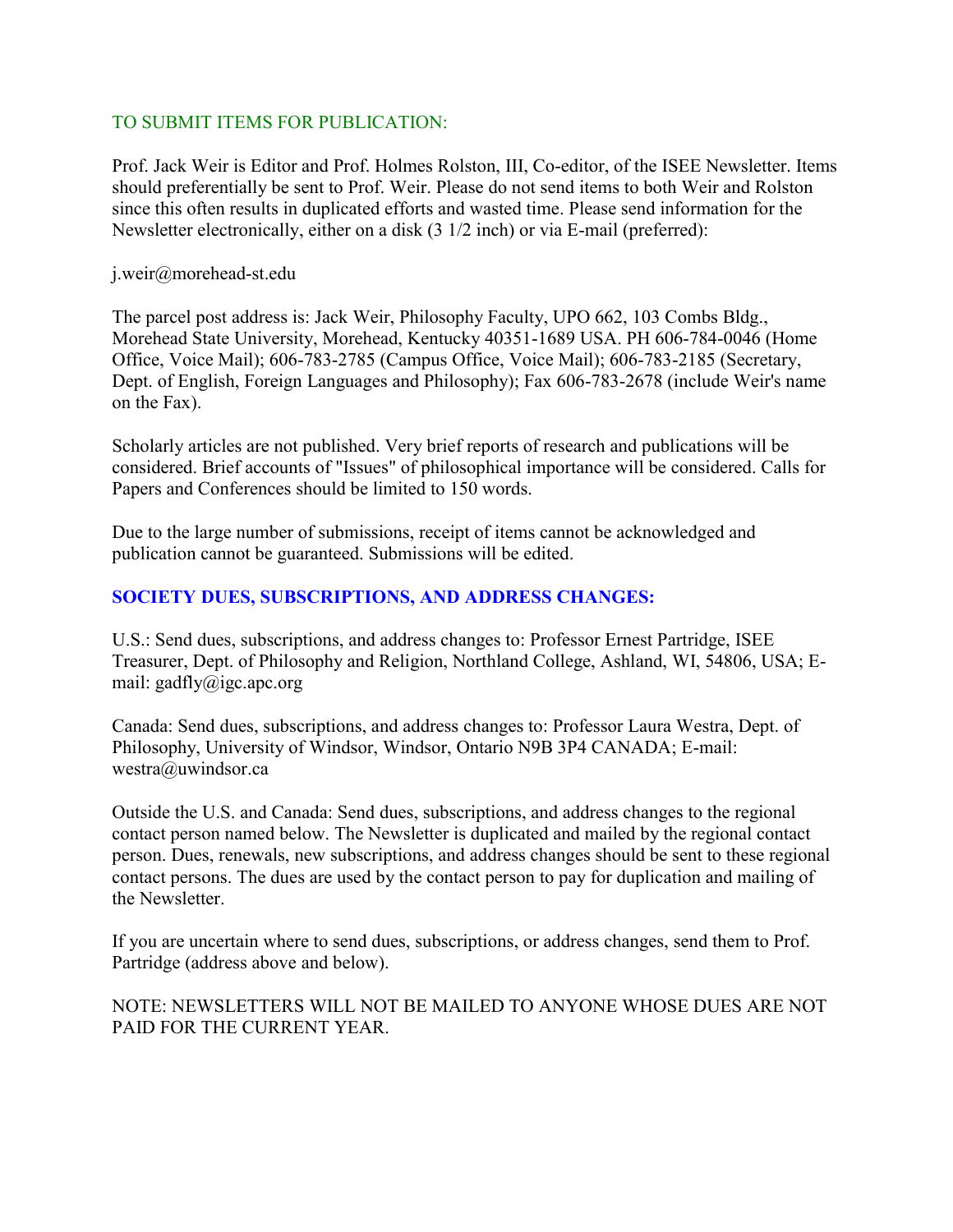#### TO SUBMIT ITEMS FOR PUBLICATION:

Prof. Jack Weir is Editor and Prof. Holmes Rolston, III, Co-editor, of the ISEE Newsletter. Items should preferentially be sent to Prof. Weir. Please do not send items to both Weir and Rolston since this often results in duplicated efforts and wasted time. Please send information for the Newsletter electronically, either on a disk (3 1/2 inch) or via E-mail (preferred):

j.weir@morehead-st.edu

The parcel post address is: Jack Weir, Philosophy Faculty, UPO 662, 103 Combs Bldg., Morehead State University, Morehead, Kentucky 40351-1689 USA. PH 606-784-0046 (Home Office, Voice Mail); 606-783-2785 (Campus Office, Voice Mail); 606-783-2185 (Secretary, Dept. of English, Foreign Languages and Philosophy); Fax 606-783-2678 (include Weir's name on the Fax).

Scholarly articles are not published. Very brief reports of research and publications will be considered. Brief accounts of "Issues" of philosophical importance will be considered. Calls for Papers and Conferences should be limited to 150 words.

Due to the large number of submissions, receipt of items cannot be acknowledged and publication cannot be guaranteed. Submissions will be edited.

#### **SOCIETY DUES, SUBSCRIPTIONS, AND ADDRESS CHANGES:**

U.S.: Send dues, subscriptions, and address changes to: Professor Ernest Partridge, ISEE Treasurer, Dept. of Philosophy and Religion, Northland College, Ashland, WI, 54806, USA; Email: gadfly@igc.apc.org

Canada: Send dues, subscriptions, and address changes to: Professor Laura Westra, Dept. of Philosophy, University of Windsor, Windsor, Ontario N9B 3P4 CANADA; E-mail: westra@uwindsor.ca

Outside the U.S. and Canada: Send dues, subscriptions, and address changes to the regional contact person named below. The Newsletter is duplicated and mailed by the regional contact person. Dues, renewals, new subscriptions, and address changes should be sent to these regional contact persons. The dues are used by the contact person to pay for duplication and mailing of the Newsletter.

If you are uncertain where to send dues, subscriptions, or address changes, send them to Prof. Partridge (address above and below).

NOTE: NEWSLETTERS WILL NOT BE MAILED TO ANYONE WHOSE DUES ARE NOT PAID FOR THE CURRENT YEAR.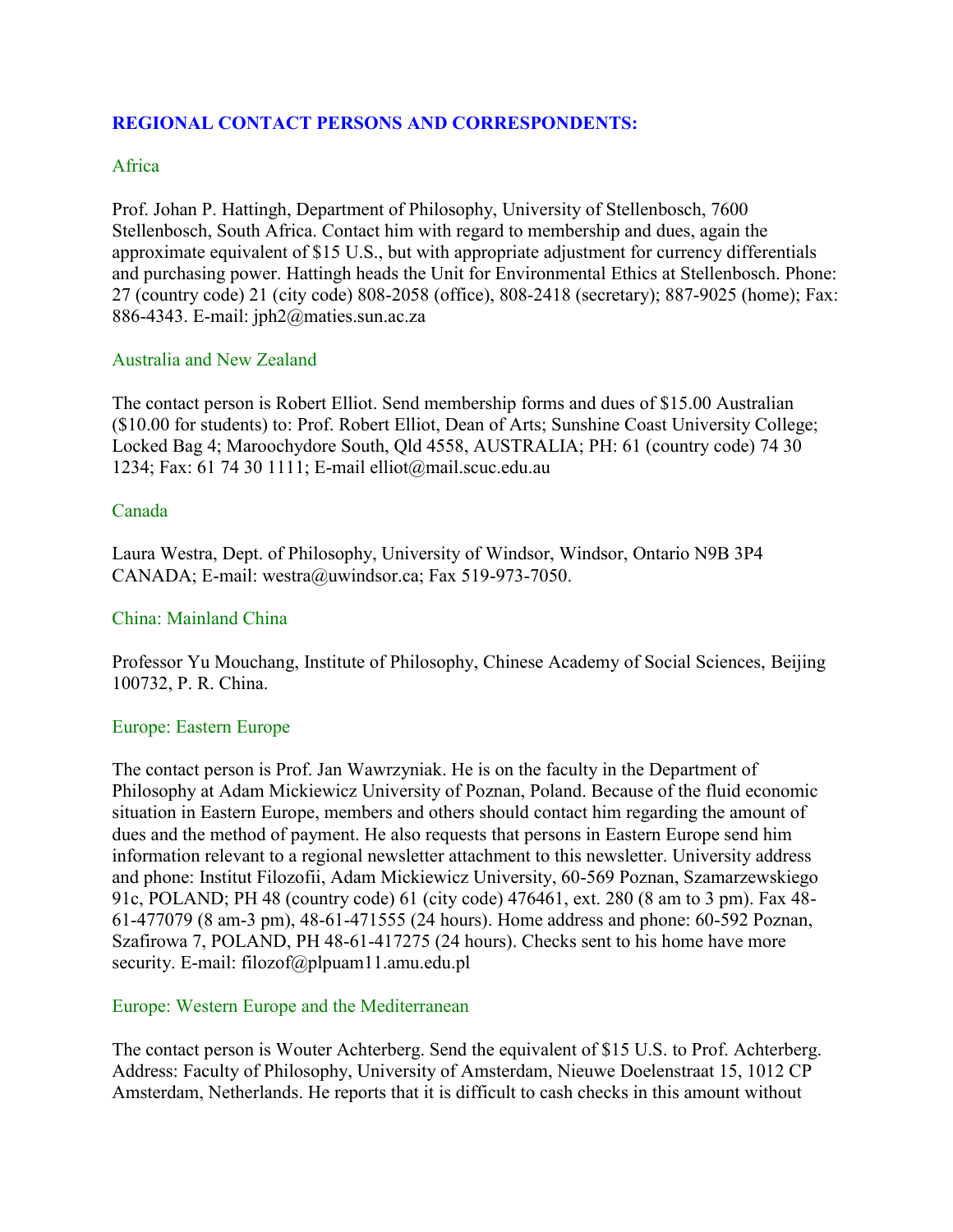#### **REGIONAL CONTACT PERSONS AND CORRESPONDENTS:**

#### Africa

Prof. Johan P. Hattingh, Department of Philosophy, University of Stellenbosch, 7600 Stellenbosch, South Africa. Contact him with regard to membership and dues, again the approximate equivalent of \$15 U.S., but with appropriate adjustment for currency differentials and purchasing power. Hattingh heads the Unit for Environmental Ethics at Stellenbosch. Phone: 27 (country code) 21 (city code) 808-2058 (office), 808-2418 (secretary); 887-9025 (home); Fax: 886-4343. E-mail: jph2@maties.sun.ac.za

#### Australia and New Zealand

The contact person is Robert Elliot. Send membership forms and dues of \$15.00 Australian (\$10.00 for students) to: Prof. Robert Elliot, Dean of Arts; Sunshine Coast University College; Locked Bag 4; Maroochydore South, Qld 4558, AUSTRALIA; PH: 61 (country code) 74 30 1234; Fax: 61 74 30 1111; E-mail elliot@mail.scuc.edu.au

#### Canada

Laura Westra, Dept. of Philosophy, University of Windsor, Windsor, Ontario N9B 3P4 CANADA; E-mail: westra@uwindsor.ca; Fax 519-973-7050.

#### China: Mainland China

Professor Yu Mouchang, Institute of Philosophy, Chinese Academy of Social Sciences, Beijing 100732, P. R. China.

#### Europe: Eastern Europe

The contact person is Prof. Jan Wawrzyniak. He is on the faculty in the Department of Philosophy at Adam Mickiewicz University of Poznan, Poland. Because of the fluid economic situation in Eastern Europe, members and others should contact him regarding the amount of dues and the method of payment. He also requests that persons in Eastern Europe send him information relevant to a regional newsletter attachment to this newsletter. University address and phone: Institut Filozofii, Adam Mickiewicz University, 60-569 Poznan, Szamarzewskiego 91c, POLAND; PH 48 (country code) 61 (city code) 476461, ext. 280 (8 am to 3 pm). Fax 48- 61-477079 (8 am-3 pm), 48-61-471555 (24 hours). Home address and phone: 60-592 Poznan, Szafirowa 7, POLAND, PH 48-61-417275 (24 hours). Checks sent to his home have more security. E-mail: filozof@plpuam11.amu.edu.pl

#### Europe: Western Europe and the Mediterranean

The contact person is Wouter Achterberg. Send the equivalent of \$15 U.S. to Prof. Achterberg. Address: Faculty of Philosophy, University of Amsterdam, Nieuwe Doelenstraat 15, 1012 CP Amsterdam, Netherlands. He reports that it is difficult to cash checks in this amount without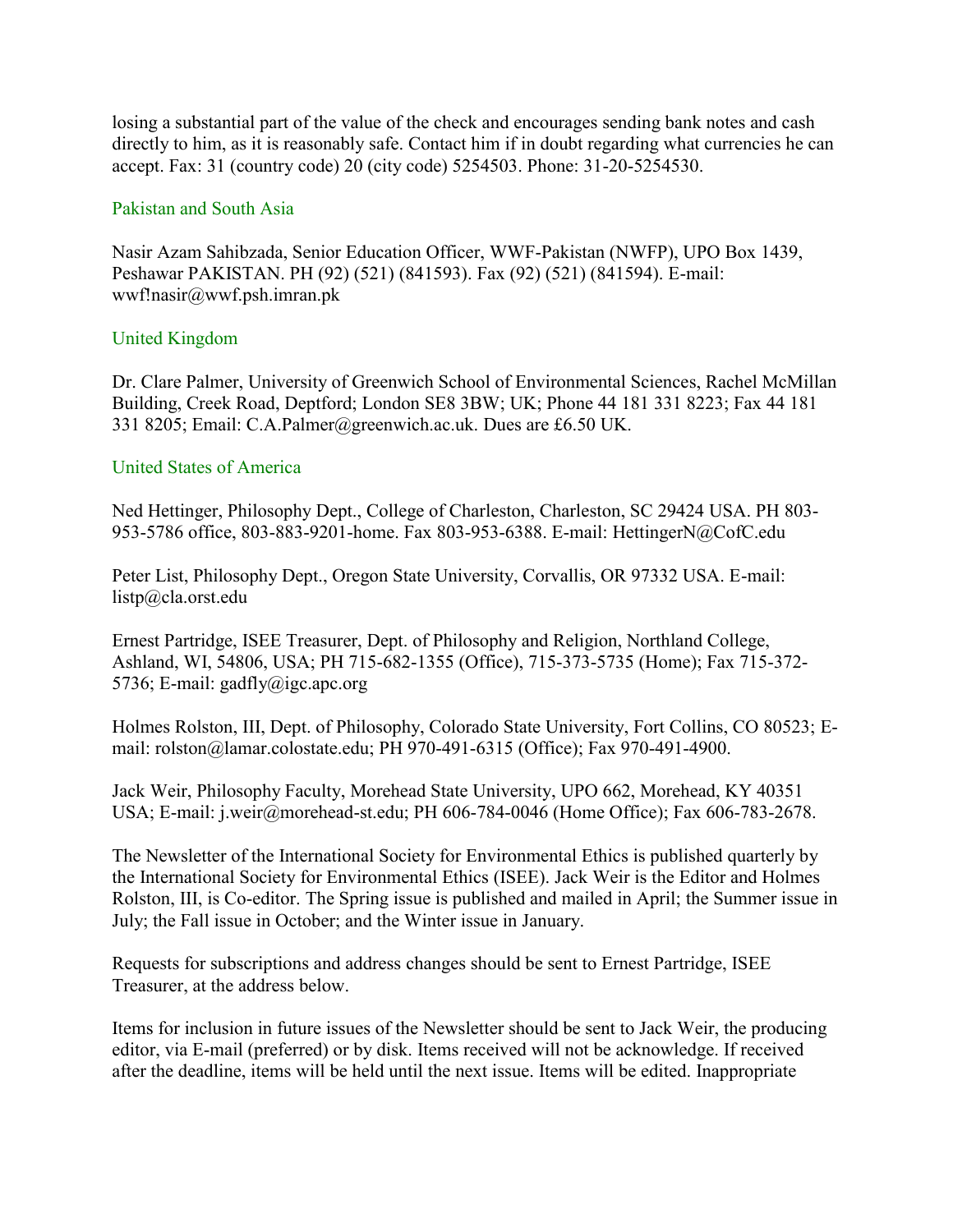losing a substantial part of the value of the check and encourages sending bank notes and cash directly to him, as it is reasonably safe. Contact him if in doubt regarding what currencies he can accept. Fax: 31 (country code) 20 (city code) 5254503. Phone: 31-20-5254530.

#### Pakistan and South Asia

Nasir Azam Sahibzada, Senior Education Officer, WWF-Pakistan (NWFP), UPO Box 1439, Peshawar PAKISTAN. PH (92) (521) (841593). Fax (92) (521) (841594). E-mail: wwf!nasir@wwf.psh.imran.pk

#### United Kingdom

Dr. Clare Palmer, University of Greenwich School of Environmental Sciences, Rachel McMillan Building, Creek Road, Deptford; London SE8 3BW; UK; Phone 44 181 331 8223; Fax 44 181 331 8205; Email: C.A.Palmer@greenwich.ac.uk. Dues are £6.50 UK.

#### United States of America

Ned Hettinger, Philosophy Dept., College of Charleston, Charleston, SC 29424 USA. PH 803- 953-5786 office, 803-883-9201-home. Fax 803-953-6388. E-mail: HettingerN@CofC.edu

Peter List, Philosophy Dept., Oregon State University, Corvallis, OR 97332 USA. E-mail: listp@cla.orst.edu

Ernest Partridge, ISEE Treasurer, Dept. of Philosophy and Religion, Northland College, Ashland, WI, 54806, USA; PH 715-682-1355 (Office), 715-373-5735 (Home); Fax 715-372- 5736; E-mail: gadfly@igc.apc.org

Holmes Rolston, III, Dept. of Philosophy, Colorado State University, Fort Collins, CO 80523; Email: rolston@lamar.colostate.edu; PH 970-491-6315 (Office); Fax 970-491-4900.

Jack Weir, Philosophy Faculty, Morehead State University, UPO 662, Morehead, KY 40351 USA; E-mail: j.weir@morehead-st.edu; PH 606-784-0046 (Home Office); Fax 606-783-2678.

The Newsletter of the International Society for Environmental Ethics is published quarterly by the International Society for Environmental Ethics (ISEE). Jack Weir is the Editor and Holmes Rolston, III, is Co-editor. The Spring issue is published and mailed in April; the Summer issue in July; the Fall issue in October; and the Winter issue in January.

Requests for subscriptions and address changes should be sent to Ernest Partridge, ISEE Treasurer, at the address below.

Items for inclusion in future issues of the Newsletter should be sent to Jack Weir, the producing editor, via E-mail (preferred) or by disk. Items received will not be acknowledge. If received after the deadline, items will be held until the next issue. Items will be edited. Inappropriate